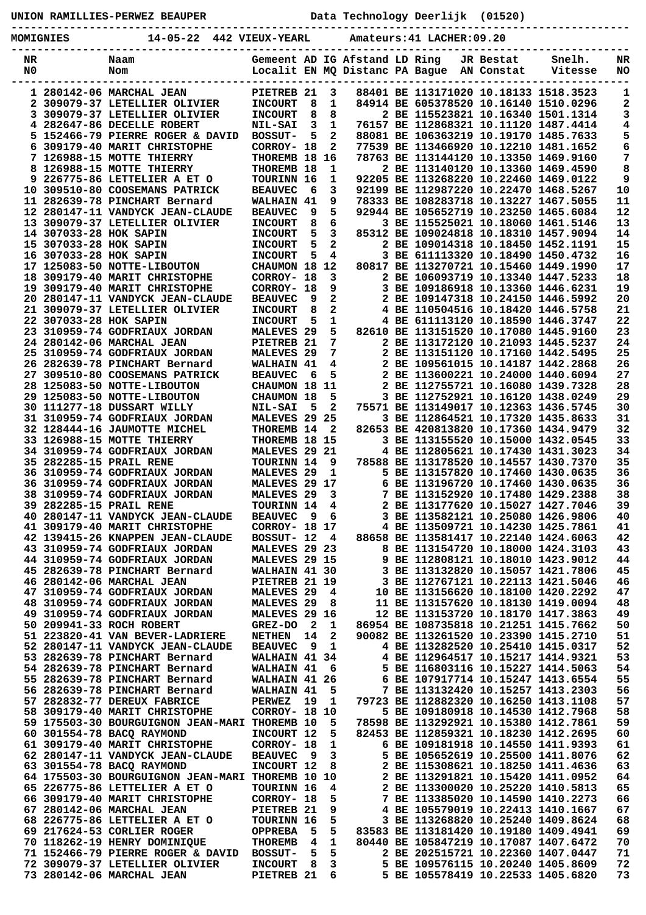**UNION RAMILLIES-PERWEZ BEAUPER Data Technology Deerlijk (01520)**

**----------------------------------------------------------------------------------------------- MOMIGNIES 14-05-22 442 VIEUX-YEARL Amateurs:41 LACHER:09.20**

| NR |                        | Naam                                          |                       |     |    | Gemeent AD IG Afstand LD Ring  |                                       | JR Bestat  | Snelh.                                | NR |
|----|------------------------|-----------------------------------------------|-----------------------|-----|----|--------------------------------|---------------------------------------|------------|---------------------------------------|----|
| N0 |                        | Nom                                           |                       |     |    | Localit EN MQ Distanc PA Bague |                                       | AN Constat | Vitesse                               | NO |
|    |                        |                                               |                       |     |    |                                |                                       |            |                                       |    |
|    |                        | 1 280142-06 MARCHAL JEAN                      | PIETREB 21            |     | 3  |                                | 88401 BE 113171020 10.18133 1518.3523 |            |                                       | 1  |
|    |                        | 2 309079-37 LETELLIER OLIVIER                 | <b>INCOURT</b>        | 8   | 1  |                                |                                       |            | 84914 BE 605378520 10.16140 1510.0296 | 2  |
| 3  |                        | 309079-37 LETELLIER OLIVIER                   | <b>INCOURT</b>        | 8   | 8  |                                |                                       |            | 2 BE 115523821 10.16340 1501.1314     | 3  |
|    |                        | 4 282647-86 DECELLE ROBERT                    | <b>NIL-SAI</b>        | 3   | 1  |                                | 76157 BE 112868321 10.11120 1487.4414 |            |                                       | 4  |
|    |                        | 5 152466-79 PIERRE ROGER & DAVID              | <b>BOSSUT-</b>        | 5   | 2  |                                |                                       |            | 88081 BE 106363219 10.19170 1485.7633 | 5  |
| 6  |                        | 309179-40 MARIT CHRISTOPHE                    | CORROY- 18            |     | 2  |                                | 77539 BE 113466920 10.12210 1481.1652 |            |                                       | 6  |
|    |                        | 7 126988-15 MOTTE THIERRY                     | THOREMB 18            |     | 16 |                                | 78763 BE 113144120 10.13350 1469.9160 |            |                                       | 7  |
|    |                        | 8 126988-15 MOTTE THIERRY                     | <b>THOREMB</b>        | 18  | 1  |                                | 2 BE 113140120 10.13360 1469.4590     |            |                                       | 8  |
|    |                        | 9 226775-86 LETTELIER A ET O                  | <b>TOURINN 16</b>     |     | 1  |                                |                                       |            | 92205 BE 113268220 10.22460 1469.0122 | 9  |
|    |                        | 10 309510-80 COOSEMANS PATRICK                | <b>BEAUVEC</b>        | 6   | 3  |                                | 92199 BE 112987220 10.22470 1468.5267 |            |                                       | 10 |
|    |                        | 11 282639-78 PINCHART Bernard                 | WALHAIN 41            |     | 9  |                                | 78333 BE 108283718 10.13227 1467.5055 |            |                                       | 11 |
|    |                        | 12 280147-11 VANDYCK JEAN-CLAUDE              | <b>BEAUVEC</b>        | 9   | 5  |                                |                                       |            | 92944 BE 105652719 10.23250 1465.6084 | 12 |
|    |                        | 13 309079-37 LETELLIER OLIVIER                | <b>INCOURT</b>        | 8   | 6  |                                | 3 BE 115525021 10.18060 1461.5146     |            |                                       | 13 |
|    | 14 307033-28 HOK SAPIN |                                               | <b>INCOURT</b>        | 5   | 3  |                                |                                       |            | 85312 BE 109024818 10.18310 1457.9094 | 14 |
|    | 15 307033-28 HOK SAPIN |                                               | <b>INCOURT</b>        | 5   | 2  |                                | 2 BE 109014318 10.18450 1452.1191     |            |                                       | 15 |
|    | 16 307033-28 HOK SAPIN |                                               | <b>INCOURT</b>        | 5   | 4  |                                | 3 BE 611113320 10.18490 1450.4732     |            |                                       | 16 |
|    |                        | 17 125083-50 NOTTE-LIBOUTON                   | CHAUMON 18 12         |     |    |                                | 80817 BE 113270721 10.15460 1449.1990 |            |                                       | 17 |
|    |                        |                                               |                       |     |    |                                | 2 BE 106093719 10.13340 1447.5233     |            |                                       |    |
|    |                        | 18 309179-40 MARIT CHRISTOPHE                 | CORROY- 18            |     | 3  |                                |                                       |            |                                       | 18 |
|    |                        | 19 309179-40 MARIT CHRISTOPHE                 | CORROY- 18            |     | 9  |                                | 3 BE 109186918 10.13360 1446.6231     |            |                                       | 19 |
|    |                        | 20 280147-11 VANDYCK JEAN-CLAUDE              | <b>BEAUVEC</b>        | 9   | 2  |                                | 2 BE 109147318 10.24150 1446.5992     |            |                                       | 20 |
|    |                        | 21 309079-37 LETELLIER OLIVIER                | <b>INCOURT</b>        | 8   | 2  |                                | 4 BE 110504516 10.18420 1446.5758     |            |                                       | 21 |
|    | 22 307033-28 HOK SAPIN |                                               | <b>INCOURT</b>        | 5   | 1  |                                | 4 BE 611113120 10.18590 1446.3747     |            |                                       | 22 |
|    |                        | 23 310959-74 GODFRIAUX JORDAN                 | <b>MALEVES 29</b>     |     | 5  |                                | 82610 BE 113151520 10.17080 1445.9160 |            |                                       | 23 |
|    |                        | 24 280142-06 MARCHAL JEAN                     | <b>PIETREB</b>        | -21 | 7  |                                | 2 BE 113172120 10.21093 1445.5237     |            |                                       | 24 |
|    |                        | 25 310959-74 GODFRIAUX JORDAN                 | <b>MALEVES</b>        | -29 | 7  |                                | 2 BE 113151120 10.17160 1442.5495     |            |                                       | 25 |
|    |                        | 26 282639-78 PINCHART Bernard                 | WALHAIN 41            |     | 4  |                                | 2 BE 109561015 10.14187 1442.2868     |            |                                       | 26 |
|    |                        | 27 309510-80 COOSEMANS PATRICK                | <b>BEAUVEC</b>        | 6   | 5  |                                |                                       |            | 2 BE 113600221 10.24000 1440.6094     | 27 |
|    |                        | 28 125083-50 NOTTE-LIBOUTON                   | CHAUMON 18            |     | 11 |                                | 2 BE 112755721 10.16080 1439.7328     |            |                                       | 28 |
|    |                        | 29 125083-50 NOTTE-LIBOUTON                   | CHAUMON 18            |     | 5  |                                | 3 BE 112752921 10.16120 1438.0249     |            |                                       | 29 |
|    |                        | 30 111277-18 DUSSART WILLY                    | <b>NIL-SAI</b>        | 5   | 2  |                                | 75571 BE 113149017 10.12363 1436.5745 |            |                                       | 30 |
|    |                        | 31 310959-74 GODFRIAUX JORDAN                 | MALEVES 29 25         |     |    |                                | 3 BE 112864521 10.17320 1435.8633     |            |                                       | 31 |
|    |                        | 32 128444-16 JAUMOTTE MICHEL                  | THOREMB 14            |     | 2  |                                | 82653 BE 420813820 10.17360 1434.9479 |            |                                       | 32 |
|    |                        | 33 126988-15 MOTTE THIERRY                    | THOREMB 18 15         |     |    |                                | 3 BE 113155520 10.15000 1432.0545     |            |                                       | 33 |
|    |                        | 34 310959-74 GODFRIAUX JORDAN                 | MALEVES 29 21         |     |    |                                | 4 BE 112805621 10.17430 1431.3023     |            |                                       | 34 |
|    |                        | 35 282285-15 PRAIL RENE                       | TOURINN 14            |     | 9  |                                | 78588 BE 113178520 10.14557 1430.7370 |            |                                       | 35 |
|    |                        | 36 310959-74 GODFRIAUX JORDAN                 | <b>MALEVES</b>        | -29 | 1  |                                | 5 BE 113157820 10.17460 1430.0635     |            |                                       | 36 |
|    |                        | 36 310959-74 GODFRIAUX JORDAN                 | MALEVES 29 17         |     |    |                                | 6 BE 113196720 10.17460 1430.0635     |            |                                       | 36 |
|    |                        | 38 310959-74 GODFRIAUX JORDAN                 | MALEVES <sub>29</sub> |     | 3  |                                | 7 BE 113152920 10.17480 1429.2388     |            |                                       | 38 |
|    |                        | 39 282285-15 PRAIL RENE                       | TOURINN 14            |     | 4  |                                | 2 BE 113177620 10.15027 1427.7046     |            |                                       | 39 |
| 40 |                        | 280147-11 VANDYCK JEAN-CLAUDE                 | <b>BEAUVEC</b>        | 9   | 6  |                                | 3 BE 113582121 10.25080 1426.9806     |            |                                       | 40 |
|    |                        | <b>41 309179-40 MARIT CHRISTOPHE</b>          | CORROY- 18 17         |     |    |                                | 4 BE 113509721 10.14230 1425.7861     |            |                                       | 41 |
|    |                        | 42 139415-26 KNAPPEN JEAN-CLAUDE              | BOSSUT- 12            |     |    |                                | 88658 BE 113581417 10.22140 1424.6063 |            |                                       | 42 |
|    |                        | 43 310959-74 GODFRIAUX JORDAN                 |                       |     | 4  |                                | 8 BE 113154720 10.18000 1424.3103     |            |                                       | 43 |
|    |                        |                                               | MALEVES 29 23         |     |    |                                | 9 BE 112808121 10.18010 1423.9012     |            |                                       | 44 |
|    |                        | 44 310959-74 GODFRIAUX JORDAN                 | MALEVES 29 15         |     |    |                                |                                       |            |                                       |    |
|    |                        | 45 282639-78 PINCHART Bernard                 | WALHAIN 41 30         |     |    |                                | 3 BE 113132820 10.15057 1421.7806     |            |                                       | 45 |
|    |                        | 46 280142-06 MARCHAL JEAN                     | PIETREB 21 19         |     |    |                                | 3 BE 112767121 10.22113 1421.5046     |            |                                       | 46 |
|    |                        | 47 310959-74 GODFRIAUX JORDAN                 | MALEVES <sub>29</sub> |     | 4  |                                | 10 BE 113156620 10.18100 1420.2292    |            |                                       | 47 |
|    |                        | 48 310959-74 GODFRIAUX JORDAN                 | MALEVES <sub>29</sub> |     | 8  |                                |                                       |            | 11 BE 113157620 10.18130 1419.0094    | 48 |
|    |                        | 49 310959-74 GODFRIAUX JORDAN                 | MALEVES 29 16         |     |    |                                | 12 BE 113153720 10.18170 1417.3863    |            |                                       | 49 |
|    |                        | 50 209941-33 ROCH ROBERT                      | GREZ-DO               | - 2 | 1  |                                |                                       |            | 86954 BE 108735818 10.21251 1415.7662 | 50 |
|    |                        | 51 223820-41 VAN BEVER-LADRIERE               | <b>NETHEN</b>         | 14  | 2  |                                | 90082 BE 113261520 10.23390 1415.2710 |            |                                       | 51 |
|    |                        | 52 280147-11 VANDYCK JEAN-CLAUDE              | <b>BEAUVEC</b>        | 9   | 1  |                                | 4 BE 113282520 10.25410 1415.0317     |            |                                       | 52 |
|    |                        | 53 282639-78 PINCHART Bernard                 | WALHAIN 41 34         |     |    |                                | 4 BE 112964517 10.15217 1414.9321     |            |                                       | 53 |
|    |                        | 54 282639-78 PINCHART Bernard                 | WALHAIN 41            |     | 6  |                                | 5 BE 116803116 10.15227 1414.5063     |            |                                       | 54 |
|    |                        | 55 282639-78 PINCHART Bernard                 | WALHAIN 41 26         |     |    |                                | 6 BE 107917714 10.15247 1413.6554     |            |                                       | 55 |
|    |                        | 56 282639-78 PINCHART Bernard                 | WALHAIN 41            |     | 5  |                                | 7 BE 113132420 10.15257 1413.2303     |            |                                       | 56 |
|    |                        | 57 282832-77 DEREUX FABRICE                   | <b>PERWEZ</b>         | 19  | 1  |                                | 79723 BE 112882320 10.16250 1413.1108 |            |                                       | 57 |
|    |                        | 58 309179-40 MARIT CHRISTOPHE                 | <b>CORROY- 18 10</b>  |     |    |                                | 5 BE 109180918 10.14530 1412.7968     |            |                                       | 58 |
|    |                        | 59 175503-30 BOURGUIGNON JEAN-MARI THOREMB 10 |                       |     | 5  |                                | 78598 BE 113292921 10.15380 1412.7861 |            |                                       | 59 |
|    |                        | 60 301554-78 BACQ RAYMOND                     | INCOURT 12            |     | 5  |                                | 82453 BE 112859321 10.18230 1412.2695 |            |                                       | 60 |
|    |                        | 61 309179-40 MARIT CHRISTOPHE                 | CORROY- 18            |     | 1  |                                | 6 BE 109181918 10.14550 1411.9393     |            |                                       | 61 |
|    |                        | 62 280147-11 VANDYCK JEAN-CLAUDE              | <b>BEAUVEC</b>        | 9   | 3  |                                | 5 BE 105652619 10.25500 1411.8076     |            |                                       | 62 |
|    |                        | 63 301554-78 BACQ RAYMOND                     | INCOURT 12            |     | 8  |                                | 2 BE 115308621 10.18250 1411.4636     |            |                                       | 63 |
|    |                        | 64 175503-30 BOURGUIGNON JEAN-MARI            | <b>THOREMB 10</b>     |     | 10 |                                | 2 BE 113291821 10.15420 1411.0952     |            |                                       | 64 |
|    |                        | 65 226775-86 LETTELIER A ET O                 | <b>TOURINN 16</b>     |     | 4  |                                | 2 BE 113300020 10.25220 1410.5813     |            |                                       | 65 |
|    |                        | 66 309179-40 MARIT CHRISTOPHE                 | CORROY- 18            |     | 5  |                                | 7 BE 113385020 10.14590 1410.2273     |            |                                       | 66 |
|    |                        | 67 280142-06 MARCHAL JEAN                     | PIETREB 21            |     | 9  |                                | 4 BE 105579019 10.22413 1410.1667     |            |                                       | 67 |
|    |                        | 68 226775-86 LETTELIER A ET O                 | TOURINN 16            |     | 5  |                                | 3 BE 113268820 10.25240 1409.8624     |            |                                       | 68 |
|    |                        | 69 217624-53 CORLIER ROGER                    | <b>OPPREBA</b>        | 5   | 5  |                                | 83583 BE 113181420 10.19180 1409.4941 |            |                                       | 69 |
|    |                        | 70 118262-19 HENRY DOMINIQUE                  | <b>THOREMB</b>        | 4   | 1  |                                | 80440 BE 105847219 10.17087 1407.6472 |            |                                       | 70 |
|    |                        | 71 152466-79 PIERRE ROGER & DAVID             | <b>BOSSUT-</b>        | 5   | 5  |                                | 2 BE 202515721 10.22360 1407.0447     |            |                                       | 71 |
|    |                        | 72 309079-37 LETELLIER OLIVIER                | <b>INCOURT</b>        | 8   | 3  |                                | 5 BE 109576115 10.20240 1405.8609     |            |                                       | 72 |
|    |                        | 73 280142-06 MARCHAL JEAN                     | PIETREB <sub>21</sub> |     | 6  |                                |                                       |            |                                       | 73 |
|    |                        |                                               |                       |     |    |                                | 5 BE 105578419 10.22533 1405.6820     |            |                                       |    |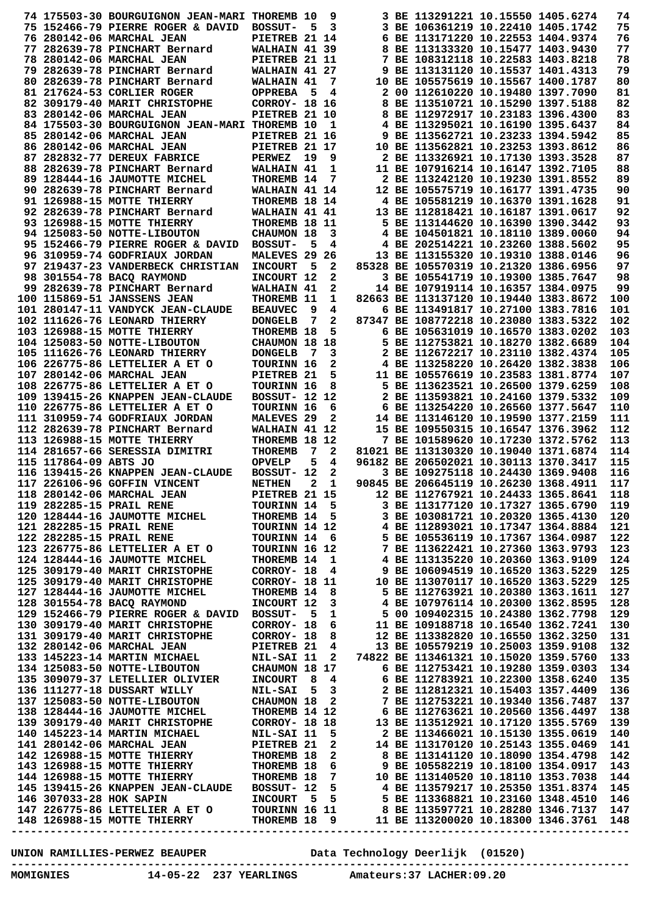|                       | 74 175503-30 BOURGUIGNON JEAN-MARI THOREMB 10                                                                                                                                                                                                |                       |              | 9                       |                                                                                                             | 3 BE 113291221 10.15550 1405.6274     |                                   | 74  |
|-----------------------|----------------------------------------------------------------------------------------------------------------------------------------------------------------------------------------------------------------------------------------------|-----------------------|--------------|-------------------------|-------------------------------------------------------------------------------------------------------------|---------------------------------------|-----------------------------------|-----|
|                       |                                                                                                                                                                                                                                              |                       |              |                         |                                                                                                             |                                       |                                   |     |
|                       | 75 152466-79 PIERRE ROGER & DAVID                                                                                                                                                                                                            | <b>BOSSUT-</b>        | 5            | 3                       |                                                                                                             | 3 BE 106361219 10.22410 1405.1742     |                                   | 75  |
|                       | 76 280142-06 MARCHAL JEAN                                                                                                                                                                                                                    | PIETREB 21 14         |              |                         |                                                                                                             | 6 BE 113171220 10.22553 1404.9374     |                                   | 76  |
|                       | 77 282639-78 PINCHART Bernard                                                                                                                                                                                                                | WALHAIN 41 39         |              |                         |                                                                                                             | 8 BE 113133320 10.15477 1403.9430     |                                   | 77  |
|                       | 78 280142-06 MARCHAL JEAN                                                                                                                                                                                                                    | PIETREB 21 11         |              |                         |                                                                                                             | 7 BE 108312118 10.22583 1403.8218     |                                   | 78  |
|                       | 79 282639-78 PINCHART Bernard                                                                                                                                                                                                                | WALHAIN 41 27         |              |                         |                                                                                                             | 9 BE 113131120 10.15537 1401.4313     |                                   | 79  |
|                       | 80 282639-78 PINCHART Bernard                                                                                                                                                                                                                | WALHAIN 41            |              | 7                       |                                                                                                             | 10 BE 105575619 10.15567 1400.1787    |                                   | 80  |
|                       |                                                                                                                                                                                                                                              |                       |              |                         |                                                                                                             |                                       |                                   |     |
|                       | 81 217624-53 CORLIER ROGER                                                                                                                                                                                                                   | <b>OPPREBA</b>        | - 5          | 4                       |                                                                                                             | 2 00 112610220 10.19480 1397.7090     |                                   | 81  |
|                       | 82 309179-40 MARIT CHRISTOPHE                                                                                                                                                                                                                | <b>CORROY- 18 16</b>  |              |                         |                                                                                                             | 8 BE 113510721 10.15290 1397.5188     |                                   | 82  |
|                       | 83 280142-06 MARCHAL JEAN                                                                                                                                                                                                                    | PIETREB 21 10         |              |                         |                                                                                                             | 8 BE 112972917 10.23183 1396.4300     |                                   | 83  |
|                       | 84 175503-30 BOURGUIGNON JEAN-MARI THOREMB 10                                                                                                                                                                                                |                       |              | 1                       |                                                                                                             | 4 BE 113295021 10.16190 1395.6437     |                                   | 84  |
|                       | 85 280142-06 MARCHAL JEAN                                                                                                                                                                                                                    | PIETREB 21 16         |              |                         |                                                                                                             | 9 BE 113562721 10.23233 1394.5942     |                                   | 85  |
|                       |                                                                                                                                                                                                                                              |                       |              |                         |                                                                                                             |                                       |                                   |     |
|                       | 86 280142-06 MARCHAL JEAN                                                                                                                                                                                                                    | PIETREB 21 17         |              |                         |                                                                                                             | 10 BE 113562821 10.23253 1393.8612    |                                   | 86  |
|                       | 87 282832-77 DEREUX FABRICE                                                                                                                                                                                                                  | <b>PERWEZ</b>         | 19           | 9                       |                                                                                                             | 2 BE 113326921 10.17130 1393.3528     |                                   | 87  |
|                       | 88 282639-78 PINCHART Bernard                                                                                                                                                                                                                | WALHAIN 41            |              | 1                       |                                                                                                             | 11 BE 107916214 10.16147 1392.7105    |                                   | 88  |
|                       | 89 128444-16 JAUMOTTE MICHEL                                                                                                                                                                                                                 | THOREMB 14            |              | 7                       |                                                                                                             | 2 BE 113242120 10.19230 1391.8552     |                                   | 89  |
|                       | 90 282639-78 PINCHART Bernard                                                                                                                                                                                                                | WALHAIN 41 14         |              |                         |                                                                                                             | 12 BE 105575719 10.16177 1391.4735    |                                   | 90  |
|                       |                                                                                                                                                                                                                                              |                       |              |                         |                                                                                                             |                                       |                                   |     |
|                       | 91 126988-15 MOTTE THIERRY                                                                                                                                                                                                                   | THOREMB 18 14         |              |                         |                                                                                                             | 4 BE 105581219 10.16370 1391.1628     |                                   | 91  |
|                       | 92 282639-78 PINCHART Bernard                                                                                                                                                                                                                | WALHAIN 41 41         |              |                         |                                                                                                             | 13 BE 112818421 10.16187 1391.0617    |                                   | 92  |
|                       | 93 126988-15 MOTTE THIERRY                                                                                                                                                                                                                   | <b>THOREMB 18 11</b>  |              |                         |                                                                                                             | 5 BE 113144620 10.16390 1390.3442     |                                   | 93  |
|                       | 94 125083-50 NOTTE-LIBOUTON                                                                                                                                                                                                                  | CHAUMON 18            |              | 3                       |                                                                                                             | 4 BE 104501821 10.18110 1389.0060     |                                   | 94  |
|                       | 95 152466-79 PIERRE ROGER & DAVID                                                                                                                                                                                                            | <b>BOSSUT-</b>        | 5            | 4                       |                                                                                                             | 4 BE 202514221 10.23260 1388.5602     |                                   | 95  |
|                       |                                                                                                                                                                                                                                              |                       |              |                         |                                                                                                             | 13 BE 113155320 10.19310 1388.0146    |                                   |     |
|                       | 96 310959-74 GODFRIAUX JORDAN                                                                                                                                                                                                                | MALEVES 29 26         |              |                         |                                                                                                             |                                       |                                   | 96  |
|                       | 97 219437-23 VANDERBECK CHRISTIAN                                                                                                                                                                                                            | <b>INCOURT</b>        | 5            | 2                       |                                                                                                             | 85328 BE 105570319 10.21320 1386.6956 |                                   | 97  |
|                       | 98 301554-78 BACO RAYMOND                                                                                                                                                                                                                    | INCOURT 12            |              | 2                       |                                                                                                             | 3 BE 105541719 10.19300 1385.7647     |                                   | 98  |
|                       | 99 282639-78 PINCHART Bernard                                                                                                                                                                                                                | WALHAIN 41            |              | 2                       |                                                                                                             | 14 BE 107919114 10.16357 1384.0975    |                                   | 99  |
|                       | 100 115869-51 JANSSENS JEAN                                                                                                                                                                                                                  | THOREMB 11            |              | 1                       |                                                                                                             | 82663 BE 113137120 10.19440 1383.8672 |                                   | 100 |
|                       | 101 280147-11 VANDYCK JEAN-CLAUDE                                                                                                                                                                                                            |                       | 9            | 4                       |                                                                                                             | 6 BE 113491817 10.27100 1383.7816     |                                   | 101 |
|                       |                                                                                                                                                                                                                                              | <b>BEAUVEC</b>        |              |                         |                                                                                                             |                                       |                                   |     |
|                       | 102 111626-76 LEONARD THIERRY                                                                                                                                                                                                                | <b>DONGELB</b>        | 7            | 2                       |                                                                                                             | 87347 BE 108772218 10.23080 1383.5322 |                                   | 102 |
|                       | 103 126988-15 MOTTE THIERRY                                                                                                                                                                                                                  | THOREMB 18            |              | 5                       |                                                                                                             | 6 BE 105631019 10.16570 1383.0202     |                                   | 103 |
|                       | 104 125083-50 NOTTE-LIBOUTON                                                                                                                                                                                                                 | CHAUMON 18 18         |              |                         |                                                                                                             | 5 BE 112753821 10.18270 1382.6689     |                                   | 104 |
|                       | 105 111626-76 LEONARD THIERRY                                                                                                                                                                                                                | <b>DONGELB</b>        | - 7          | 3                       |                                                                                                             | 2 BE 112672217 10.23110 1382.4374     |                                   | 105 |
|                       | 106 226775-86 LETTELIER A ET O                                                                                                                                                                                                               | <b>TOURINN 16</b>     |              | 2                       |                                                                                                             | 4 BE 113258220 10.26420 1382.3838     |                                   | 106 |
|                       |                                                                                                                                                                                                                                              |                       |              |                         |                                                                                                             |                                       |                                   |     |
|                       | 107 280142-06 MARCHAL JEAN                                                                                                                                                                                                                   | PIETREB 21            |              | 5                       |                                                                                                             | 11 BE 105576619 10.23583 1381.8774    |                                   | 107 |
|                       | 108 226775-86 LETTELIER A ET O                                                                                                                                                                                                               | <b>TOURINN 16</b>     |              | 8                       |                                                                                                             | 5 BE 113623521 10.26500 1379.6259     |                                   | 108 |
|                       | 109 139415-26 KNAPPEN JEAN-CLAUDE                                                                                                                                                                                                            | <b>BOSSUT- 12 12</b>  |              |                         |                                                                                                             | 2 BE 113593821 10.24160 1379.5332     |                                   | 109 |
|                       | 110 226775-86 LETTELIER A ET O                                                                                                                                                                                                               | <b>TOURINN 16</b>     |              | 6                       |                                                                                                             | 6 BE 113254220 10.26560 1377.5647     |                                   | 110 |
|                       | 111 310959-74 GODFRIAUX JORDAN                                                                                                                                                                                                               | MALEVES <sub>29</sub> |              | 2                       |                                                                                                             | 14 BE 113146120 10.19590 1377.2159    |                                   | 111 |
|                       |                                                                                                                                                                                                                                              |                       |              |                         |                                                                                                             |                                       |                                   |     |
|                       | 112 282639-78 PINCHART Bernard                                                                                                                                                                                                               | WALHAIN 41 12         |              |                         |                                                                                                             | 15 BE 109550315 10.16547 1376.3962    |                                   | 112 |
|                       | 113 126988-15 MOTTE THIERRY                                                                                                                                                                                                                  | THOREMB 18 12         |              |                         |                                                                                                             | 7 BE 101589620 10.17230 1372.5762     |                                   | 113 |
|                       | 114 281657-66 SERESSIA DIMITRI                                                                                                                                                                                                               | <b>THOREMB</b>        | 7            | 2                       |                                                                                                             | 81021 BE 113130320 10.19040 1371.6874 |                                   | 114 |
| 115 117864-09 ABTS JO |                                                                                                                                                                                                                                              | <b>OPVELP</b>         | 5            | 4                       |                                                                                                             | 96182 BE 206502021 10.30113 1370.3417 |                                   | 115 |
|                       | 116 139415-26 KNAPPEN JEAN-CLAUDE                                                                                                                                                                                                            | BOSSUT- 12            |              | 2                       |                                                                                                             | 3 BE 109275118 10.24430 1369.9408     |                                   | 116 |
|                       | 117 226106-96 GOFFIN VINCENT                                                                                                                                                                                                                 | <b>NETHEN</b>         | $\mathbf{2}$ | $\mathbf 1$             |                                                                                                             | 90845 BE 206645119 10.26230 1368.4911 |                                   | 117 |
|                       |                                                                                                                                                                                                                                              |                       |              |                         |                                                                                                             |                                       |                                   |     |
|                       | 118 280142-06 MARCHAL JEAN                                                                                                                                                                                                                   | PIETREB 21 15         |              |                         |                                                                                                             | 12 BE 112767921 10.24433 1365.8641    |                                   | 118 |
|                       | 119 282285-15 PRAIL RENE TOURINN 14 5<br>120 128444-16 JAUMOTTE MICHEL THOREMB 14 5<br>121 282285-15 PRAIL RENE TOURINN 14 12                                                                                                                |                       |              |                         |                                                                                                             | 3 BE 113177120 10.17327 1365.6790     |                                   | 119 |
|                       |                                                                                                                                                                                                                                              |                       |              |                         |                                                                                                             |                                       |                                   |     |
|                       |                                                                                                                                                                                                                                              |                       |              |                         |                                                                                                             |                                       | 3 BE 103081721 10.20320 1365.4130 | 120 |
|                       |                                                                                                                                                                                                                                              |                       |              |                         |                                                                                                             |                                       |                                   |     |
|                       |                                                                                                                                                                                                                                              |                       |              |                         | 4 BE 112893021 10.17347 1364.8884                                                                           |                                       |                                   | 121 |
|                       | 122 282285-15 PRAIL RENE                                                                                                                                                                                                                     |                       |              |                         |                                                                                                             |                                       |                                   | 122 |
|                       | TOURINN 14 6<br>ET O TOURINN 16 12<br>123 226775-86 LETTELIER A ET O                                                                                                                                                                         |                       |              |                         |                                                                                                             |                                       |                                   | 123 |
|                       | 124 128444-16 JAUMOTTE MICHEL                                                                                                                                                                                                                | THOREMB 14 1          |              |                         |                                                                                                             |                                       |                                   | 124 |
|                       | 125 309179-40 MARIT CHRISTOPHE                                                                                                                                                                                                               | $CORROY - 18 4$       |              |                         | 5 BE 105536119 10.17367 1364.0987<br>7 BE 113622421 10.27360 1363.9793<br>4 BE 113135220 10.20360 1363.9109 |                                       |                                   | 125 |
|                       | 125 309179-40 MARIT CHRISTOPHE                                                                                                                                                                                                               | CORROY- 18 11         |              |                         |                                                                                                             |                                       |                                   | 125 |
|                       | 127 128444-16 JAUMOTTE MICHEL                                                                                                                                                                                                                |                       |              |                         | 9 BE 106094519 10.16520 1363.5229<br>10 BE 113070117 10.16520 1363.5229                                     |                                       |                                   |     |
|                       |                                                                                                                                                                                                                                              | THOREMB 14 8          |              |                         |                                                                                                             | 5 BE 112763921 10.20380 1363.1611     |                                   | 127 |
|                       | 128 301554-78 BACO RAYMOND                                                                                                                                                                                                                   | INCOURT 12            |              | 3                       |                                                                                                             | 4 BE 107976114 10.20300 1362.8595     |                                   | 128 |
|                       | 129 152466-79 PIERRE ROGER & DAVID BOSSUT- 5                                                                                                                                                                                                 |                       |              |                         |                                                                                                             |                                       |                                   | 129 |
|                       | 130 309179-40 MARIT CHRISTOPHE                                                                                                                                                                                                               |                       |              |                         | BOSSUT- 5 1 5 00 109402315 10.24380 1362.7798<br>CORROY- 18 6 11 BE 109188718 10.16540 1362.7241            |                                       |                                   | 130 |
|                       |                                                                                                                                                                                                                                              |                       |              |                         |                                                                                                             | 12 BE 113382820 10.16550 1362.3250    |                                   | 131 |
|                       |                                                                                                                                                                                                                                              |                       |              |                         |                                                                                                             |                                       |                                   |     |
|                       |                                                                                                                                                                                                                                              |                       |              |                         |                                                                                                             |                                       |                                   | 132 |
|                       | 131 309179-40 MARIT CHRISTOPHE CORROY- 18 8<br>132 280142-06 MARCHAL JEAN PIETREB 21 4<br>133 145223-14 MARTIN MICHAEL NIL-SAI 11 2<br>134 135223-16 MARTIN MICHAEL NIL-SAI 11 2                                                             |                       |              |                         |                                                                                                             |                                       |                                   | 133 |
|                       |                                                                                                                                                                                                                                              |                       |              |                         |                                                                                                             |                                       |                                   | 134 |
|                       |                                                                                                                                                                                                                                              |                       |              |                         |                                                                                                             |                                       |                                   | 135 |
|                       |                                                                                                                                                                                                                                              |                       |              |                         |                                                                                                             |                                       |                                   | 136 |
|                       |                                                                                                                                                                                                                                              |                       |              |                         |                                                                                                             |                                       |                                   | 137 |
|                       |                                                                                                                                                                                                                                              |                       |              |                         |                                                                                                             |                                       |                                   |     |
|                       |                                                                                                                                                                                                                                              |                       |              |                         |                                                                                                             |                                       |                                   | 138 |
|                       |                                                                                                                                                                                                                                              |                       |              |                         |                                                                                                             |                                       |                                   | 139 |
|                       |                                                                                                                                                                                                                                              |                       |              |                         |                                                                                                             |                                       |                                   | 140 |
|                       |                                                                                                                                                                                                                                              |                       |              |                         |                                                                                                             |                                       |                                   | 141 |
|                       | 131 309179-40 MARCHAL JEAN<br>132 280142-06 MARCHAL JEAN<br>132 145223-14 MARTIN ICHAEL<br>133 145223-14 MARTIN ICHAEL<br>134 125083-50 NOTTE-LIER OLIVIER<br>135 309079-37 LETELLIER OLIVIER<br>136 111277-18 DUSSART WILLY<br>137 125083-5 |                       |              | $\overline{\mathbf{2}}$ |                                                                                                             | 8 BE 113141120 10.18090 1354.4798     |                                   | 142 |
|                       | 138 128444-16 JAUMOTTE MICHEL THOREMB 14 12<br>139 309179-40 MARIT CHRISTOPHE CORROY- 18 18<br>140 145223-14 MARTIN MICHAEL NIL-SAI 11 5<br>141 280142-06 MARCHAL JEAN PIETREB 21 2<br>142 126988-15 MOTTE THIERRY THOREMB 18 2              |                       |              |                         |                                                                                                             |                                       |                                   | 143 |
|                       |                                                                                                                                                                                                                                              |                       |              |                         |                                                                                                             |                                       |                                   |     |
|                       |                                                                                                                                                                                                                                              |                       |              | $7\degree$              | 6 9 BE 105582219 10.18100 1354.0917<br>7 10 BE 113140520 10.18110 1353.7038                                 |                                       |                                   | 144 |
|                       | 143 126988-15 MOTTE THIERRY THOREME 18<br>144 126988-15 MOTTE THIERRY THOREME 18<br>145 139415-26 KNAPPEN JEAN-CLAUDE BOSSUT- 12                                                                                                             |                       |              | 5 <sup>5</sup>          |                                                                                                             | 4 BE 113579217 10.25350 1351.8374     |                                   | 145 |
|                       |                                                                                                                                                                                                                                              |                       |              |                         |                                                                                                             |                                       |                                   | 146 |
|                       |                                                                                                                                                                                                                                              |                       |              |                         |                                                                                                             |                                       |                                   | 147 |
|                       | 146 307033-28 HOK SAPIN<br>147 226775-86 LETTELIER A ET O TOURINN 16 11 8 BE 113368821 10.23160 1348.4510<br>148 126988-15 MOTTE THIERRY THOREMB 18 9 11 BE 113200020 10.18300 1346.3761                                                     |                       |              |                         |                                                                                                             |                                       |                                   | 148 |

**UNION RAMILLIES-PERWEZ BEAUPER Data Technology Deerlijk (01520)**

**----------------------------------------------------------------------------------------------- MOMIGNIES 14-05-22 237 YEARLINGS Amateurs:37 LACHER:09.20**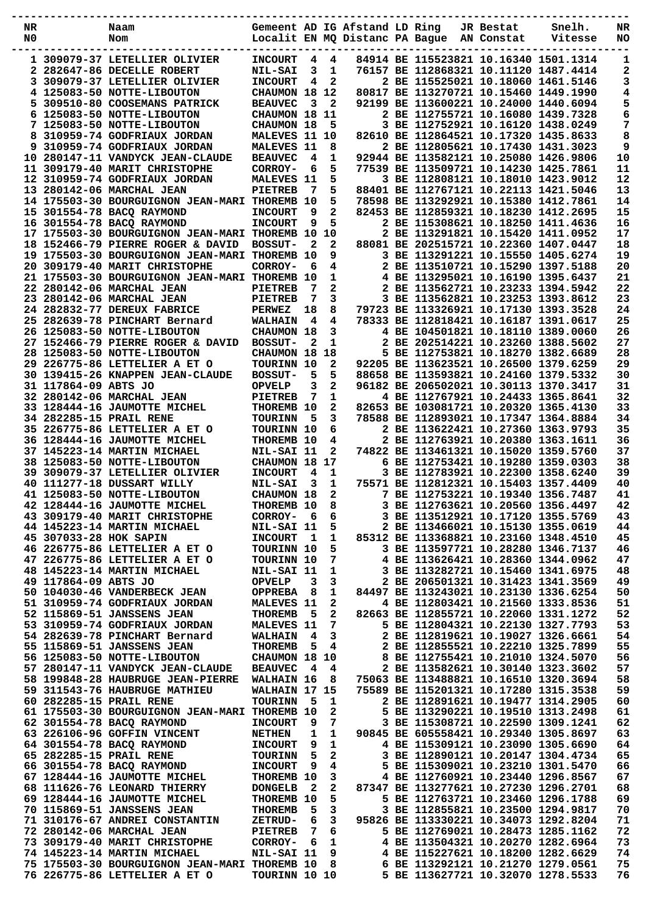| NR |                        | Naam                                                          |                              |     |              | Gemeent AD IG Afstand LD Ring  |  | JR Bestat  | Snelh.                                                                     | NR       |
|----|------------------------|---------------------------------------------------------------|------------------------------|-----|--------------|--------------------------------|--|------------|----------------------------------------------------------------------------|----------|
| N0 |                        | Nom                                                           |                              |     |              | Localit EN MQ Distanc PA Bague |  | AN Constat | Vitesse                                                                    | NO       |
|    |                        | 1 309079-37 LETELLIER OLIVIER                                 | <b>INCOURT</b>               | 4   | 4            |                                |  |            | 84914 BE 115523821 10.16340 1501.1314                                      | 1        |
|    |                        | 2 282647-86 DECELLE ROBERT                                    | <b>NIL-SAI</b>               | 3   | 1            |                                |  |            | 76157 BE 112868321 10.11120 1487.4414                                      | 2        |
| 3  |                        | 309079-37 LETELLIER OLIVIER                                   | <b>INCOURT</b>               | 4   | 2            |                                |  |            | 2 BE 115525021 10.18060 1461.5146                                          | 3        |
|    |                        | 4 125083-50 NOTTE-LIBOUTON                                    | CHAUMON 18 12                |     |              |                                |  |            | 80817 BE 113270721 10.15460 1449.1990                                      | 4        |
|    |                        | 5 309510-80 COOSEMANS PATRICK                                 | <b>BEAUVEC</b>               | 3   | 2            |                                |  |            | 92199 BE 113600221 10.24000 1440.6094                                      | 5        |
| 6. |                        | 125083-50 NOTTE-LIBOUTON                                      | CHAUMON 18 11                |     |              |                                |  |            | 2 BE 112755721 10.16080 1439.7328                                          | 6        |
|    |                        | 7 125083-50 NOTTE-LIBOUTON                                    | <b>CHAUMON 18</b>            |     | 5            |                                |  |            | 3 BE 112752921 10.16120 1438.0249                                          | 7        |
| 8  |                        | 310959-74 GODFRIAUX JORDAN                                    | <b>MALEVES</b>               |     | 11 10        |                                |  |            | 82610 BE 112864521 10.17320 1435.8633                                      | 8        |
|    |                        | 9 310959-74 GODFRIAUX JORDAN                                  | <b>MALEVES</b>               | -11 | 8            |                                |  |            | 2 BE 112805621 10.17430 1431.3023                                          | 9        |
|    |                        | 10 280147-11 VANDYCK JEAN-CLAUDE                              | <b>BEAUVEC</b>               | 4   | 1            |                                |  |            | 92944 BE 113582121 10.25080 1426.9806                                      | 10       |
|    |                        | 11 309179-40 MARIT CHRISTOPHE                                 | CORROY-                      | 6   | 5            |                                |  |            | 77539 BE 113509721 10.14230 1425.7861                                      | 11       |
|    |                        | 12 310959-74 GODFRIAUX JORDAN                                 | <b>MALEVES</b>               | -11 | 5            |                                |  |            | 3 BE 112808121 10.18010 1423.9012                                          | 12       |
|    |                        | 13 280142-06 MARCHAL JEAN                                     | <b>PIETREB</b>               | 7   | 5            |                                |  |            | 88401 BE 112767121 10.22113 1421.5046                                      | 13       |
|    |                        | 14 175503-30 BOURGUIGNON JEAN-MARI THOREMB                    |                              | 10  | 5            |                                |  |            | 78598 BE 113292921 10.15380 1412.7861                                      | 14       |
|    |                        | 15 301554-78 BACQ RAYMOND                                     | <b>INCOURT</b>               | 9   | 2            |                                |  |            | 82453 BE 112859321 10.18230 1412.2695                                      | 15       |
|    |                        | 16 301554-78 BACO RAYMOND                                     | <b>INCOURT</b>               | 9   | 5            |                                |  |            | 2 BE 115308621 10.18250 1411.4636                                          | 16       |
|    |                        | 17 175503-30 BOURGUIGNON JEAN-MARI THOREMB 10                 |                              |     | 10           |                                |  |            | 2 BE 113291821 10.15420 1411.0952                                          | 17       |
|    |                        | 18 152466-79 PIERRE ROGER & DAVID                             | <b>BOSSUT-</b>               | 2   | $\mathbf{2}$ |                                |  |            | 88081 BE 202515721 10.22360 1407.0447                                      | 18       |
|    |                        | 19 175503-30 BOURGUIGNON JEAN-MARI THOREMB                    |                              | 10  | 9            |                                |  |            | 3 BE 113291221 10.15550 1405.6274                                          | 19       |
|    |                        | 20 309179-40 MARIT CHRISTOPHE                                 | CORROY-                      | 6   | 4            |                                |  |            | 2 BE 113510721 10.15290 1397.5188                                          | 20       |
|    |                        | 21 175503-30 BOURGUIGNON JEAN-MARI                            | <b>THOREMB</b>               | 10  | 1            |                                |  |            | 4 BE 113295021 10.16190 1395.6437                                          | 21       |
|    |                        | 22 280142-06 MARCHAL JEAN                                     | <b>PIETREB</b>               | 7   | 2            |                                |  |            | 2 BE 113562721 10.23233 1394.5942                                          | 22       |
|    |                        | 23 280142-06 MARCHAL JEAN                                     | <b>PIETREB</b>               | 7   | 3            |                                |  |            | 3 BE 113562821 10.23253 1393.8612                                          | 23       |
|    |                        | 24 282832-77 DEREUX FABRICE                                   | <b>PERWEZ</b>                | 18  | 8            |                                |  |            | 79723 BE 113326921 10.17130 1393.3528                                      | 24       |
|    |                        | 25 282639-78 PINCHART Bernard                                 | <b>WALHAIN</b>               | 4   | 4            |                                |  |            | 78333 BE 112818421 10.16187 1391.0617                                      | 25       |
|    |                        | 26 125083-50 NOTTE-LIBOUTON                                   | <b>CHAUMON 18</b>            |     | 3            |                                |  |            | 4 BE 104501821 10.18110 1389.0060                                          | 26       |
|    |                        | 27 152466-79 PIERRE ROGER & DAVID                             | <b>BOSSUT-</b>               | 2   | 1            |                                |  |            | 2 BE 202514221 10.23260 1388.5602                                          | 27       |
|    |                        | 28 125083-50 NOTTE-LIBOUTON                                   | CHAUMON 18                   |     | 18           |                                |  |            | 5 BE 112753821 10.18270 1382.6689                                          | 28       |
|    |                        | 29 226775-86 LETTELIER A ET O                                 | TOURINN 10                   |     | 2            |                                |  |            | 92205 BE 113623521 10.26500 1379.6259                                      | 29       |
|    |                        | 30 139415-26 KNAPPEN JEAN-CLAUDE                              | <b>BOSSUT-</b>               | 5   | 5            |                                |  |            | 88658 BE 113593821 10.24160 1379.5332                                      | 30       |
|    | 31 117864-09 ABTS JO   |                                                               | <b>OPVELP</b>                | 3   | 2            |                                |  |            | 96182 BE 206502021 10.30113 1370.3417                                      | 31       |
|    |                        | 32 280142-06 MARCHAL JEAN                                     | <b>PIETREB</b>               | 7   | 1            |                                |  |            | 4 BE 112767921 10.24433 1365.8641                                          | 32       |
|    |                        | 33 128444-16 JAUMOTTE MICHEL                                  | <b>THOREMB</b>               | 10  | 2            |                                |  |            | 82653 BE 103081721 10.20320 1365.4130                                      | 33       |
|    |                        | 34 282285-15 PRAIL RENE                                       | <b>TOURINN</b>               | 5   | 3            |                                |  |            | 78588 BE 112893021 10.17347 1364.8884                                      | 34       |
|    |                        | 35 226775-86 LETTELIER A ET O                                 | TOURINN 10                   |     | 6            |                                |  |            | 2 BE 113622421 10.27360 1363.9793                                          | 35       |
|    |                        | 36 128444-16 JAUMOTTE MICHEL                                  | <b>THOREMB</b>               | 10  | 4            |                                |  |            | 2 BE 112763921 10.20380 1363.1611                                          | 36       |
|    |                        | 37 145223-14 MARTIN MICHAEL                                   | NIL-SAI 11                   |     | 2            |                                |  |            | 74822 BE 113461321 10.15020 1359.5760                                      | 37       |
|    |                        | 38 125083-50 NOTTE-LIBOUTON                                   | CHAUMON 18                   |     | 17           |                                |  |            | 6 BE 112753421 10.19280 1359.0303                                          | 38       |
|    |                        | 39 309079-37 LETELLIER OLIVIER                                | <b>INCOURT</b>               | 4   | 1            |                                |  |            | 3 BE 112783921 10.22300 1358.6240                                          | 39       |
|    |                        | 40 111277-18 DUSSART WILLY                                    |                              | 3   | 1            |                                |  |            | 75571 BE 112812321 10.15403 1357.4409                                      | 40       |
|    |                        |                                                               | <b>NIL-SAI</b>               |     | 2            |                                |  |            |                                                                            |          |
|    |                        | 41 125083-50 NOTTE-LIBOUTON                                   | CHAUMON 18                   |     |              |                                |  |            | 7 BE 112753221 10.19340 1356.7487<br>3 BE 112763621 10.20560 1356.4497     | 41<br>42 |
|    |                        | 42 128444-16 JAUMOTTE MICHEL<br>43 309179-40 MARIT CHRISTOPHE | <b>THOREMB 10</b>            |     | 8            |                                |  |            | 3 BE 113512921 10.17120 1355.5769                                          | 43       |
|    |                        | 44 145223-14 MARTIN MICHAEL                                   | CORROY-                      | 6   | 6            |                                |  |            | 2 BE 113466021 10.15130 1355.0619                                          | 44       |
|    | 45 307033-28 HOK SAPIN |                                                               | NIL-SAI 11<br><b>INCOURT</b> | 1   | 5<br>1       |                                |  |            | 85312 BE 113368821 10.23160 1348.4510                                      | 45       |
|    |                        | 46 226775-86 LETTELIER A ET O                                 |                              |     |              |                                |  |            | 3 BE 113597721 10.28280 1346.7137                                          | 46       |
|    |                        | 47 226775-86 LETTELIER A ET O                                 | TOURINN 10                   |     | 5            |                                |  |            |                                                                            |          |
|    |                        |                                                               | TOURINN 10                   |     | 7            |                                |  |            | 4 BE 113626421 10.28360 1344.0962                                          | 47       |
|    |                        | 48 145223-14 MARTIN MICHAEL                                   | NIL-SAI 11                   |     | 1            |                                |  |            | 3 BE 113282721 10.15460 1341.6975                                          | 48       |
|    | 49 117864-09 ABTS JO   |                                                               | <b>OPVELP</b>                | 3   | 3            |                                |  |            | 2 BE 206501321 10.31423 1341.3569                                          | 49       |
|    |                        | 50 104030-46 VANDERBECK JEAN                                  | <b>OPPREBA</b>               | 8   | 1            |                                |  |            | 84497 BE 113243021 10.23130 1336.6254                                      | 50       |
|    |                        | 51 310959-74 GODFRIAUX JORDAN<br>52 115869-51 JANSSENS JEAN   | <b>MALEVES 11</b>            |     | 2            |                                |  |            | 4 BE 112803421 10.21560 1333.8536                                          | 51       |
|    |                        |                                                               | <b>THOREMB</b>               | -5  | 2            |                                |  |            | 82663 BE 112855721 10.22060 1331.1272<br>5 BE 112804321 10.22130 1327.7793 | 52       |
|    |                        | 53 310959-74 GODFRIAUX JORDAN                                 | <b>MALEVES 11</b>            |     | 7            |                                |  |            |                                                                            | 53       |
|    |                        | 54 282639-78 PINCHART Bernard                                 | <b>WALHAIN</b>               | 4   | 3            |                                |  |            | 2 BE 112819621 10.19027 1326.6661                                          | 54       |
|    |                        | 55 115869-51 JANSSENS JEAN                                    | <b>THOREMB</b>               | 5   | 4            |                                |  |            | 2 BE 112855521 10.22210 1325.7899                                          | 55       |
|    |                        | 56 125083-50 NOTTE-LIBOUTON                                   | CHAUMON 18 10                |     |              |                                |  |            | 8 BE 112755421 10.21010 1324.5070                                          | 56       |
|    |                        | 57 280147-11 VANDYCK JEAN-CLAUDE                              | <b>BEAUVEC</b>               | -4  | 4            |                                |  |            | 2 BE 113582621 10.30140 1323.3602                                          | 57       |
|    |                        | 58 199848-28 HAUBRUGE JEAN-PIERRE                             | WALHAIN 16                   |     | 8            |                                |  |            | 75063 BE 113488821 10.16510 1320.3694                                      | 58       |
|    |                        | 59 311543-76 HAUBRUGE MATHIEU                                 | WALHAIN 17 15                |     |              |                                |  |            | 75589 BE 115201321 10.17280 1315.3538                                      | 59       |
|    |                        | 60 282285-15 PRAIL RENE                                       | <b>TOURINN</b>               | - 5 | 1            |                                |  |            | 2 BE 112891621 10.19477 1314.2905                                          | 60       |
|    |                        | 61 175503-30 BOURGUIGNON JEAN-MARI THOREMB 10                 |                              |     | 2            |                                |  |            | 5 BE 113290221 10.19510 1313.2498                                          | 61       |
|    |                        | 62 301554-78 BACQ RAYMOND                                     | <b>INCOURT</b>               | 9   | 7            |                                |  |            | 3 BE 115308721 10.22590 1309.1241                                          | 62       |
|    |                        | 63 226106-96 GOFFIN VINCENT                                   | <b>NETHEN</b>                | 1   | 1            |                                |  |            | 90845 BE 605558421 10.29340 1305.8697                                      | 63       |
|    |                        | 64 301554-78 BACQ RAYMOND                                     | <b>INCOURT</b>               | 9   | 1            |                                |  |            | 4 BE 115309121 10.23090 1305.6690                                          | 64       |
|    |                        | 65 282285-15 PRAIL RENE                                       | <b>TOURINN</b>               | 5   | 2            |                                |  |            | 3 BE 112890121 10.20147 1304.4734                                          | 65       |
|    |                        | 66 301554-78 BACQ RAYMOND                                     | <b>INCOURT</b>               | 9   | 4            |                                |  |            | 5 BE 115309021 10.23210 1301.5470                                          | 66       |
|    |                        | 67 128444-16 JAUMOTTE MICHEL                                  | THOREMB 10                   |     | 3            |                                |  |            | 4 BE 112760921 10.23440 1296.8567                                          | 67       |
|    |                        | 68 111626-76 LEONARD THIERRY                                  | <b>DONGELB</b>               | 2   | 2            |                                |  |            | 87347 BE 113277621 10.27230 1296.2701                                      | 68       |
|    |                        | 69 128444-16 JAUMOTTE MICHEL                                  | THOREMB 10                   |     | 5            |                                |  |            | 5 BE 112763721 10.23460 1296.1788                                          | 69       |
|    |                        | 70 115869-51 JANSSENS JEAN                                    | <b>THOREMB</b>               | 5   | 3            |                                |  |            | 3 BE 112855821 10.23500 1294.9817                                          | 70       |
|    |                        | 71 310176-67 ANDREI CONSTANTIN                                | ZETRUD-                      | 6   | 3            |                                |  |            | 95826 BE 113330221 10.34073 1292.8204                                      | 71       |
|    |                        | 72 280142-06 MARCHAL JEAN                                     | <b>PIETREB</b>               | 7   | 6            |                                |  |            | 5 BE 112769021 10.28473 1285.1162                                          | 72       |
|    |                        | 73 309179-40 MARIT CHRISTOPHE                                 | CORROY-                      | 6   | 1            |                                |  |            | 4 BE 113504321 10.20270 1282.6964                                          | 73       |
|    |                        | 74 145223-14 MARTIN MICHAEL                                   | NIL-SAI 11                   |     | 9            |                                |  |            | 4 BE 115227621 10.18200 1282.6629                                          | 74       |
|    |                        | 75 175503-30 BOURGUIGNON JEAN-MARI THOREMB 10                 |                              |     | 8            |                                |  |            | 6 BE 113292121 10.21270 1279.0561                                          | 75       |
|    |                        | 76 226775-86 LETTELIER A ET O                                 | TOURINN 10 10                |     |              |                                |  |            | 5 BE 113627721 10.32070 1278.5533                                          | 76       |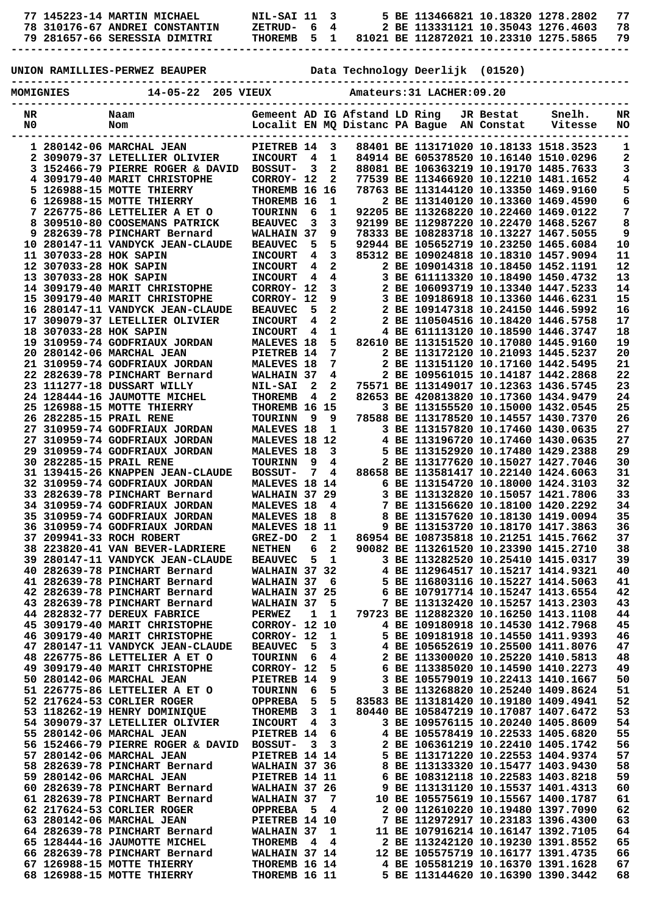| 77 145223-14 MARTIN MICHAEL |                                | NIL-SAI 11 3   |  |  |  | 5 BE 113466821 10.18320 1278.2802     |  |
|-----------------------------|--------------------------------|----------------|--|--|--|---------------------------------------|--|
|                             | 78 310176-67 ANDREI CONSTANTIN | $Z$ F.TRIID-64 |  |  |  | 2 BE 113331121 10.35043 1276.4603     |  |
|                             | 79 281657-66 SERESSIA DIMITRI  | THOREMB 5 1    |  |  |  | 81021 BE 112872021 10.23310 1275.5865 |  |
|                             |                                |                |  |  |  |                                       |  |

**-----------------------------------------------------------------------------------------------**

**UNION RAMILLIES-PERWEZ BEAUPER Data Technology Deerlijk (01520)**

| <b>MOMIGNIES</b> |                        | $14 - 05 - 22$<br>205 VIEUX                                    |                                    |                         |                                         |                               | Amateurs: 31 LACHER: 09.20                |           |                                                                            |            |
|------------------|------------------------|----------------------------------------------------------------|------------------------------------|-------------------------|-----------------------------------------|-------------------------------|-------------------------------------------|-----------|----------------------------------------------------------------------------|------------|
| NR<br>N0         |                        | Naam<br>Nom                                                    |                                    |                         |                                         | Gemeent AD IG Afstand LD Ring | Localit EN MQ Distanc PA Bague AN Constat | JR Bestat | Snelh.<br>Vitesse                                                          | NR<br>NO   |
|                  |                        | 1 280142-06 MARCHAL JEAN                                       | PIETREB 14                         |                         | $\overline{\mathbf{3}}$                 |                               |                                           |           | 88401 BE 113171020 10.18133 1518.3523                                      | 1          |
|                  |                        | 2 309079-37 LETELLIER OLIVIER                                  | <b>INCOURT</b>                     | 4                       | 1                                       |                               |                                           |           | 84914 BE 605378520 10.16140 1510.0296                                      | 2          |
|                  |                        | 3 152466-79 PIERRE ROGER & DAVID                               | <b>BOSSUT-</b>                     | 3                       | $\mathbf{2}$                            |                               |                                           |           | 88081 BE 106363219 10.19170 1485.7633                                      | 3          |
|                  |                        | 4 309179-40 MARIT CHRISTOPHE                                   | CORROY- 12                         |                         | $\mathbf{2}$                            |                               |                                           |           | 77539 BE 113466920 10.12210 1481.1652                                      | 4          |
|                  |                        | 5 126988-15 MOTTE THIERRY                                      | THOREMB 16 16                      |                         |                                         |                               |                                           |           | 78763 BE 113144120 10.13350 1469.9160                                      | 5<br>6     |
|                  |                        | 6 126988-15 MOTTE THIERRY<br>7 226775-86 LETTELIER A ET O      | THOREMB 16<br><b>TOURINN</b>       | 6                       | 1<br>1                                  |                               |                                           |           | 2 BE 113140120 10.13360 1469.4590<br>92205 BE 113268220 10.22460 1469.0122 | 7          |
|                  |                        | 8 309510-80 COOSEMANS PATRICK                                  | <b>BEAUVEC</b>                     | 3                       | $\mathbf{3}$                            |                               |                                           |           | 92199 BE 112987220 10.22470 1468.5267                                      | 8          |
| 9                |                        | 282639-78 PINCHART Bernard                                     | <b>WALHAIN 37</b>                  |                         | 9                                       |                               |                                           |           | 78333 BE 108283718 10.13227 1467.5055                                      | 9          |
|                  |                        | 10 280147-11 VANDYCK JEAN-CLAUDE                               | <b>BEAUVEC</b>                     | 5                       | 5                                       |                               |                                           |           | 92944 BE 105652719 10.23250 1465.6084                                      | ${\bf 10}$ |
|                  | 11 307033-28 HOK SAPIN |                                                                | <b>INCOURT</b>                     | 4                       | $\mathbf{3}$                            |                               |                                           |           | 85312 BE 109024818 10.18310 1457.9094                                      | 11         |
|                  | 12 307033-28 HOK SAPIN |                                                                | <b>INCOURT</b>                     | 4                       | $\overline{2}$                          |                               |                                           |           | 2 BE 109014318 10.18450 1452.1191                                          | 12         |
|                  | 13 307033-28 HOK SAPIN | 14 309179-40 MARIT CHRISTOPHE                                  | <b>INCOURT</b><br>CORROY- 12       | 4                       | $\overline{\mathbf{4}}$<br>$\mathbf{3}$ |                               |                                           |           | 3 BE 611113320 10.18490 1450.4732<br>2 BE 106093719 10.13340 1447.5233     | 13<br>14   |
|                  |                        | 15 309179-40 MARIT CHRISTOPHE                                  | CORROY- 12                         |                         | 9                                       |                               |                                           |           | 3 BE 109186918 10.13360 1446.6231                                          | 15         |
|                  |                        | 16 280147-11 VANDYCK JEAN-CLAUDE                               | <b>BEAUVEC</b>                     | 5                       | $\mathbf{2}$                            |                               |                                           |           | 2 BE 109147318 10.24150 1446.5992                                          | 16         |
|                  |                        | 17 309079-37 LETELLIER OLIVIER                                 | <b>INCOURT</b>                     | $\overline{\mathbf{4}}$ | $\mathbf{2}$                            |                               |                                           |           | 2 BE 110504516 10.18420 1446.5758                                          | 17         |
|                  | 18 307033-28 HOK SAPIN |                                                                | <b>INCOURT</b>                     | 4                       | $\mathbf{1}$                            |                               |                                           |           | 4 BE 611113120 10.18590 1446.3747                                          | 18         |
|                  |                        | 19 310959-74 GODFRIAUX JORDAN                                  | <b>MALEVES 18</b>                  |                         | 5                                       |                               |                                           |           | 82610 BE 113151520 10.17080 1445.9160                                      | 19         |
|                  |                        | 20 280142-06 MARCHAL JEAN                                      | PIETREB 14                         |                         | $7\overline{ }$<br>7                    |                               |                                           |           | 2 BE 113172120 10.21093 1445.5237                                          | 20         |
|                  |                        | 21 310959-74 GODFRIAUX JORDAN<br>22 282639-78 PINCHART Bernard | <b>MALEVES 18</b><br>WALHAIN 37    |                         | 4                                       |                               |                                           |           | 2 BE 113151120 10.17160 1442.5495<br>2 BE 109561015 10.14187 1442.2868     | 21<br>22   |
|                  |                        | 23 111277-18 DUSSART WILLY                                     | <b>NIL-SAI</b>                     | $\mathbf{2}$            | $\overline{2}$                          |                               |                                           |           | 75571 BE 113149017 10.12363 1436.5745                                      | 23         |
|                  |                        | 24 128444-16 JAUMOTTE MICHEL                                   | <b>THOREMB</b>                     | 4                       | $\overline{a}$                          |                               |                                           |           | 82653 BE 420813820 10.17360 1434.9479                                      | 24         |
|                  |                        | 25 126988-15 MOTTE THIERRY                                     | THOREMB 16 15                      |                         |                                         |                               |                                           |           | 3 BE 113155520 10.15000 1432.0545                                          | 25         |
|                  |                        | 26 282285-15 PRAIL RENE                                        | <b>TOURINN</b>                     | 9                       | - 9                                     |                               |                                           |           | 78588 BE 113178520 10.14557 1430.7370                                      | 26         |
|                  |                        | 27 310959-74 GODFRIAUX JORDAN                                  | <b>MALEVES 18</b>                  |                         | 1                                       |                               |                                           |           | 3 BE 113157820 10.17460 1430.0635                                          | 27         |
|                  |                        | 27 310959-74 GODFRIAUX JORDAN<br>29 310959-74 GODFRIAUX JORDAN | MALEVES 18 12<br><b>MALEVES 18</b> |                         | 3                                       |                               |                                           |           | 4 BE 113196720 10.17460 1430.0635<br>5 BE 113152920 10.17480 1429.2388     | 27<br>29   |
|                  |                        | 30 282285-15 PRAIL RENE                                        | <b>TOURINN</b>                     | 9                       | 4                                       |                               |                                           |           | 2 BE 113177620 10.15027 1427.7046                                          | 30         |
|                  |                        | 31 139415-26 KNAPPEN JEAN-CLAUDE                               | <b>BOSSUT-</b>                     | 7                       | 4                                       |                               |                                           |           | 88658 BE 113581417 10.22140 1424.6063                                      | 31         |
|                  |                        | 32 310959-74 GODFRIAUX JORDAN                                  | MALEVES 18 14                      |                         |                                         |                               |                                           |           | 6 BE 113154720 10.18000 1424.3103                                          | 32         |
|                  |                        | 33 282639-78 PINCHART Bernard                                  | WALHAIN 37                         |                         | 29                                      |                               |                                           |           | 3 BE 113132820 10.15057 1421.7806                                          | 33         |
|                  |                        | 34 310959-74 GODFRIAUX JORDAN                                  | <b>MALEVES 18</b>                  |                         | 4                                       |                               |                                           |           | 7 BE 113156620 10.18100 1420.2292                                          | 34         |
|                  |                        | 35 310959-74 GODFRIAUX JORDAN<br>36 310959-74 GODFRIAUX JORDAN | <b>MALEVES 18</b><br>MALEVES 18 11 |                         | 8                                       |                               |                                           |           | 8 BE 113157620 10.18130 1419.0094<br>9 BE 113153720 10.18170 1417.3863     | 35<br>36   |
|                  |                        | 37 209941-33 ROCH ROBERT                                       | GREZ-DO                            | 2                       | 1                                       |                               |                                           |           | 86954 BE 108735818 10.21251 1415.7662                                      | 37         |
|                  |                        | 38 223820-41 VAN BEVER-LADRIERE                                | <b>NETHEN</b>                      | 6                       | $\overline{2}$                          |                               |                                           |           | 90082 BE 113261520 10.23390 1415.2710                                      | 38         |
|                  |                        | 39 280147-11 VANDYCK JEAN-CLAUDE                               | <b>BEAUVEC</b>                     | 5                       | 1                                       |                               |                                           |           | 3 BE 113282520 10.25410 1415.0317                                          | 39         |
|                  |                        | 40 282639-78 PINCHART Bernard                                  | WALHAIN 37 32                      |                         |                                         |                               |                                           |           | 4 BE 112964517 10.15217 1414.9321                                          | 40         |
|                  |                        | 41 282639-78 PINCHART Bernard                                  | WALHAIN 37                         |                         | 6                                       |                               |                                           |           | 5 BE 116803116 10.15227 1414.5063                                          | 41         |
|                  |                        | 42 282639-78 PINCHART Bernard<br>43 282639-78 PINCHART Bernard | WALHAIN 37 25<br>WALHAIN 37        |                         | 5                                       |                               |                                           |           | 6 BE 107917714 10.15247 1413.6554<br>7 BE 113132420 10.15257 1413.2303     | 42<br>43   |
|                  |                        | 44 282832-77 DEREUX FABRICE                                    | <b>PERWEZ</b>                      | 1                       | 1                                       |                               |                                           |           | 79723 BE 112882320 10.16250 1413.1108                                      | 44         |
|                  |                        | 45 309179-40 MARIT CHRISTOPHE                                  | CORROY- 12                         |                         | 10                                      |                               |                                           |           | 4 BE 109180918 10.14530 1412.7968                                          | 45         |
|                  |                        | 46 309179-40 MARIT CHRISTOPHE                                  | CORROY- 12                         |                         | 1                                       |                               |                                           |           | 5 BE 109181918 10.14550 1411.9393                                          | 46         |
|                  |                        | 47 280147-11 VANDYCK JEAN-CLAUDE                               | <b>BEAUVEC</b>                     | 5                       | 3                                       |                               |                                           |           | 4 BE 105652619 10.25500 1411.8076                                          | 47         |
|                  |                        | 48 226775-86 LETTELIER A ET O<br>49 309179-40 MARIT CHRISTOPHE | <b>TOURINN</b><br>CORROY- 12       | 6                       | 4<br>5                                  |                               |                                           |           | 2 BE 113300020 10.25220 1410.5813<br>6 BE 113385020 10.14590 1410.2273     | 48<br>49   |
|                  |                        | 50 280142-06 MARCHAL JEAN                                      | PIETREB 14                         |                         | 9                                       |                               |                                           |           | 3 BE 105579019 10.22413 1410.1667                                          | 50         |
|                  |                        | 51 226775-86 LETTELIER A ET O                                  | <b>TOURINN</b>                     | 6                       | 5                                       |                               |                                           |           | 3 BE 113268820 10.25240 1409.8624                                          | 51         |
|                  |                        | 52 217624-53 CORLIER ROGER                                     | <b>OPPREBA</b>                     | 5                       | 5                                       |                               |                                           |           | 83583 BE 113181420 10.19180 1409.4941                                      | 52         |
|                  |                        | 53 118262-19 HENRY DOMINIQUE                                   | THOREMB                            | 3                       | $\mathbf 1$                             |                               |                                           |           | 80440 BE 105847219 10.17087 1407.6472                                      | 53         |
|                  |                        | 54 309079-37 LETELLIER OLIVIER                                 | <b>INCOURT</b>                     | 4                       | 3                                       |                               |                                           |           | 3 BE 109576115 10.20240 1405.8609                                          | 54         |
|                  |                        | 55 280142-06 MARCHAL JEAN<br>56 152466-79 PIERRE ROGER & DAVID | PIETREB 14                         |                         | 6<br>3                                  |                               |                                           |           | 4 BE 105578419 10.22533 1405.6820<br>2 BE 106361219 10.22410 1405.1742     | 55<br>56   |
|                  |                        | 57 280142-06 MARCHAL JEAN                                      | <b>BOSSUT-</b><br>PIETREB 14 14    | 3                       |                                         |                               |                                           |           | 5 BE 113171220 10.22553 1404.9374                                          | 57         |
|                  |                        | 58 282639-78 PINCHART Bernard                                  | WALHAIN 37 36                      |                         |                                         |                               |                                           |           | 8 BE 113133320 10.15477 1403.9430                                          | 58         |
|                  |                        | 59 280142-06 MARCHAL JEAN                                      | PIETREB 14 11                      |                         |                                         |                               |                                           |           | 6 BE 108312118 10.22583 1403.8218                                          | 59         |
|                  |                        | 60 282639-78 PINCHART Bernard                                  | WALHAIN 37 26                      |                         |                                         |                               |                                           |           | 9 BE 113131120 10.15537 1401.4313                                          | 60         |
|                  |                        | 61 282639-78 PINCHART Bernard                                  | WALHAIN 37                         |                         | 7                                       |                               |                                           |           | 10 BE 105575619 10.15567 1400.1787                                         | 61         |
|                  |                        | 62 217624-53 CORLIER ROGER<br>63 280142-06 MARCHAL JEAN        | OPPREBA 5<br>PIETREB 14 10         |                         | 4                                       |                               |                                           |           | 2 00 112610220 10.19480 1397.7090<br>7 BE 112972917 10.23183 1396.4300     | 62<br>63   |
|                  |                        | 64 282639-78 PINCHART Bernard                                  | WALHAIN 37                         |                         | 1                                       |                               |                                           |           | 11 BE 107916214 10.16147 1392.7105                                         | 64         |
|                  |                        | 65 128444-16 JAUMOTTE MICHEL                                   | THOREMB                            | 4                       | 4                                       |                               |                                           |           | 2 BE 113242120 10.19230 1391.8552                                          | 65         |
|                  |                        | 66 282639-78 PINCHART Bernard                                  | WALHAIN 37 14                      |                         |                                         |                               |                                           |           | 12 BE 105575719 10.16177 1391.4735                                         | 66         |
|                  |                        | 67 126988-15 MOTTE THIERRY                                     | THOREMB 16 14                      |                         |                                         |                               |                                           |           | 4 BE 105581219 10.16370 1391.1628                                          | 67         |
|                  |                        | 68 126988-15 MOTTE THIERRY                                     | THOREMB 16 11                      |                         |                                         |                               |                                           |           | 5 BE 113144620 10.16390 1390.3442                                          | 68         |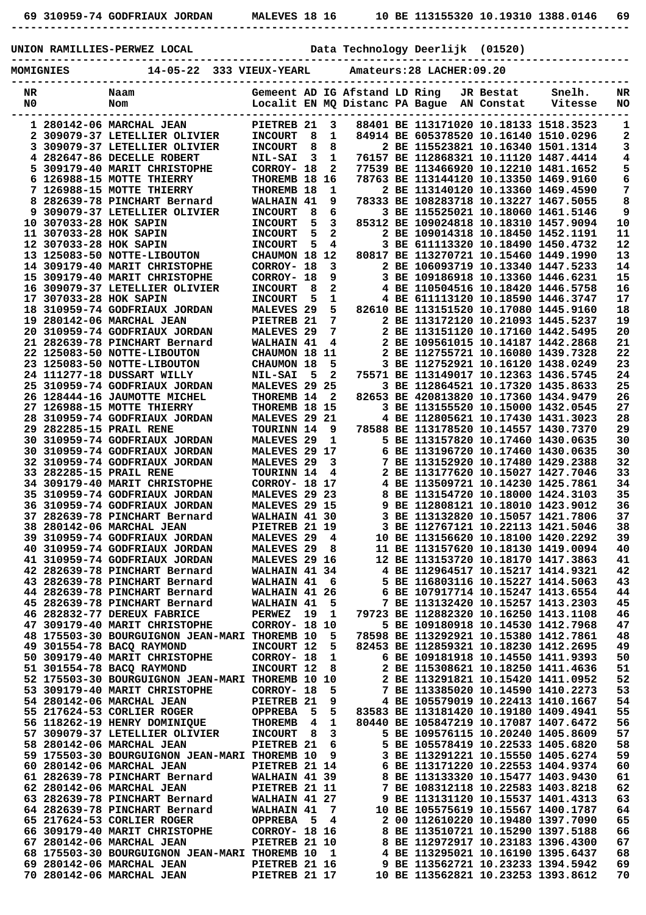|    |                  | 69 310959-74 GODFRIAUX JORDAN MALEVES 18 16 10 BE 113155320 10.19310 1388.0146 69                                                                                                                                                                                                                                                                                                         |                               |   |  |                                        |                                       |                |
|----|------------------|-------------------------------------------------------------------------------------------------------------------------------------------------------------------------------------------------------------------------------------------------------------------------------------------------------------------------------------------------------------------------------------------|-------------------------------|---|--|----------------------------------------|---------------------------------------|----------------|
|    |                  | UNION RAMILLIES-PERWEZ LOCAL Data Technology Deerlijk (01520)                                                                                                                                                                                                                                                                                                                             |                               |   |  |                                        |                                       |                |
|    | <b>MOMIGNIES</b> | 14-05-22 333 VIEUX-YEARL Amateurs: 28 LACHER: 09.20                                                                                                                                                                                                                                                                                                                                       |                               |   |  |                                        |                                       |                |
| NR |                  | Naam                                                                                                                                                                                                                                                                                                                                                                                      |                               |   |  |                                        |                                       |                |
| N0 | Nom              | Gemeent AD IG Afstand LD Ring & JR Bestat & Snelh. NR<br>Localit EN MQ Distanc PA Bague AN Constat & Vitesse NO                                                                                                                                                                                                                                                                           |                               |   |  |                                        | ---------------------------------     |                |
|    |                  | $\begin{tabular}{@{}c c c} \hline \multicolumn{1}{c}{\textbf{1.20112--0.56}}\hline \multicolumn{1}{c}{\textbf{2.21213--0.56}}\hline \multicolumn{1}{c}{\textbf{2.21213--0.56}}\hline \multicolumn{1}{c}{\textbf{2.21213--0.56}}\hline \multicolumn{1}{c}{\textbf{2.21213--0.56}}\hline \multicolumn{1}{c}{\textbf{2.21213--0.56}}\hline \multicolumn{1}{c}{\textbf{2.21213--0.56}}\hline$ |                               |   |  |                                        |                                       | 1              |
|    |                  |                                                                                                                                                                                                                                                                                                                                                                                           |                               |   |  |                                        |                                       | $\mathbf{2}$   |
|    |                  |                                                                                                                                                                                                                                                                                                                                                                                           |                               |   |  |                                        |                                       | 3              |
|    |                  |                                                                                                                                                                                                                                                                                                                                                                                           |                               |   |  |                                        |                                       | $\bf{4}$       |
|    |                  |                                                                                                                                                                                                                                                                                                                                                                                           |                               |   |  |                                        |                                       | 5              |
|    |                  |                                                                                                                                                                                                                                                                                                                                                                                           |                               |   |  |                                        |                                       | $\overline{6}$ |
|    |                  |                                                                                                                                                                                                                                                                                                                                                                                           |                               |   |  |                                        |                                       | 7              |
|    |                  |                                                                                                                                                                                                                                                                                                                                                                                           |                               |   |  |                                        |                                       | 8              |
|    |                  |                                                                                                                                                                                                                                                                                                                                                                                           |                               |   |  |                                        |                                       | 9              |
|    |                  |                                                                                                                                                                                                                                                                                                                                                                                           |                               |   |  |                                        |                                       | 10             |
|    |                  |                                                                                                                                                                                                                                                                                                                                                                                           |                               |   |  |                                        |                                       | 11             |
|    |                  |                                                                                                                                                                                                                                                                                                                                                                                           |                               |   |  |                                        |                                       | 12             |
|    |                  |                                                                                                                                                                                                                                                                                                                                                                                           |                               |   |  |                                        |                                       | 13             |
|    |                  |                                                                                                                                                                                                                                                                                                                                                                                           |                               |   |  |                                        |                                       |                |
|    |                  |                                                                                                                                                                                                                                                                                                                                                                                           |                               |   |  |                                        |                                       | 14             |
|    |                  |                                                                                                                                                                                                                                                                                                                                                                                           |                               |   |  |                                        |                                       | 15             |
|    |                  |                                                                                                                                                                                                                                                                                                                                                                                           |                               |   |  |                                        |                                       | 16             |
|    |                  |                                                                                                                                                                                                                                                                                                                                                                                           |                               |   |  |                                        |                                       | 17             |
|    |                  |                                                                                                                                                                                                                                                                                                                                                                                           |                               |   |  |                                        |                                       | 18             |
|    |                  |                                                                                                                                                                                                                                                                                                                                                                                           |                               |   |  |                                        |                                       | 19             |
|    |                  |                                                                                                                                                                                                                                                                                                                                                                                           |                               |   |  |                                        |                                       | 20             |
|    |                  |                                                                                                                                                                                                                                                                                                                                                                                           |                               |   |  |                                        |                                       | 21             |
|    |                  |                                                                                                                                                                                                                                                                                                                                                                                           |                               |   |  |                                        |                                       | 22             |
|    |                  |                                                                                                                                                                                                                                                                                                                                                                                           |                               |   |  |                                        |                                       | 23             |
|    |                  | 23 125083-50 NOTTE-LIBOUTON CHAUMON 18 5<br>24 111277-18 DUSSART WILLY NIL-SAI 5 2<br>25 310959-74 GODFRIAUX JORDAN MALEVES 29 25                                                                                                                                                                                                                                                         |                               |   |  |                                        |                                       | 24             |
|    |                  |                                                                                                                                                                                                                                                                                                                                                                                           |                               |   |  |                                        | 3 BE 112864521 10.17320 1435.8633     | 25             |
|    |                  |                                                                                                                                                                                                                                                                                                                                                                                           |                               |   |  |                                        |                                       | 26             |
|    |                  | 26 128444-16 JAUMOTTE MICHEL THOREMB 14 2 82653 BE 420813820 10.17360 1434.9479<br>27 126988-15 MOTTE THIERRY THOREMB 18 15 3 BE 113155520 10.15000 1432.0545<br>28 310959-74 GODFRIAUX JORDAN MALEVES 29 21 4 BE 112805621 10.17430                                                                                                                                                      |                               |   |  |                                        |                                       | 27             |
|    |                  |                                                                                                                                                                                                                                                                                                                                                                                           |                               |   |  |                                        |                                       | 28             |
|    |                  | 29 282285-15 PRAIL RENE                                                                                                                                                                                                                                                                                                                                                                   | TOURINN 14 9                  |   |  |                                        | 78588 BE 113178520 10.14557 1430.7370 | 29             |
|    |                  | 30 310959-74 GODFRIAUX JORDAN                                                                                                                                                                                                                                                                                                                                                             | <b>MALEVES 29</b>             | 1 |  |                                        | 5 BE 113157820 10.17460 1430.0635     | 30             |
|    |                  | 30 310959-74 GODFRIAUX JORDAN                                                                                                                                                                                                                                                                                                                                                             | MALEVES 29 17                 |   |  |                                        | 6 BE 113196720 10.17460 1430.0635     | 30             |
|    |                  | 32 310959-74 GODFRIAUX JORDAN                                                                                                                                                                                                                                                                                                                                                             | <b>MALEVES 29</b>             | 3 |  |                                        | 7 BE 113152920 10.17480 1429.2388     | 32             |
|    |                  | 33 282285-15 PRAIL RENE                                                                                                                                                                                                                                                                                                                                                                   | TOURINN 14 4                  |   |  |                                        | 2 BE 113177620 10.15027 1427.7046     | 33             |
|    |                  | 34 309179-40 MARIT CHRISTOPHE                                                                                                                                                                                                                                                                                                                                                             | CORROY- 18 17                 |   |  |                                        | 4 BE 113509721 10.14230 1425.7861     | 34             |
|    |                  | 35 310959-74 GODFRIAUX JORDAN                                                                                                                                                                                                                                                                                                                                                             | MALEVES 29 23                 |   |  |                                        | 8 BE 113154720 10.18000 1424.3103     | 35             |
|    |                  | 36 310959-74 GODFRIAUX JORDAN                                                                                                                                                                                                                                                                                                                                                             | MALEVES 29 15                 |   |  |                                        | 9 BE 112808121 10.18010 1423.9012     | 36             |
|    |                  | 37 282639-78 PINCHART Bernard                                                                                                                                                                                                                                                                                                                                                             | WALHAIN 41 30                 |   |  |                                        | 3 BE 113132820 10.15057 1421.7806     | 37             |
|    |                  | 38 280142-06 MARCHAL JEAN                                                                                                                                                                                                                                                                                                                                                                 |                               |   |  |                                        | 3 BE 112767121 10.22113 1421.5046     | 38             |
|    |                  | 39 310959-74 GODFRIAUX JORDAN                                                                                                                                                                                                                                                                                                                                                             | PIETREB 21 19<br>MALEVES 29 4 |   |  |                                        |                                       | 39             |
|    |                  |                                                                                                                                                                                                                                                                                                                                                                                           |                               |   |  |                                        | 10 BE 113156620 10.18100 1420.2292    |                |
|    |                  | 40 310959-74 GODFRIAUX JORDAN                                                                                                                                                                                                                                                                                                                                                             | <b>MALEVES 29</b>             | 8 |  |                                        | 11 BE 113157620 10.18130 1419.0094    | 40             |
|    |                  | 41 310959-74 GODFRIAUX JORDAN<br>$12.202520.70$ privatizion pe                                                                                                                                                                                                                                                                                                                            | MALEVES 29 16                 |   |  | <b>DE 110064515 10 15015 1414 0001</b> | 12 BE 113153720 10.18170 1417.3863    | 41<br>$\sim$   |

|  | 40 310959-74 GODFRIAUX JORDAN                 | MALEVES 29            |     | 8   |  | 11 BE 113157620 10.18130 1419.0094    |                                   | 40 |
|--|-----------------------------------------------|-----------------------|-----|-----|--|---------------------------------------|-----------------------------------|----|
|  | 41 310959-74 GODFRIAUX JORDAN                 | MALEVES 29 16         |     |     |  | 12 BE 113153720 10.18170 1417.3863    |                                   | 41 |
|  | 42 282639-78 PINCHART Bernard                 | WALHAIN 41 34         |     |     |  | 4 BE 112964517 10.15217 1414.9321     |                                   | 42 |
|  | 43 282639-78 PINCHART Bernard                 | WALHAIN 41            |     | - 6 |  | 5 BE 116803116 10.15227 1414.5063     |                                   | 43 |
|  | 44 282639-78 PINCHART Bernard                 | <b>WALHAIN 41</b>     |     | 26  |  | 6 BE 107917714 10.15247 1413.6554     |                                   | 44 |
|  | 45 282639-78 PINCHART Bernard                 | <b>WALHAIN 41</b>     |     | 5   |  | 7 BE 113132420 10.15257 1413.2303     |                                   | 45 |
|  | 46 282832-77 DEREUX FABRICE                   | <b>PERWEZ</b>         | 19  | 1   |  | 79723 BE 112882320 10.16250 1413.1108 |                                   | 46 |
|  | 47 309179-40 MARIT CHRISTOPHE                 | CORROY- 18            |     | 10  |  | 5 BE 109180918 10.14530 1412.7968     |                                   | 47 |
|  | 48 175503-30 BOURGUIGNON JEAN-MARI            | THOREMB 10            |     | 5   |  | 78598 BE 113292921 10.15380 1412.7861 |                                   | 48 |
|  | 49 301554-78 BACO RAYMOND                     | INCOURT 12            |     | 5   |  | 82453 BE 112859321 10.18230 1412.2695 |                                   | 49 |
|  | 50 309179-40 MARIT CHRISTOPHE                 | CORROY- 18            |     | 1   |  | 6 BE 109181918 10.14550 1411.9393     |                                   | 50 |
|  | 51 301554-78 BACO RAYMOND                     | INCOURT 12            |     | 8   |  | 2 BE 115308621 10.18250 1411.4636     |                                   | 51 |
|  | 52 175503-30 BOURGUIGNON JEAN-MARI THOREMB 10 |                       |     | 10  |  |                                       | 2 BE 113291821 10.15420 1411.0952 | 52 |
|  | 53 309179-40 MARIT CHRISTOPHE                 | CORROY- 18            |     | 5   |  | 7 BE 113385020 10.14590 1410.2273     |                                   | 53 |
|  | 54 280142-06 MARCHAL JEAN                     | PIETREB <sub>21</sub> |     | 9   |  | 4 BE 105579019 10.22413 1410.1667     |                                   | 54 |
|  | 55 217624-53 CORLIER ROGER                    | <b>OPPREBA</b>        | 5   | 5.  |  | 83583 BE 113181420 10.19180 1409.4941 |                                   | 55 |
|  | 56 118262-19 HENRY DOMINIOUE                  | <b>THOREMB</b>        | 4   | 1   |  | 80440 BE 105847219 10.17087 1407.6472 |                                   | 56 |
|  | 57 309079-37 LETELLIER OLIVIER                | <b>INCOURT</b>        | - 8 | 3   |  | 5 BE 109576115 10.20240 1405.8609     |                                   | 57 |
|  | 58 280142-06 MARCHAL JEAN                     | PIETREB <sub>21</sub> |     | 6   |  | 5 BE 105578419 10.22533 1405.6820     |                                   | 58 |
|  | 59 175503-30 BOURGUIGNON JEAN-MARI THOREMB 10 |                       |     | 9   |  |                                       | 3 BE 113291221 10.15550 1405.6274 | 59 |
|  | 60 280142-06 MARCHAL JEAN                     | PIETREB 21 14         |     |     |  | 6 BE 113171220 10.22553 1404.9374     |                                   | 60 |
|  | 61 282639-78 PINCHART Bernard                 | WALHAIN 41 39         |     |     |  | 8 BE 113133320 10.15477 1403.9430     |                                   | 61 |
|  | 62 280142-06 MARCHAL JEAN                     | PIETREB 21 11         |     |     |  | 7 BE 108312118 10.22583 1403.8218     |                                   | 62 |
|  | 63 282639-78 PINCHART Bernard                 | WALHAIN 41 27         |     |     |  | 9 BE 113131120 10.15537 1401.4313     |                                   | 63 |
|  | 64 282639-78 PINCHART Bernard                 | WALHAIN 41            |     | 7   |  | 10 BE 105575619 10.15567 1400.1787    |                                   | 64 |
|  | 65 217624-53 CORLIER ROGER                    | OPPREBA 5             |     | 4   |  | 2 00 112610220 10.19480 1397.7090     |                                   | 65 |
|  | 66 309179-40 MARIT CHRISTOPHE                 | <b>CORROY- 18 16</b>  |     |     |  | BE 113510721 10.15290 1397.5188       |                                   | 66 |
|  | 67 280142-06 MARCHAL JEAN                     | PIETREB 21 10         |     |     |  | 8 BE 112972917 10.23183 1396.4300     |                                   | 67 |
|  | 68 175503-30 BOURGUIGNON JEAN-MARI THOREMB 10 |                       |     | 1   |  | 4 BE 113295021 10.16190 1395.6437     |                                   | 68 |
|  | 69 280142-06 MARCHAL JEAN                     | PIETREB 21 16         |     |     |  | 9 BE 113562721 10.23233 1394.5942     |                                   | 69 |
|  | 70 280142-06 MARCHAL JEAN                     | PIETREB 21 17         |     |     |  | 10 BE 113562821 10.23253 1393.8612    |                                   | 70 |
|  |                                               |                       |     |     |  |                                       |                                   |    |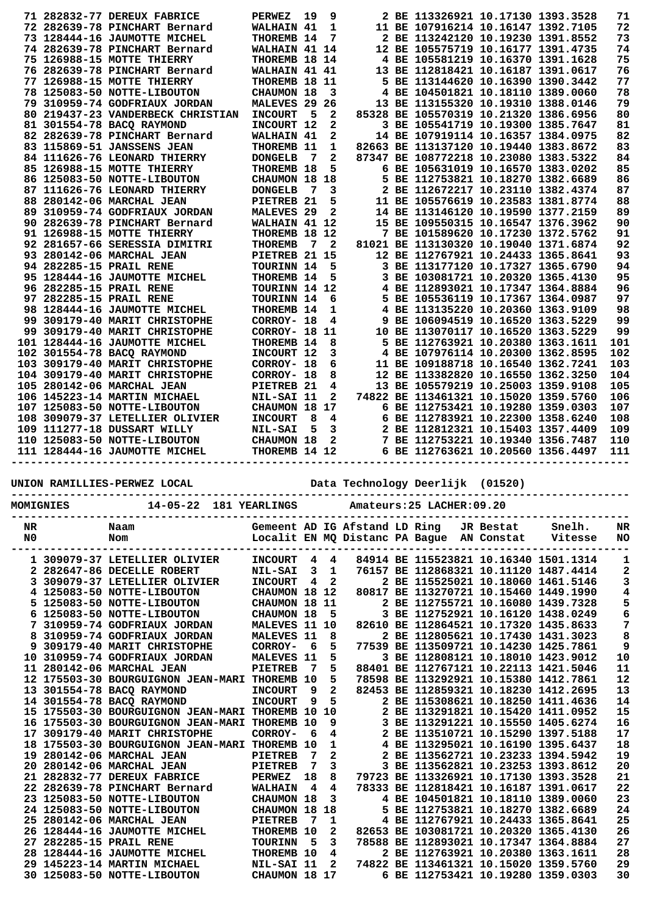|  | 71 282832-77 DEREUX FABRICE       | PERWEZ                | 19 | 9              |  | 2 BE 113326921 10.17130 1393.3528     |  | 71  |
|--|-----------------------------------|-----------------------|----|----------------|--|---------------------------------------|--|-----|
|  | 72 282639-78 PINCHART Bernard     | <b>WALHAIN 41</b>     |    | 1              |  | 11 BE 107916214 10.16147 1392.7105    |  | 72  |
|  | 73 128444-16 JAUMOTTE MICHEL      | THOREMB 14            |    | 7              |  | 2 BE 113242120 10.19230 1391.8552     |  | 73  |
|  |                                   |                       |    |                |  |                                       |  | 74  |
|  | 74 282639-78 PINCHART Bernard     | WALHAIN 41 14         |    |                |  | 12 BE 105575719 10.16177 1391.4735    |  |     |
|  | 75 126988-15 MOTTE THIERRY        | THOREMB 18 14         |    |                |  | 4 BE 105581219 10.16370 1391.1628     |  | 75  |
|  | 76 282639-78 PINCHART Bernard     | WALHAIN 41 41         |    |                |  | 13 BE 112818421 10.16187 1391.0617    |  | 76  |
|  | 77 126988-15 MOTTE THIERRY        | THOREMB 18 11         |    |                |  | 5 BE 113144620 10.16390 1390.3442     |  | 77  |
|  | 78 125083-50 NOTTE-LIBOUTON       | CHAUMON 18            |    | 3              |  | 4 BE 104501821 10.18110 1389.0060     |  | 78  |
|  | 79 310959-74 GODFRIAUX JORDAN     | <b>MALEVES 29</b>     |    | 26             |  | 13 BE 113155320 10.19310 1388.0146    |  | 79  |
|  | 80 219437-23 VANDERBECK CHRISTIAN | <b>INCOURT</b>        | 5  | 2              |  | 85328 BE 105570319 10.21320 1386.6956 |  | 80  |
|  | 81 301554-78 BACO RAYMOND         | INCOURT 12            |    | 2              |  | 3 BE 105541719 10.19300 1385.7647     |  | 81  |
|  | 82 282639-78 PINCHART Bernard     | WALHAIN 41            |    | 2              |  | 14 BE 107919114 10.16357 1384.0975    |  | 82  |
|  | 83 115869-51 JANSSENS JEAN        | THOREMB 11            |    | 1              |  | 82663 BE 113137120 10.19440 1383.8672 |  | 83  |
|  | 84 111626-76 LEONARD THIERRY      | <b>DONGELB</b>        | 7  | 2              |  | 87347 BE 108772218 10.23080 1383.5322 |  | 84  |
|  | 85 126988-15 MOTTE THIERRY        | THOREMB 18            |    | 5              |  | 6 BE 105631019 10.16570 1383.0202     |  | 85  |
|  | 86 125083-50 NOTTE-LIBOUTON       | CHAUMON 18 18         |    |                |  | 5 BE 112753821 10.18270 1382.6689     |  | 86  |
|  | 87 111626-76 LEONARD THIERRY      | <b>DONGELB</b>        | 7  | 3              |  | 2 BE 112672217 10.23110 1382.4374     |  | 87  |
|  | 88 280142-06 MARCHAL JEAN         | PIETREB 21            |    | 5              |  | 11 BE 105576619 10.23583 1381.8774    |  | 88  |
|  | 89 310959-74 GODFRIAUX JORDAN     | MALEVES <sub>29</sub> |    | 2              |  | 14 BE 113146120 10.19590 1377.2159    |  | 89  |
|  | 90 282639-78 PINCHART Bernard     | WALHAIN 41 12         |    |                |  | 15 BE 109550315 10.16547 1376.3962    |  | 90  |
|  | 91 126988-15 MOTTE THIERRY        | THOREMB 18 12         |    |                |  | 7 BE 101589620 10.17230 1372.5762     |  | 91  |
|  | 92 281657-66 SERESSIA DIMITRI     | THOREMB               | 7  | $\overline{2}$ |  | 81021 BE 113130320 10.19040 1371.6874 |  | 92  |
|  | 93 280142-06 MARCHAL JEAN         | PIETREB 21 15         |    |                |  | 12 BE 112767921 10.24433 1365.8641    |  | 93  |
|  | 94 282285-15 PRAIL RENE           | TOURINN 14            |    | 5              |  | 3 BE 113177120 10.17327 1365.6790     |  | 94  |
|  | 95 128444-16 JAUMOTTE MICHEL      | THOREMB 14            |    | 5              |  | 3 BE 103081721 10.20320 1365.4130     |  | 95  |
|  | 96 282285-15 PRAIL RENE           | TOURINN 14 12         |    |                |  | 4 BE 112893021 10.17347 1364.8884     |  | 96  |
|  | 97 282285-15 PRAIL RENE           | TOURINN 14            |    | 6              |  | 5 BE 105536119 10.17367 1364.0987     |  | 97  |
|  | 98 128444-16 JAUMOTTE MICHEL      | THOREMB 14            |    | 1              |  | 4 BE 113135220 10.20360 1363.9109     |  | 98  |
|  | 99 309179-40 MARIT CHRISTOPHE     | CORROY- 18            |    | 4              |  | 9 BE 106094519 10.16520 1363.5229     |  | 99  |
|  | 99 309179-40 MARIT CHRISTOPHE     | CORROY- 18            |    | 11             |  | 10 BE 113070117 10.16520 1363.5229    |  | 99  |
|  | 101 128444-16 JAUMOTTE MICHEL     | THOREMB 14            |    | 8              |  | 5 BE 112763921 10.20380 1363.1611     |  | 101 |
|  | 102 301554-78 BACO RAYMOND        | INCOURT 12            |    | 3              |  | 4 BE 107976114 10.20300 1362.8595     |  | 102 |
|  | 103 309179-40 MARIT CHRISTOPHE    | CORROY- 18            |    | 6              |  | 11 BE 109188718 10.16540 1362.7241    |  | 103 |
|  | 104 309179-40 MARIT CHRISTOPHE    | CORROY- 18            |    | 8              |  | 12 BE 113382820 10.16550 1362.3250    |  | 104 |
|  | 105 280142-06 MARCHAL JEAN        | PIETREB <sub>21</sub> |    | 4              |  | 13 BE 105579219 10.25003 1359.9108    |  | 105 |
|  | 106 145223-14 MARTIN MICHAEL      | NIL-SAI 11            |    | 2              |  | 74822 BE 113461321 10.15020 1359.5760 |  | 106 |
|  | 107 125083-50 NOTTE-LIBOUTON      | CHAUMON 18 17         |    |                |  | 6 BE 112753421 10.19280 1359.0303     |  | 107 |
|  | 108 309079-37 LETELLIER OLIVIER   | <b>INCOURT</b>        | 8  | 4              |  | 6 BE 112783921 10.22300 1358.6240     |  | 108 |
|  | 109 111277-18 DUSSART WILLY       | <b>NIL-SAI</b>        | 5  | 3              |  | 2 BE 112812321 10.15403 1357.4409     |  | 109 |
|  | 110 125083-50 NOTTE-LIBOUTON      | <b>CHAUMON 18</b>     |    | 2              |  | 7 BE 112753221 10.19340 1356.7487     |  | 110 |
|  | 111 128444-16 JAUMOTTE MICHEL     | THOREMB 14 12         |    |                |  | 6 BE 112763621 10.20560 1356.4497     |  | 111 |
|  |                                   |                       |    |                |  |                                       |  |     |
|  |                                   |                       |    |                |  |                                       |  |     |

**UNION RAMILLIES-PERWEZ LOCAL Data Technology Deerlijk (01520)**

| MOMIGNIES                            | 14-05-22 181 YEARLINGS                                                                                                                                                                                                                                                                                                                                                                                                                                                                                                                                                                                                                                                                           |                                                                                                                                                                                                                                                                                                  |                                                                        |                                                                                                                                   |                               |                        | Amateurs: 25 LACHER: 09.20                                                                                                                                                                                                                                                                                                                                                                                                                                                                                                                                                                                                                                                                                                                                                                                             |           |                   |                                                                                                                                         |
|--------------------------------------|--------------------------------------------------------------------------------------------------------------------------------------------------------------------------------------------------------------------------------------------------------------------------------------------------------------------------------------------------------------------------------------------------------------------------------------------------------------------------------------------------------------------------------------------------------------------------------------------------------------------------------------------------------------------------------------------------|--------------------------------------------------------------------------------------------------------------------------------------------------------------------------------------------------------------------------------------------------------------------------------------------------|------------------------------------------------------------------------|-----------------------------------------------------------------------------------------------------------------------------------|-------------------------------|------------------------|------------------------------------------------------------------------------------------------------------------------------------------------------------------------------------------------------------------------------------------------------------------------------------------------------------------------------------------------------------------------------------------------------------------------------------------------------------------------------------------------------------------------------------------------------------------------------------------------------------------------------------------------------------------------------------------------------------------------------------------------------------------------------------------------------------------------|-----------|-------------------|-----------------------------------------------------------------------------------------------------------------------------------------|
| NR<br>N <sub>0</sub>                 | Naam<br>Nom                                                                                                                                                                                                                                                                                                                                                                                                                                                                                                                                                                                                                                                                                      |                                                                                                                                                                                                                                                                                                  |                                                                        |                                                                                                                                   | Gemeent AD IG Afstand LD Ring |                        | Localit EN MQ Distanc PA Bague AN Constat                                                                                                                                                                                                                                                                                                                                                                                                                                                                                                                                                                                                                                                                                                                                                                              | JR Bestat | Snelh.<br>Vitesse | NR<br>NO                                                                                                                                |
| 8<br>9<br>10<br>17<br>18<br>19<br>20 | 1 309079-37 LETELLIER OLIVIER<br>2 282647-86 DECELLE ROBERT<br>309079-37 LETELLIER OLIVIER<br>4 125083-50 NOTTE-LIBOUTON<br>125083-50 NOTTE-LIBOUTON<br>125083-50 NOTTE-LIBOUTON<br>310959-74 GODFRIAUX JORDAN<br>310959-74 GODFRIAUX JORDAN<br>309179-40 MARIT CHRISTOPHE<br>310959-74 GODFRIAUX JORDAN<br>11 280142-06 MARCHAL JEAN<br>12 175503-30 BOURGUIGNON JEAN-MARI THOREMB 10<br>13 301554-78 BACQ RAYMOND<br>14 301554-78 BACQ RAYMOND<br>15 175503-30 BOURGUIGNON JEAN-MARI THOREMB<br>16 175503-30 BOURGUIGNON JEAN-MARI<br>309179-40 MARIT CHRISTOPHE<br>175503-30 BOURGUIGNON JEAN-MARI THOREMB<br>280142-06 MARCHAL JEAN<br>280142-06 MARCHAL JEAN<br>21 282832-77 DEREUX FABRICE | <b>INCOURT</b><br><b>NIL-SAI</b><br><b>INCOURT</b><br>CHAUMON 18<br>CHAUMON 18<br><b>CHAUMON 18</b><br><b>MALEVES 11</b><br>MALEVES 11<br>CORROY-<br>MALEVES 11<br><b>PIETREB</b><br><b>INCOURT</b><br><b>INCOURT</b><br>THOREMB<br>CORROY-<br><b>PIETREB</b><br><b>PIETREB</b><br><b>PERWEZ</b> | 4<br>3<br>4<br>6<br>7<br>9<br>9<br>10<br>10<br>6<br>10<br>7<br>7<br>18 | 4<br>1<br>$\mathbf{2}$<br>12<br>11<br>5<br>10<br>8<br>5<br>5<br>5<br>5<br>$\overline{a}$<br>5<br>10<br>9<br>4<br>1<br>2<br>3<br>8 | 4<br>3.                       | $2$ BE<br>BE<br>$2$ BE | 84914 BE 115523821 10.16340 1501.1314<br>76157 BE 112868321 10.11120 1487.4414<br>2 BE 115525021 10.18060 1461.5146<br>80817 BE 113270721 10.15460 1449.1990<br>2 BE 112755721 10.16080 1439.7328<br>3 BE 112752921 10.16120 1438.0249<br>82610 BE 112864521 10.17320 1435.8633<br>2 BE 112805621 10.17430 1431.3023<br>77539 BE 113509721 10.14230 1425.7861<br>3 BE 112808121 10.18010 1423.9012<br>88401 BE 112767121 10.22113 1421.5046<br>78598 BE 113292921 10.15380 1412.7861<br>82453 BE 112859321 10.18230 1412.2695<br>2 BE 115308621 10.18250 1411.4636<br>2 BE 113291821 10.15420 1411.0952<br>BE 113291221 10.15550 1405.6274<br>113510721 10.15290 1397.5188<br>113295021 10.16190 1395.6437<br>113562721 10.23233 1394.5942<br>BE 113562821 10.23253 1393.8612<br>79723 BE 113326921 10.17130 1393.3528 |           |                   | 1<br>$\overline{\mathbf{2}}$<br>3<br>4<br>5<br>6<br>7<br>8<br>9<br>10<br>11<br>12<br>13<br>14<br>15<br>16<br>17<br>18<br>19<br>20<br>21 |
| 27<br>28<br>29                       | 22 282639-78 PINCHART Bernard<br>23 125083-50 NOTTE-LIBOUTON<br>24 125083-50 NOTTE-LIBOUTON<br>25 280142-06 MARCHAL JEAN<br>26 128444-16 JAUMOTTE MICHEL<br>282285-15 PRAIL RENE<br>128444-16 JAUMOTTE MICHEL<br>145223-14 MARTIN MICHAEL<br>30 125083-50 NOTTE-LIBOUTON                                                                                                                                                                                                                                                                                                                                                                                                                         | WALHAIN<br>CHAUMON 18<br><b>CHAUMON 18</b><br><b>PIETREB</b><br>THOREMB 10<br>TOURINN<br>THOREMB 10<br>NIL-SAI 11<br>CHAUMON 18                                                                                                                                                                  | 4<br>7<br>5                                                            | 4<br>3<br>18<br>1<br>2<br>3<br>4<br>$\mathbf{2}$<br>17                                                                            | 5                             |                        | 78333 BE 112818421 10.16187 1391.0617<br>4 BE 104501821 10.18110 1389.0060<br>BE 112753821 10.18270 1382.6689<br>4 BE 112767921 10.24433 1365.8641<br>82653 BE 103081721 10.20320 1365.4130<br>78588 BE 112893021 10.17347 1364.8884<br>2 BE 112763921 10.20380 1363.1611<br>74822 BE 113461321 10.15020 1359.5760<br>6 BE 112753421 10.19280 1359.0303                                                                                                                                                                                                                                                                                                                                                                                                                                                                |           |                   | 22<br>23<br>24<br>25<br>26<br>27<br>28<br>29<br>30                                                                                      |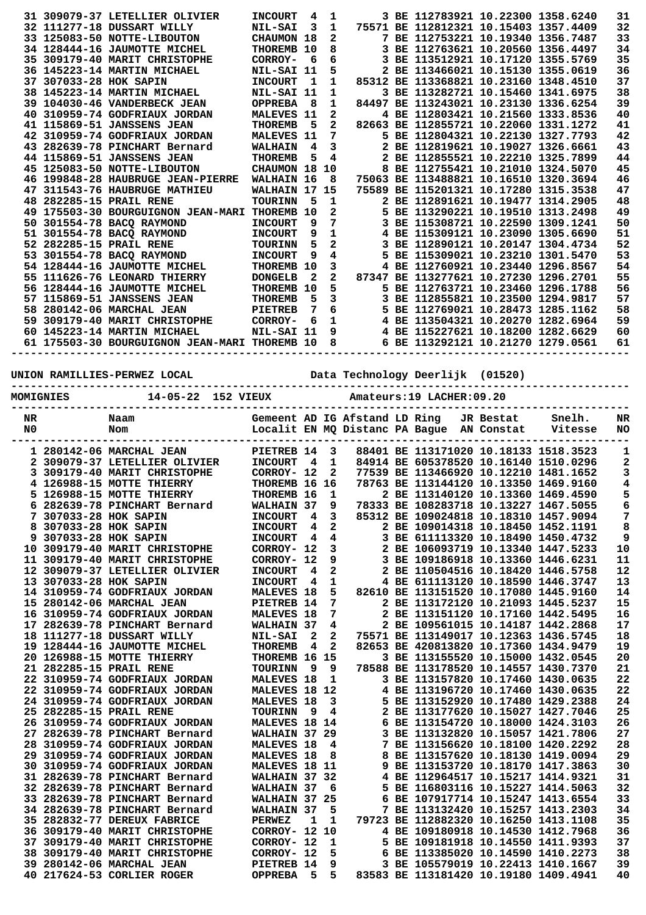|                |                        | 31 309079-37 LETELLIER OLIVIER                | <b>INCOURT</b>                | 4                       | 1                       |       | 3 BE 112783921 10.22300 1358.6240                                      |           |                                       | 31             |
|----------------|------------------------|-----------------------------------------------|-------------------------------|-------------------------|-------------------------|-------|------------------------------------------------------------------------|-----------|---------------------------------------|----------------|
|                |                        | 32 111277-18 DUSSART WILLY                    | <b>NIL-SAI</b>                | 3                       | $\mathbf{1}$            |       | 75571 BE 112812321 10.15403 1357.4409                                  |           |                                       | 32             |
|                |                        | 33 125083-50 NOTTE-LIBOUTON                   | CHAUMON 18                    |                         | 2                       |       | 7 BE 112753221 10.19340 1356.7487                                      |           |                                       | 33             |
|                |                        | 34 128444-16 JAUMOTTE MICHEL                  | THOREMB 10                    |                         | 8                       |       | 3 BE 112763621 10.20560 1356.4497                                      |           |                                       | 34             |
|                |                        |                                               |                               |                         |                         |       |                                                                        |           |                                       |                |
|                |                        | 35 309179-40 MARIT CHRISTOPHE                 | CORROY-                       | 6                       | 6                       |       | 3 BE 113512921 10.17120 1355.5769                                      |           |                                       | 35             |
|                |                        | 36 145223-14 MARTIN MICHAEL                   | NIL-SAI 11                    |                         | 5                       |       | 2 BE 113466021 10.15130 1355.0619                                      |           |                                       | 36             |
|                | 37 307033-28 HOK SAPIN |                                               | <b>INCOURT</b>                | 1                       | 1                       |       | 85312 BE 113368821 10.23160 1348.4510                                  |           |                                       | 37             |
|                |                        | 38 145223-14 MARTIN MICHAEL                   | NIL-SAI 11                    |                         | 1                       |       | 3 BE 113282721 10.15460 1341.6975                                      |           |                                       | 38             |
|                |                        |                                               |                               |                         |                         |       |                                                                        |           |                                       |                |
|                |                        | 39 104030-46 VANDERBECK JEAN                  | <b>OPPREBA</b>                | 8                       | 1                       |       | 84497 BE 113243021 10.23130 1336.6254                                  |           |                                       | 39             |
|                |                        | 40 310959-74 GODFRIAUX JORDAN                 | MALEVES 11                    |                         | 2                       |       | 4 BE 112803421 10.21560 1333.8536                                      |           |                                       | 40             |
|                |                        | 41 115869-51 JANSSENS JEAN                    | <b>THOREMB</b>                | 5                       | $\mathbf{2}$            |       | 82663 BE 112855721 10.22060 1331.1272                                  |           |                                       | 41             |
|                |                        | 42 310959-74 GODFRIAUX JORDAN                 | <b>MALEVES 11</b>             |                         | 7                       |       | 5 BE 112804321 10.22130 1327.7793                                      |           |                                       | 42             |
|                |                        |                                               |                               |                         |                         |       |                                                                        |           |                                       |                |
|                |                        | 43 282639-78 PINCHART Bernard                 | <b>WALHAIN</b>                | 4                       | 3                       |       | 2 BE 112819621 10.19027 1326.6661                                      |           |                                       | 43             |
|                |                        | 44 115869-51 JANSSENS JEAN                    | <b>THOREMB</b>                | 5                       | 4                       |       | 2 BE 112855521 10.22210 1325.7899                                      |           |                                       | 44             |
|                |                        | 45 125083-50 NOTTE-LIBOUTON                   | CHAUMON 18 10                 |                         |                         |       | 8 BE 112755421 10.21010 1324.5070                                      |           |                                       | 45             |
|                |                        | 46 199848-28 HAUBRUGE JEAN-PIERRE             | WALHAIN 16                    |                         | 8                       |       | 75063 BE 113488821 10.16510 1320.3694                                  |           |                                       | 46             |
|                |                        |                                               |                               |                         |                         |       |                                                                        |           |                                       |                |
|                |                        | 47 311543-76 HAUBRUGE MATHIEU                 | WALHAIN 17 15                 |                         |                         |       | 75589 BE 115201321 10.17280 1315.3538                                  |           |                                       | 47             |
|                |                        | 48 282285-15 PRAIL RENE                       | <b>TOURINN</b>                | 5                       | 1                       |       | 2 BE 112891621 10.19477 1314.2905                                      |           |                                       | 48             |
|                |                        | 49 175503-30 BOURGUIGNON JEAN-MARI            | THOREMB 10                    |                         | 2                       |       | 5 BE 113290221 10.19510 1313.2498                                      |           |                                       | 49             |
|                |                        | 50 301554-78 BACO RAYMOND                     | <b>INCOURT</b>                | 9                       | $\overline{7}$          |       | 3 BE 115308721 10.22590 1309.1241                                      |           |                                       | 50             |
|                |                        |                                               |                               |                         |                         |       |                                                                        |           |                                       |                |
|                |                        | 51 301554-78 BACQ RAYMOND                     | <b>INCOURT</b>                | 9                       | 1                       |       | 4 BE 115309121 10.23090 1305.6690                                      |           |                                       | 51             |
|                |                        | 52 282285-15 PRAIL RENE                       | <b>TOURINN</b>                | 5                       | 2                       |       | 3 BE 112890121 10.20147 1304.4734                                      |           |                                       | 52             |
|                |                        | 53 301554-78 BACO RAYMOND                     | <b>INCOURT</b>                | 9                       | 4                       |       | 5 BE 115309021 10.23210 1301.5470                                      |           |                                       | 53             |
|                |                        | 54 128444-16 JAUMOTTE MICHEL                  | THOREMB 10                    |                         | 3                       |       | 4 BE 112760921 10.23440 1296.8567                                      |           |                                       | 54             |
|                |                        |                                               |                               |                         |                         |       |                                                                        |           |                                       |                |
|                |                        | 55 111626-76 LEONARD THIERRY                  | <b>DONGELB</b>                | 2                       | 2                       |       | 87347 BE 113277621 10.27230 1296.2701                                  |           |                                       | 55             |
|                |                        | 56 128444-16 JAUMOTTE MICHEL                  | THOREMB 10                    |                         | 5                       |       | 5 BE 112763721 10.23460 1296.1788                                      |           |                                       | 56             |
|                |                        | 57 115869-51 JANSSENS JEAN                    | <b>THOREMB</b>                | 5                       | 3                       |       | 3 BE 112855821 10.23500 1294.9817                                      |           |                                       | 57             |
|                |                        |                                               |                               |                         |                         |       |                                                                        |           |                                       |                |
|                |                        | 58 280142-06 MARCHAL JEAN                     | <b>PIETREB</b>                | 7                       | 6                       |       | 5 BE 112769021 10.28473 1285.1162                                      |           |                                       | 58             |
|                |                        | 59 309179-40 MARIT CHRISTOPHE                 | CORROY-                       | 6                       | 1                       |       | 4 BE 113504321 10.20270 1282.6964                                      |           |                                       | 59             |
|                |                        | 60 145223-14 MARTIN MICHAEL                   | NIL-SAI 11                    |                         | 9                       |       | 4 BE 115227621 10.18200 1282.6629                                      |           |                                       | 60             |
|                |                        | 61 175503-30 BOURGUIGNON JEAN-MARI THOREMB 10 |                               |                         | 8                       |       | 6 BE 113292121 10.21270 1279.0561                                      |           |                                       | 61             |
|                |                        |                                               |                               |                         |                         |       |                                                                        |           |                                       |                |
|                |                        |                                               |                               |                         |                         |       |                                                                        |           |                                       |                |
|                |                        |                                               |                               |                         |                         |       |                                                                        |           |                                       |                |
|                |                        | UNION RAMILLIES-PERWEZ LOCAL                  |                               |                         |                         |       | Data Technology Deerlijk (01520)                                       |           |                                       |                |
|                |                        |                                               |                               |                         |                         |       |                                                                        |           |                                       |                |
|                |                        | 14-05-22 152 VIEUX                            |                               |                         |                         |       | Amateurs: 19 LACHER: 09.20                                             |           |                                       |                |
|                | <b>MOMIGNIES</b>       |                                               |                               |                         |                         |       |                                                                        |           |                                       |                |
|                |                        |                                               |                               |                         |                         |       |                                                                        |           |                                       |                |
| NR             |                        | Naam                                          | Gemeent AD IG Afstand LD Ring |                         |                         |       |                                                                        | JR Bestat | Snelh.                                |                |
|                |                        |                                               |                               |                         |                         |       |                                                                        |           |                                       | NR             |
|                |                        |                                               |                               |                         |                         |       |                                                                        |           |                                       |                |
| N <sub>0</sub> |                        | Nom                                           |                               |                         |                         |       | Localit EN MQ Distanc PA Bague AN Constat                              |           | Vitesse                               | NO.            |
|                |                        |                                               |                               |                         |                         |       |                                                                        |           |                                       |                |
|                |                        | 1 280142-06 MARCHAL JEAN                      | PIETREB 14                    |                         | 3                       |       | 88401 BE 113171020 10.18133 1518.3523                                  |           |                                       | 1              |
|                |                        | 2 309079-37 LETELLIER OLIVIER                 | <b>INCOURT</b>                | $\overline{\mathbf{4}}$ | $\mathbf{1}$            |       | 84914 BE 605378520 10.16140 1510.0296                                  |           |                                       | 2              |
|                |                        |                                               |                               |                         |                         |       |                                                                        |           |                                       |                |
|                |                        | 3 309179-40 MARIT CHRISTOPHE                  | CORROY- 12                    |                         | $\mathbf{2}$            |       | 77539 BE 113466920 10.12210 1481.1652                                  |           |                                       | 3              |
|                |                        | 4 126988-15 MOTTE THIERRY                     | THOREMB 16 16                 |                         |                         |       | 78763 BE 113144120 10.13350 1469.9160                                  |           |                                       | 4              |
|                |                        | 5 126988-15 MOTTE THIERRY                     | THOREMB 16 1                  |                         |                         |       | 2 BE 113140120 10.13360 1469.4590                                      |           |                                       | 5              |
|                |                        | 6 282639-78 PINCHART Bernard                  | <b>WALHAIN 37</b>             |                         | 9                       |       | 78333 BE 108283718 10.13227 1467.5055                                  |           |                                       | 6              |
|                |                        |                                               |                               |                         |                         |       |                                                                        |           |                                       |                |
|                | 7 307033-28 HOK SAPIN  |                                               | INCOURT 4 3                   |                         |                         |       |                                                                        |           | 85312 BE 109024818 10.18310 1457.9094 | $\overline{7}$ |
|                | 8 307033-28 HOK SAPIN  |                                               | <b>INCOURT 4</b>              |                         | $\mathbf{2}$            |       | 2 BE 109014318 10.18450 1452.1191                                      |           |                                       | 8              |
|                | 9 307033-28 HOK SAPIN  |                                               | <b>INCOURT</b>                | $\frac{4}{3}$           | 4                       |       | 3 BE 611113320 10.18490 1450.4732                                      |           |                                       | 9              |
|                |                        | 10 309179-40 MARIT CHRISTOPHE                 | CORROY- 12                    |                         | $\mathbf{3}$            |       | 2 BE 106093719 10.13340 1447.5233                                      |           |                                       | 10             |
|                |                        |                                               |                               |                         |                         |       |                                                                        |           |                                       |                |
|                |                        | 11 309179-40 MARIT CHRISTOPHE                 | CORROY- 12                    |                         | 9                       |       | 3 BE 109186918 10.13360 1446.6231                                      |           |                                       | 11             |
|                |                        | 12 309079-37 LETELLIER OLIVIER                | <b>INCOURT</b>                | 4                       | $\mathbf{2}$            |       | 2 BE 110504516 10.18420 1446.5758                                      |           |                                       | 12             |
|                | 13 307033-28 HOK SAPIN |                                               | <b>INCOURT</b>                | $\overline{4}$          | $\mathbf{1}$            |       | 4 BE 611113120 10.18590 1446.3747                                      |           |                                       | 13             |
|                |                        | 14 310959-74 GODFRIAUX JORDAN                 | <b>MALEVES 18</b>             |                         |                         | $5 -$ | 82610 BE 113151520 10.17080 1445.9160                                  |           |                                       | 14             |
|                |                        |                                               |                               |                         |                         |       |                                                                        |           |                                       |                |
|                |                        | 15 280142-06 MARCHAL JEAN                     | PIETREB 14                    |                         | 7                       |       | 2 BE 113172120 10.21093 1445.5237                                      |           |                                       | 15             |
|                |                        | 16 310959-74 GODFRIAUX JORDAN                 | <b>MALEVES 18</b>             |                         | 7                       |       | 2 BE 113151120 10.17160 1442.5495                                      |           |                                       | 16             |
|                |                        | 17 282639-78 PINCHART Bernard                 | WALHAIN 37                    |                         | $\overline{4}$          |       | 2 BE 109561015 10.14187 1442.2868                                      |           |                                       | 17             |
|                |                        | 18 111277-18 DUSSART WILLY                    | <b>NIL-SAI</b>                | 2                       | $\overline{a}$          |       | 75571 BE 113149017 10.12363 1436.5745                                  |           |                                       | 18             |
|                |                        |                                               |                               |                         |                         |       |                                                                        |           |                                       |                |
|                |                        | 19 128444-16 JAUMOTTE MICHEL                  | <b>THOREMB</b>                | $\overline{4}$          | $\overline{\mathbf{2}}$ |       | 82653 BE 420813820 10.17360 1434.9479                                  |           |                                       | 19             |
|                |                        | 20 126988-15 MOTTE THIERRY                    | THOREMB 16 15                 |                         |                         |       | 3 BE 113155520 10.15000 1432.0545                                      |           |                                       | 20             |
|                |                        | 21 282285-15 PRAIL RENE                       | TOURINN                       |                         | 99                      |       | 78588 BE 113178520 10.14557 1430.7370                                  |           |                                       | 21             |
|                |                        | 22 310959-74 GODFRIAUX JORDAN                 |                               |                         |                         |       |                                                                        |           |                                       |                |
|                |                        |                                               | MALEVES 18 1                  |                         |                         |       | 3 BE 113157820 10.17460 1430.0635                                      |           |                                       | 22             |
|                |                        | 22 310959-74 GODFRIAUX JORDAN                 | <b>MALEVES 18 12</b>          |                         |                         |       | 4 BE 113196720 10.17460 1430.0635                                      |           |                                       | 22             |
|                |                        | 24 310959-74 GODFRIAUX JORDAN                 | <b>MALEVES 18</b>             |                         | 3                       |       | 5 BE 113152920 10.17480 1429.2388                                      |           |                                       | 24             |
|                |                        | 25 282285-15 PRAIL RENE                       | <b>TOURINN</b>                |                         | 94                      |       | 2 BE 113177620 10.15027 1427.7046                                      |           |                                       | 25             |
|                |                        | 26 310959-74 GODFRIAUX JORDAN                 | <b>MALEVES 18 14</b>          |                         |                         |       |                                                                        |           |                                       |                |
|                |                        |                                               |                               |                         |                         |       | 6 BE 113154720 10.18000 1424.3103                                      |           |                                       | 26             |
|                |                        | 27 282639-78 PINCHART Bernard                 | WALHAIN 37 29                 |                         |                         |       | 3 BE 113132820 10.15057 1421.7806                                      |           |                                       | 27             |
|                |                        | 28 310959-74 GODFRIAUX JORDAN                 | MALEVES 18 4                  |                         |                         |       |                                                                        |           |                                       | 28             |
|                |                        | 29 310959-74 GODFRIAUX JORDAN                 | MALEVES 18 8                  |                         |                         |       | 7 BE 113156620 10.18100 1420.2292<br>8 BE 113157620 10.18130 1419.0094 |           |                                       | 29             |
|                |                        |                                               |                               |                         |                         |       |                                                                        |           |                                       |                |
|                |                        | 30 310959-74 GODFRIAUX JORDAN                 | MALEVES 18 11                 |                         |                         |       | 9 BE 113153720 10.18170 1417.3863                                      |           |                                       | 30             |
|                |                        | 31 282639-78 PINCHART Bernard                 | WALHAIN 37 32                 |                         |                         |       | 4 BE 112964517 10.15217 1414.9321                                      |           |                                       | 31             |
|                |                        | 32 282639-78 PINCHART Bernard                 | WALHAIN 37 6                  |                         |                         |       | 5 BE 116803116 10.15227 1414.5063                                      |           |                                       | 32             |
|                |                        | 33 282639-78 PINCHART Bernard                 | WALHAIN 37 25                 |                         |                         |       | 6 BE 107917714 10.15247 1413.6554                                      |           |                                       | 33             |
|                |                        |                                               |                               |                         |                         |       |                                                                        |           |                                       |                |
|                |                        | 34 282639-78 PINCHART Bernard                 | <b>WALHAIN 37</b>             |                         | - 5                     |       | 7 BE 113132420 10.15257 1413.2303                                      |           |                                       | 34             |
|                |                        | 35 282832-77 DEREUX FABRICE                   | <b>PERWEZ</b>                 | $\mathbf{1}$            | $\mathbf{1}$            |       | 79723 BE 112882320 10.16250 1413.1108                                  |           |                                       | 35             |
|                |                        | 36 309179-40 MARIT CHRISTOPHE                 | <b>CORROY- 12 10</b>          |                         |                         |       | 4 BE 109180918 10.14530 1412.7968                                      |           |                                       | 36             |
|                |                        | 37 309179-40 MARIT CHRISTOPHE                 | CORROY- 12                    |                         | <sup>1</sup>            |       | 5 BE 109181918 10.14550 1411.9393                                      |           |                                       | 37             |
|                |                        |                                               |                               |                         |                         |       |                                                                        |           |                                       |                |
|                |                        | 38 309179-40 MARIT CHRISTOPHE                 | CORROY- 12                    |                         | 5                       |       | 6 BE 113385020 10.14590 1410.2273                                      |           |                                       | 38             |
|                |                        | 39 280142-06 MARCHAL JEAN                     | <b>PIETREB 14</b>             |                         | 9                       |       | 3 BE 105579019 10.22413 1410.1667                                      |           |                                       | 39             |
|                |                        | 40 217624-53 CORLIER ROGER                    | OPPREBA 5 5                   |                         |                         |       | 83583 BE 113181420 10.19180 1409.4941                                  |           |                                       | 40             |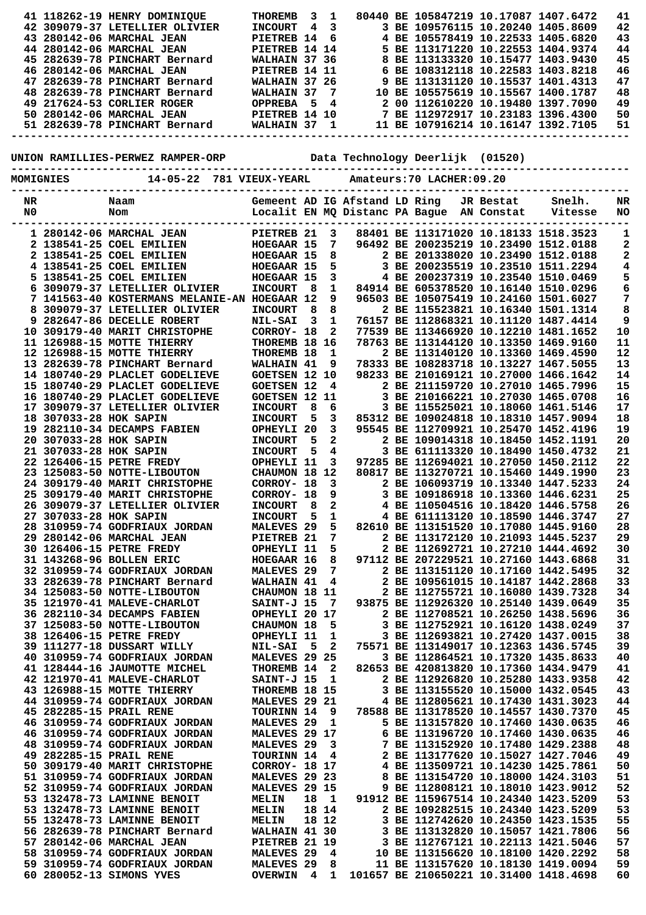|    |                        | 41 118262-19 HENRY DOMINIQUE                                             | <b>THOREMB</b>        | 3     | 1                       |                               | 80440 BE 105847219 10.17087 1407.6472                                   |           |         | 41 |
|----|------------------------|--------------------------------------------------------------------------|-----------------------|-------|-------------------------|-------------------------------|-------------------------------------------------------------------------|-----------|---------|----|
|    |                        |                                                                          |                       |       |                         |                               |                                                                         |           |         |    |
|    |                        | 42 309079-37 LETELLIER OLIVIER                                           | <b>INCOURT</b>        | 4     | $\mathbf{3}$            |                               | 3 BE 109576115 10.20240 1405.8609                                       |           |         | 42 |
|    |                        | 43 280142-06 MARCHAL JEAN                                                | PIETREB 14            |       | 6                       |                               | 4 BE 105578419 10.22533 1405.6820                                       |           |         | 43 |
|    |                        | 44 280142-06 MARCHAL JEAN                                                | PIETREB 14 14         |       |                         |                               | 5 BE 113171220 10.22553 1404.9374                                       |           |         | 44 |
|    |                        | 45 282639-78 PINCHART Bernard                                            | WALHAIN 37 36         |       |                         |                               | 8 BE 113133320 10.15477 1403.9430                                       |           |         | 45 |
|    |                        |                                                                          |                       |       |                         |                               |                                                                         |           |         |    |
|    |                        | 46 280142-06 MARCHAL JEAN                                                | PIETREB 14 11         |       |                         |                               | 6 BE 108312118 10.22583 1403.8218                                       |           |         | 46 |
|    |                        | 47 282639-78 PINCHART Bernard                                            | WALHAIN 37 26         |       |                         |                               | 9 BE 113131120 10.15537 1401.4313                                       |           |         | 47 |
|    |                        | 48 282639-78 PINCHART Bernard                                            | <b>WALHAIN 37</b>     |       | 7                       |                               | 10 BE 105575619 10.15567 1400.1787                                      |           |         | 48 |
|    |                        | 49 217624-53 CORLIER ROGER                                               |                       |       |                         |                               | 2 00 112610220 10.19480 1397.7090                                       |           |         | 49 |
|    |                        |                                                                          |                       |       |                         |                               |                                                                         |           |         |    |
|    |                        | 50 280142-06 MARCHAL JEAN                                                |                       |       |                         |                               | 7 BE 112972917 10.23183 1396.4300<br>11 BE 107916214 10.16147 1392.7105 |           |         | 50 |
|    |                        | 51 282639-78 PINCHART Bernard                                            |                       |       |                         |                               | 11 BE 107916214 10.16147 1392.7105                                      |           |         | 51 |
|    |                        |                                                                          |                       |       |                         |                               |                                                                         |           |         |    |
|    |                        |                                                                          |                       |       |                         |                               |                                                                         |           |         |    |
|    |                        |                                                                          |                       |       |                         |                               |                                                                         |           |         |    |
|    |                        | UNION RAMILLIES-PERWEZ RAMPER-ORP       Data Technology Deerlijk (01520) |                       |       |                         |                               |                                                                         |           |         |    |
|    |                        | -----------------                                                        |                       |       |                         |                               |                                                                         |           |         |    |
|    | <b>MOMIGNIES</b>       | 14-05-22 781 VIEUX-YEARL                                                 |                       |       |                         |                               | Amateurs: 70 LACHER: 09.20                                              |           |         |    |
|    |                        |                                                                          |                       |       |                         |                               |                                                                         |           |         |    |
|    |                        |                                                                          |                       |       |                         |                               |                                                                         |           |         |    |
| NR |                        | Naam                                                                     |                       |       |                         | Gemeent AD IG Afstand LD Ring |                                                                         | JR Bestat | Snelh.  | NR |
| N0 |                        | Nom                                                                      |                       |       |                         |                               | Localit EN MQ Distanc PA Bague AN Constat                               |           | Vitesse | NO |
|    |                        |                                                                          |                       |       |                         |                               |                                                                         |           |         |    |
|    |                        |                                                                          |                       |       |                         |                               |                                                                         |           |         |    |
|    |                        | 1 280142-06 MARCHAL JEAN                                                 | PIETREB <sub>21</sub> |       | 3                       |                               | 88401 BE 113171020 10.18133 1518.3523                                   |           |         | 1  |
|    |                        | 2 138541-25 COEL EMILIEN                                                 | HOEGAAR 15            |       | $7\overline{ }$         |                               | 96492 BE 200235219 10.23490 1512.0188                                   |           |         | 2  |
|    |                        | 2 138541-25 COEL EMILIEN                                                 | HOEGAAR 15            |       | 8                       |                               | 2 BE 201338020 10.23490 1512.0188                                       |           |         | 2  |
|    |                        | 4 138541-25 COEL EMILIEN                                                 | HOEGAAR 15            |       | 5                       |                               | 3 BE 200235519 10.23510 1511.2294                                       |           |         | 4  |
|    |                        |                                                                          |                       |       |                         |                               |                                                                         |           |         |    |
|    |                        | 5 138541-25 COEL EMILIEN                                                 | HOEGAAR 15            |       | 3                       |                               | 4 BE 200237319 10.23540 1510.0469                                       |           |         | 5  |
|    |                        | 6 309079-37 LETELLIER OLIVIER                                            | <b>INCOURT</b>        | - 8   | $\mathbf{1}$            |                               | 84914 BE 605378520 10.16140 1510.0296                                   |           |         | 6  |
|    |                        | 7 141563-40 KOSTERMANS MELANIE-AN HOEGAAR 12                             |                       |       | 9                       |                               | 96503 BE 105075419 10.24160 1501.6027                                   |           |         | 7  |
|    |                        |                                                                          |                       |       |                         |                               |                                                                         |           |         |    |
|    |                        | 8 309079-37 LETELLIER OLIVIER                                            | <b>INCOURT</b>        | - 8   | 8                       |                               | 2 BE 115523821 10.16340 1501.1314                                       |           |         | 8  |
|    |                        | 9 282647-86 DECELLE ROBERT                                               | <b>NIL-SAI</b>        | 3     | $\mathbf{1}$            |                               | 76157 BE 112868321 10.11120 1487.4414                                   |           |         | 9  |
|    |                        | 10 309179-40 MARIT CHRISTOPHE                                            | CORROY- 18            |       | $\mathbf{2}$            |                               | 77539 BE 113466920 10.12210 1481.1652                                   |           |         | 10 |
|    |                        |                                                                          |                       |       |                         |                               |                                                                         |           |         |    |
|    |                        | 11 126988-15 MOTTE THIERRY                                               | THOREMB 18 16         |       |                         |                               | 78763 BE 113144120 10.13350 1469.9160                                   |           |         | 11 |
|    |                        | 12 126988-15 MOTTE THIERRY                                               | THOREMB 18            |       | $\mathbf{1}$            |                               | 2 BE 113140120 10.13360 1469.4590                                       |           |         | 12 |
|    |                        | 13 282639-78 PINCHART Bernard                                            | WALHAIN 41            |       | 9                       |                               | 78333 BE 108283718 10.13227 1467.5055                                   |           |         | 13 |
|    |                        | 14 180740-29 PLACLET GODELIEVE                                           | <b>GOETSEN 12 10</b>  |       |                         |                               | 98233 BE 210169121 10.27000 1466.1642                                   |           |         | 14 |
|    |                        |                                                                          |                       |       |                         |                               |                                                                         |           |         |    |
|    |                        | 15 180740-29 PLACLET GODELIEVE                                           | <b>GOETSEN 12</b>     |       | 4                       |                               | 2 BE 211159720 10.27010 1465.7996                                       |           |         | 15 |
|    |                        | 16 180740-29 PLACLET GODELIEVE                                           | <b>GOETSEN 12 11</b>  |       |                         |                               | 3 BE 210166221 10.27030 1465.0708                                       |           |         | 16 |
|    |                        | 17 309079-37 LETELLIER OLIVIER                                           | <b>INCOURT</b>        | 8     | 6                       |                               | 3 BE 115525021 10.18060 1461.5146                                       |           |         | 17 |
|    |                        |                                                                          |                       |       |                         |                               |                                                                         |           |         |    |
|    | 18 307033-28 HOK SAPIN |                                                                          | <b>INCOURT</b>        | 5     | 3                       |                               | 85312 BE 109024818 10.18310 1457.9094                                   |           |         | 18 |
|    |                        | 19 282110-34 DECAMPS FABIEN                                              | OPHEYLI 20            |       | 3                       |                               | 95545 BE 112709921 10.25470 1452.4196                                   |           |         | 19 |
|    | 20 307033-28 HOK SAPIN |                                                                          | <b>INCOURT</b>        | 5     | $\mathbf{2}$            |                               | 2 BE 109014318 10.18450 1452.1191                                       |           |         | 20 |
|    | 21 307033-28 HOK SAPIN |                                                                          |                       | 5     | $\overline{\mathbf{4}}$ |                               | 3 BE 611113320 10.18490 1450.4732                                       |           |         | 21 |
|    |                        |                                                                          | <b>INCOURT</b>        |       |                         |                               |                                                                         |           |         |    |
|    |                        | 22 126406-15 PETRE FREDY                                                 | OPHEYLI 11            |       | 3                       |                               | 97285 BE 112694021 10.27050 1450.2112                                   |           |         | 22 |
|    |                        | 23 125083-50 NOTTE-LIBOUTON                                              | CHAUMON 18 12         |       |                         |                               | 80817 BE 113270721 10.15460 1449.1990                                   |           |         | 23 |
|    |                        | 24 309179-40 MARIT CHRISTOPHE                                            | CORROY- 18            |       | $\mathbf{3}$            |                               | 2 BE 106093719 10.13340 1447.5233                                       |           |         | 24 |
|    |                        |                                                                          |                       |       | 9                       |                               |                                                                         |           |         |    |
|    |                        | 25 309179-40 MARIT CHRISTOPHE                                            | CORROY- 18            |       |                         |                               | 3 BE 109186918 10.13360 1446.6231                                       |           |         | 25 |
|    |                        | 26 309079-37 LETELLIER OLIVIER                                           | <b>INCOURT</b>        | 8     | 2                       |                               | 4 BE 110504516 10.18420 1446.5758                                       |           |         | 26 |
|    | 27 307033-28 HOK SAPIN |                                                                          | <b>INCOURT</b>        | 5     | $\mathbf 1$             |                               | 4 BE 611113120 10.18590 1446.3747                                       |           |         | 27 |
|    |                        | 28 310959-74 GODFRIAUX JORDAN                                            | MALEVES <sub>29</sub> |       | 5                       |                               | 82610 BE 113151520 10.17080 1445.9160                                   |           |         | 28 |
|    |                        | 29 280142-06 MARCHAL JEAN                                                | PIETREB 21            |       | 7                       |                               | 2 BE 113172120 10.21093 1445.5237                                       |           |         | 29 |
|    |                        |                                                                          |                       |       |                         |                               |                                                                         |           |         |    |
|    |                        | 30 126406-15 PETRE FREDY                                                 | OPHEYLI 11            |       | 5                       |                               | 2 BE 112692721 10.27210 1444.4692                                       |           |         | 30 |
|    |                        | 31 143268-96 BOLLEN ERIC                                                 | HOEGAAR 16            |       | 8                       |                               | 97112 BE 207229521 10.27160 1443.6868                                   |           |         | 31 |
|    |                        | 32 310959-74 GODFRIAUX JORDAN                                            | MALEVES <sub>29</sub> |       | 7                       |                               | 2 BE 113151120 10.17160 1442.5495                                       |           |         | 32 |
|    |                        | 33 282639-78 PINCHART Bernard                                            | WALHAIN 41            |       | 4                       |                               | 2 BE 109561015 10.14187 1442.2868                                       |           |         | 33 |
|    |                        |                                                                          |                       |       |                         |                               |                                                                         |           |         |    |
|    |                        | 34 125083-50 NOTTE-LIBOUTON                                              | CHAUMON 18 11         |       |                         |                               | 2 BE 112755721 10.16080 1439.7328                                       |           |         | 34 |
|    |                        | 35 121970-41 MALEVE-CHARLOT                                              | SAINT-J 15            |       | 7                       |                               | 93875 BE 112926320 10.25140 1439.0649                                   |           |         | 35 |
|    |                        | 36 282110-34 DECAMPS FABIEN                                              | OPHEYLI 20 17         |       |                         |                               | 2 BE 112708521 10.26250 1438.5696                                       |           |         | 36 |
|    |                        |                                                                          |                       |       |                         |                               |                                                                         |           |         |    |
|    |                        | 37 125083-50 NOTTE-LIBOUTON                                              | CHAUMON 18            |       | 5                       |                               | 3 BE 112752921 10.16120 1438.0249                                       |           |         | 37 |
|    |                        | 38 126406-15 PETRE FREDY                                                 | OPHEYLI 11            |       | 1                       |                               | 3 BE 112693821 10.27420 1437.0015                                       |           |         | 38 |
|    |                        | 39 111277-18 DUSSART WILLY                                               | <b>NIL-SAI</b>        | - 5   | $\mathbf{2}$            |                               | 75571 BE 113149017 10.12363 1436.5745                                   |           |         | 39 |
|    |                        | 40 310959-74 GODFRIAUX JORDAN                                            | MALEVES 29 25         |       |                         |                               | 3 BE 112864521 10.17320 1435.8633                                       |           |         | 40 |
|    |                        |                                                                          |                       |       |                         |                               |                                                                         |           |         |    |
|    |                        | 41 128444-16 JAUMOTTE MICHEL                                             | THOREMB 14            |       | 2                       |                               | 82653 BE 420813820 10.17360 1434.9479                                   |           |         | 41 |
|    |                        | 42 121970-41 MALEVE-CHARLOT                                              | SAINT-J 15            |       | $\mathbf{1}$            |                               | 2 BE 112926820 10.25280 1433.9358                                       |           |         | 42 |
|    |                        | 43 126988-15 MOTTE THIERRY                                               | THOREMB 18 15         |       |                         |                               | 3 BE 113155520 10.15000 1432.0545                                       |           |         | 43 |
|    |                        | 44 310959-74 GODFRIAUX JORDAN                                            |                       |       |                         |                               | 4 BE 112805621 10.17430 1431.3023                                       |           |         | 44 |
|    |                        |                                                                          | MALEVES 29 21         |       |                         |                               |                                                                         |           |         |    |
|    |                        | 45 282285-15 PRAIL RENE                                                  | <b>TOURINN 14</b>     |       | 9                       |                               | 78588 BE 113178520 10.14557 1430.7370                                   |           |         | 45 |
|    |                        | 46 310959-74 GODFRIAUX JORDAN                                            | MALEVES <sub>29</sub> |       | 1                       |                               | 5 BE 113157820 10.17460 1430.0635                                       |           |         | 46 |
|    |                        | 46 310959-74 GODFRIAUX JORDAN                                            | MALEVES 29 17         |       |                         |                               | 6 BE 113196720 10.17460 1430.0635                                       |           |         | 46 |
|    |                        |                                                                          |                       |       |                         |                               |                                                                         |           |         |    |
|    |                        | 48 310959-74 GODFRIAUX JORDAN                                            | MALEVES 29            |       | 3                       |                               | 7 BE 113152920 10.17480 1429.2388                                       |           |         | 48 |
|    |                        | 49 282285-15 PRAIL RENE                                                  | TOURINN 14            |       | 4                       |                               | 2 BE 113177620 10.15027 1427.7046                                       |           |         | 49 |
|    |                        | 50 309179-40 MARIT CHRISTOPHE                                            | CORROY- 18 17         |       |                         |                               | 4 BE 113509721 10.14230 1425.7861                                       |           |         | 50 |
|    |                        |                                                                          |                       |       |                         |                               |                                                                         |           |         |    |
|    |                        | 51 310959-74 GODFRIAUX JORDAN                                            | MALEVES 29 23         |       |                         |                               | 8 BE 113154720 10.18000 1424.3103                                       |           |         | 51 |
|    |                        | 52 310959-74 GODFRIAUX JORDAN                                            | MALEVES 29 15         |       |                         |                               | 9 BE 112808121 10.18010 1423.9012                                       |           |         | 52 |
|    |                        | 53 132478-73 LAMINNE BENOIT                                              | MELIN                 | 18    | $\mathbf{1}$            |                               | 91912 BE 115967514 10.24340 1423.5209                                   |           |         | 53 |
|    |                        | 53 132478-73 LAMINNE BENOIT                                              | MELIN                 |       | 18 14                   |                               | 2 BE 109282515 10.24340 1423.5209                                       |           |         | 53 |
|    |                        |                                                                          |                       |       |                         |                               |                                                                         |           |         |    |
|    |                        | 55 132478-73 LAMINNE BENOIT                                              | MELIN                 | 18 12 |                         |                               | 3 BE 112742620 10.24350 1423.1535                                       |           |         | 55 |
|    |                        | 56 282639-78 PINCHART Bernard                                            | WALHAIN 41 30         |       |                         |                               | 3 BE 113132820 10.15057 1421.7806                                       |           |         | 56 |
|    |                        | 57 280142-06 MARCHAL JEAN                                                | PIETREB 21 19         |       |                         |                               | 3 BE 112767121 10.22113 1421.5046                                       |           |         | 57 |
|    |                        |                                                                          |                       |       |                         |                               |                                                                         |           |         |    |
|    |                        | 58 310959-74 GODFRIAUX JORDAN                                            | MALEVES <sub>29</sub> |       | 4                       |                               | 10 BE 113156620 10.18100 1420.2292                                      |           |         | 58 |
|    |                        | 59 310959-74 GODFRIAUX JORDAN                                            | MALEVES <sub>29</sub> |       | 8                       |                               | 11 BE 113157620 10.18130 1419.0094                                      |           |         | 59 |
|    |                        | 60 280052-13 SIMONS YVES                                                 | <b>OVERWIN</b>        | 4     | $\mathbf{1}$            |                               | 101657 BE 210650221 10.31400 1418.4698                                  |           |         | 60 |
|    |                        |                                                                          |                       |       |                         |                               |                                                                         |           |         |    |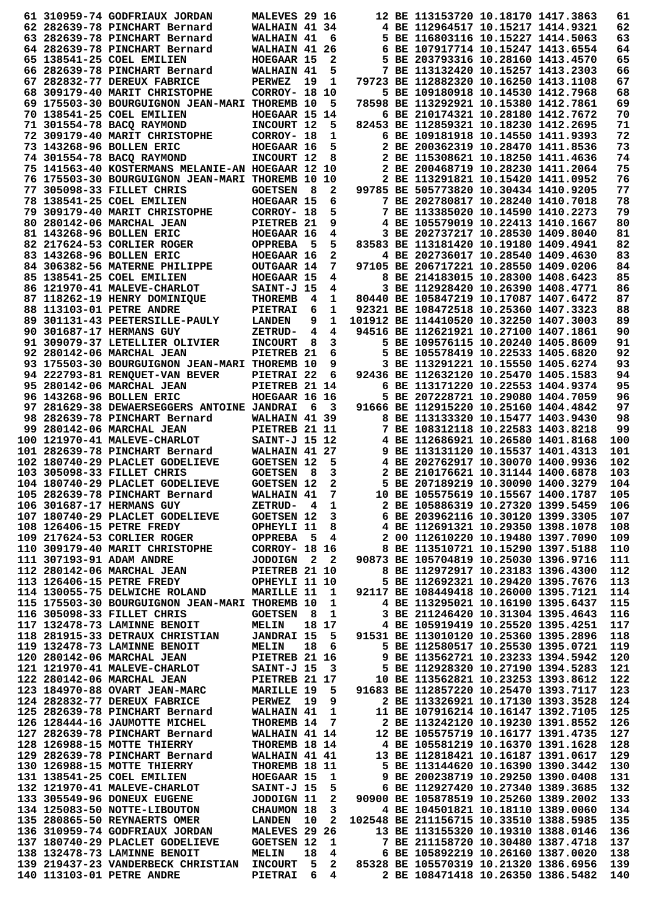|  | 61 310959-74 GODFRIAUX JORDAN                                                        | MALEVES 29 16                         |      |                | 12 BE 113153720 10.18170 1417.3863                                     |  | 61         |
|--|--------------------------------------------------------------------------------------|---------------------------------------|------|----------------|------------------------------------------------------------------------|--|------------|
|  | 62 282639-78 PINCHART Bernard                                                        | WALHAIN 41 34                         |      |                | 4 BE 112964517 10.15217 1414.9321                                      |  | 62         |
|  | 63 282639-78 PINCHART Bernard                                                        | WALHAIN 41                            |      | 6              | 5 BE 116803116 10.15227 1414.5063                                      |  | 63         |
|  | 64 282639-78 PINCHART Bernard                                                        | WALHAIN 41 26                         |      |                | 6 BE 107917714 10.15247 1413.6554                                      |  | 64         |
|  | 65 138541-25 COEL EMILIEN                                                            | HOEGAAR 15                            |      | 2              | 5 BE 203793316 10.28160 1413.4570                                      |  | 65         |
|  | 66 282639-78 PINCHART Bernard                                                        | WALHAIN 41                            |      | 5              | 7 BE 113132420 10.15257 1413.2303                                      |  | 66         |
|  | 67 282832-77 DEREUX FABRICE                                                          | PERWEZ                                | 19   | 1              | 79723 BE 112882320 10.16250 1413.1108                                  |  | 67         |
|  | 68 309179-40 MARIT CHRISTOPHE                                                        | <b>CORROY- 18 10</b>                  |      |                | 5 BE 109180918 10.14530 1412.7968                                      |  | 68         |
|  | 69 175503-30 BOURGUIGNON JEAN-MARI THOREMB 10                                        |                                       |      | 5              | 78598 BE 113292921 10.15380 1412.7861                                  |  | 69         |
|  | 70 138541-25 COEL EMILIEN                                                            | HOEGAAR 15 14                         |      |                | 6 BE 210174321 10.28180 1412.7672                                      |  | 70         |
|  | 71 301554-78 BACQ RAYMOND                                                            | INCOURT 12                            |      | 5              | 82453 BE 112859321 10.18230 1412.2695                                  |  | 71         |
|  | 72 309179-40 MARIT CHRISTOPHE                                                        | CORROY- 18                            |      | 1              | 6 BE 109181918 10.14550 1411.9393                                      |  | 72         |
|  | 73 143268-96 BOLLEN ERIC                                                             | HOEGAAR 16                            |      | 5              | 2 BE 200362319 10.28470 1411.8536                                      |  | 73         |
|  | 74 301554-78 BACQ RAYMOND                                                            | INCOURT 12                            |      | 8              | 2 BE 115308621 10.18250 1411.4636                                      |  | 74         |
|  | 75 141563-40 KOSTERMANS MELANIE-AN HOEGAAR 12 10                                     |                                       |      |                | 2 BE 200468719 10.28230 1411.2064                                      |  | 75         |
|  | 76 175503-30 BOURGUIGNON JEAN-MARI THOREMB 10 10                                     |                                       |      |                | 2 BE 113291821 10.15420 1411.0952                                      |  | 76         |
|  | 77 305098-33 FILLET CHRIS                                                            | <b>GOETSEN</b>                        | - 8  | $\mathbf{2}$   | 99785 BE 505773820 10.30434 1410.9205                                  |  | 77         |
|  | 78 138541-25 COEL EMILIEN                                                            | HOEGAAR 15                            |      | 6              | 7 BE 202780817 10.28240 1410.7018                                      |  | 78         |
|  | 79 309179-40 MARIT CHRISTOPHE                                                        | CORROY- 18                            |      | 5              | 7 BE 113385020 10.14590 1410.2273                                      |  | 79         |
|  | 80 280142-06 MARCHAL JEAN                                                            | PIETREB 21                            |      | 9              | 4 BE 105579019 10.22413 1410.1667                                      |  | 80         |
|  | 81 143268-96 BOLLEN ERIC                                                             | HOEGAAR 16                            |      | 4              | 3 BE 202737217 10.28530 1409.8040                                      |  | 81         |
|  | 82 217624-53 CORLIER ROGER                                                           | <b>OPPREBA</b>                        | - 5  | 5.             | 83583 BE 113181420 10.19180 1409.4941                                  |  | 82         |
|  | 83 143268-96 BOLLEN ERIC                                                             | HOEGAAR 16                            |      | $\mathbf{2}$   | 4 BE 202736017 10.28540 1409.4630                                      |  | 83         |
|  | 84 306382-56 MATERNE PHILIPPE                                                        | OUTGAAR 14                            |      | 7              | 97105 BE 206717221 10.28550 1409.0206                                  |  | 84         |
|  | 85 138541-25 COEL EMILIEN                                                            | HOEGAAR 15                            |      | 4              | 8 BE 214183015 10.28300 1408.6423                                      |  | 85         |
|  | 86 121970-41 MALEVE-CHARLOT                                                          | SAINT-J 15                            |      | 4              | 3 BE 112928420 10.26390 1408.4771                                      |  | 86         |
|  | 87 118262-19 HENRY DOMINIQUE                                                         | <b>THOREMB</b>                        | 4    | 1              | 80440 BE 105847219 10.17087 1407.6472                                  |  | 87         |
|  | 88 113103-01 PETRE ANDRE                                                             | <b>PIETRAI</b>                        | 6    | 1              | 92321 BE 108472518 10.25360 1407.3323                                  |  | 88         |
|  | 89 301131-43 PEETERSILLE-PAULY                                                       | <b>LANDEN</b>                         | 9    | 1              | 101912 BE 114410520 10.32250 1407.3003                                 |  | 89         |
|  | 90 301687-17 HERMANS GUY                                                             | ZETRUD-                               | 4    | 4              | 94516 BE 112621921 10.27100 1407.1861                                  |  | 90         |
|  | 91 309079-37 LETELLIER OLIVIER                                                       | <b>INCOURT</b>                        | 8    | 3              | 5 BE 109576115 10.20240 1405.8609                                      |  | 91         |
|  | 92 280142-06 MARCHAL JEAN                                                            | PIETREB <sub>21</sub>                 |      | 6              | 5 BE 105578419 10.22533 1405.6820                                      |  | 92         |
|  | 93 175503-30 BOURGUIGNON JEAN-MARI THOREMB 10                                        |                                       |      | 9              | 3 BE 113291221 10.15550 1405.6274                                      |  | 93         |
|  | 94 222793-81 RENQUET-VAN BEVER                                                       | PIETRAI 22                            |      | 6              | 92436 BE 112632120 10.25470 1405.1583                                  |  | 94         |
|  | 95 280142-06 MARCHAL JEAN                                                            | PIETREB 21 14                         |      |                | 6 BE 113171220 10.22553 1404.9374                                      |  | 95         |
|  | 96 143268-96 BOLLEN ERIC                                                             | HOEGAAR 16 16                         |      |                | 5 BE 207228721 10.29080 1404.7059                                      |  | 96         |
|  | 97 281629-38 DEWAERSEGGERS ANTOINE JANDRAI                                           |                                       | 6    | 3              | 91666 BE 112915220 10.25160 1404.4842                                  |  | 97         |
|  | 98 282639-78 PINCHART Bernard                                                        | WALHAIN 41 39                         |      |                | 8 BE 113133320 10.15477 1403.9430                                      |  | 98         |
|  | 99 280142-06 MARCHAL JEAN                                                            | PIETREB 21 11                         |      |                | 7 BE 108312118 10.22583 1403.8218                                      |  | 99         |
|  | 100 121970-41 MALEVE-CHARLOT                                                         | SAINT-J 15 12                         |      |                | 4 BE 112686921 10.26580 1401.8168                                      |  | 100        |
|  | 101 282639-78 PINCHART Bernard                                                       | WALHAIN 41 27                         |      |                | 9 BE 113131120 10.15537 1401.4313                                      |  | 101        |
|  | 102 180740-29 PLACLET GODELIEVE                                                      | <b>GOETSEN 12</b>                     |      | 5              | 4 BE 202762917 10.30070 1400.9936                                      |  | 102        |
|  | 103 305098-33 FILLET CHRIS                                                           | <b>GOETSEN</b>                        | - 8  | 3              | 2 BE 210176621 10.31144 1400.6878                                      |  | 103        |
|  | 104 180740-29 PLACLET GODELIEVE                                                      | <b>GOETSEN 12</b>                     |      | 2              | 5 BE 207189219 10.30090 1400.3279                                      |  | 104        |
|  | 105 282639-78 PINCHART Bernard                                                       | WALHAIN 41                            |      | 7              | 10 BE 105575619 10.15567 1400.1787                                     |  | 105        |
|  | 106 301687-17 HERMANS GUY                                                            | ZETRUD- 4 1                           |      |                | 2 BE 105886319 10.27320 1399.5459                                      |  | 106        |
|  | 107 180740-29 PLACLET GODELIEVE                                                      | <b>GOETSEN 12</b>                     |      | $\mathbf{3}$   | 6 BE 203962116 10.30120 1399.3305                                      |  | 107        |
|  | 108 126406-15 PETRE FREDY                                                            | OPHEYLI 11                            |      | 8              | 4 BE 112691321 10.29350 1398.1078                                      |  | 108        |
|  | 109 217624-53 CORLIER ROGER                                                          | <b>OPPREBA 5</b>                      |      | 4              | 2 00 112610220 10.19480 1397.7090                                      |  | 109        |
|  | 110 309179-40 MARIT CHRISTOPHE                                                       | CORROY- 18 16<br>JODOIGN 2 2          |      |                | 8 BE 113510721 10.15290 1397.5188                                      |  | 110        |
|  | 111 307193-91 ADAM ANDRE                                                             |                                       |      |                | 90873 BE 105704819 10.25030 1396.9716                                  |  | 111        |
|  | 112  280142-06 MARCHAL JEAN<br>113  126406-15 PETRE FREDY                            | PIETREB 21 10                         |      |                | 8 BE 112972917 10.23183 1396.4300                                      |  | 112        |
|  |                                                                                      | OPHEYLI 11 10                         |      |                | 5 BE 112692321 10.29420 1395.7676                                      |  | 113        |
|  | 114 130055-75 DELWICHE ROLAND MARILLE 11                                             |                                       |      | 1              | 92117 BE 108449418 10.26000 1395.7121                                  |  | 114        |
|  | 115 175503-30 BOURGUIGNON JEAN-MARI THOREMB 10                                       |                                       |      | $\mathbf{1}$   | 4 BE 113295021 10.16190 1395.6437                                      |  | 115        |
|  | 116 305098-33 FILLET CHRIS                                                           | GOETSEN 8                             |      | $\mathbf{1}$   | 3 BE 211246420 10.31304 1395.4643                                      |  | 116        |
|  | 117 132478-73 LAMINNE BENOIT                                                         | <b>MELIN</b>                          |      | 18 17          | 4 BE 105919419 10.25520 1395.4251                                      |  | 117        |
|  | 118 281915-33 DETRAUX CHRISTIAN                                                      | JANDRAI 15 5                          |      |                | 91531 BE 113010120 10.25360 1395.2896                                  |  | 118        |
|  | 119 132478-73 LAMINNE BENOIT                                                         | <b>MELIN</b>                          | 18 6 |                | 5 BE 112580517 10.25530 1395.0721                                      |  | 119        |
|  | 120 280142-06 MARCHAL JEAN                                                           | PIETREB 21 16                         |      |                | 9 BE 113562721 10.23233 1394.5942                                      |  | 120        |
|  | 121 121970-41 MALEVE-CHARLOT                                                         | <b>SAINT-J 15 3<br/>PIETREB 21 17</b> |      |                | 5 BE 112928320 10.27190 1394.5283                                      |  | 121        |
|  | 122 280142-06 MARCHAL JEAN                                                           |                                       |      |                | 10 BE 113562821 10.23253 1393.8612                                     |  | 122        |
|  | 123 184970-88 OVART JEAN-MARC MARILLE 19 5                                           |                                       |      |                | 91683 BE 112857220 10.25470 1393.7117                                  |  | 123        |
|  | 124  282832-77  DEREUX FABRICE                                                       | PERWEZ 19                             |      | 9              | 2 BE 113326921 10.17130 1393.3528                                      |  | 124        |
|  | 125 282639-78 PINCHART Bernard                                                       | <b>WALHAIN 41</b>                     |      | $\mathbf 1$    | 11 BE 107916214 10.16147 1392.7105                                     |  | 125        |
|  | 126 128444-16 JAUMOTTE MICHEL                                                        | THOREMB 14                            |      | $\overline{7}$ | 2 BE 113242120 10.19230 1391.8552                                      |  | 126        |
|  | 127 282639-78 PINCHART Bernard                                                       | WALHAIN 41 14                         |      |                | 12 BE 105575719 10.16177 1391.4735                                     |  | 127        |
|  | 128 126988-15 MOTTE THIERRY                                                          | THOREMB 18 14                         |      |                | 4 BE 105581219 10.16370 1391.1628                                      |  | 128        |
|  | 129 282639-78 PINCHART Bernard                                                       | WALHAIN 41 41                         |      |                | 13 BE 112818421 10.16187 1391.0617                                     |  | 129        |
|  | 130 126988-15 MOTTE THIERRY                                                          | THOREMB 18 11                         |      |                | 5 BE 113144620 10.16390 1390.3442                                      |  | 130        |
|  | 131 138541-25 COEL EMILIEN                                                           | HOEGAAR 15                            |      | $\mathbf 1$    | 9 BE 200238719 10.29250 1390.0408                                      |  | 131        |
|  | 132 121970-41 MALEVE-CHARLOT                                                         | <b>SAINT-J 15</b>                     |      | 5              | 6 BE 112927420 10.27340 1389.3685                                      |  | 132        |
|  |                                                                                      | JODOIGN 11                            |      | 2              | 90900 BE 105878519 10.25260 1389.2002                                  |  | 133        |
|  | 134 125083-50 NOTTE-LIBOUTON                                                         | <b>CHAUMON 18</b>                     |      | 3              | 4 BE 104501821 10.18110 1389.0060                                      |  | 134        |
|  | 135 280865-50 REYNAERTS OMER                                                         | <b>LANDEN</b> 10                      |      | $\mathbf{2}$   | 102548 BE 211156715 10.33510 1388.5985                                 |  | 135        |
|  | 136 310959-74 GODFRIAUX JORDAN                                                       | MALEVES 29 26                         |      |                | 13 BE 113155320 10.19310 1388.0146                                     |  | 136        |
|  | 137 180740-29 PLACLET GODELIEVE<br>138 132478-73 LAMINNE BENOIT                      | <b>GOETSEN 12</b>                     | 18   | $\mathbf 1$    | 7 BE 211158720 10.30480 1387.4718<br>6 BE 105892219 10.26160 1387.0020 |  | 137<br>138 |
|  | 139 219437-23 VANDERBECK CHRISTIAN INCOURT 5 2 85328 BE 105570319 10.21320 1386.6956 | <b>MELIN</b>                          |      | 4              |                                                                        |  | 139        |
|  | 140 113103-01 PETRE ANDRE                                                            | <b>PIETRAI</b>                        | 6    | 4              | 2 BE 108471418 10.26350 1386.5482                                      |  | 140        |
|  |                                                                                      |                                       |      |                |                                                                        |  |            |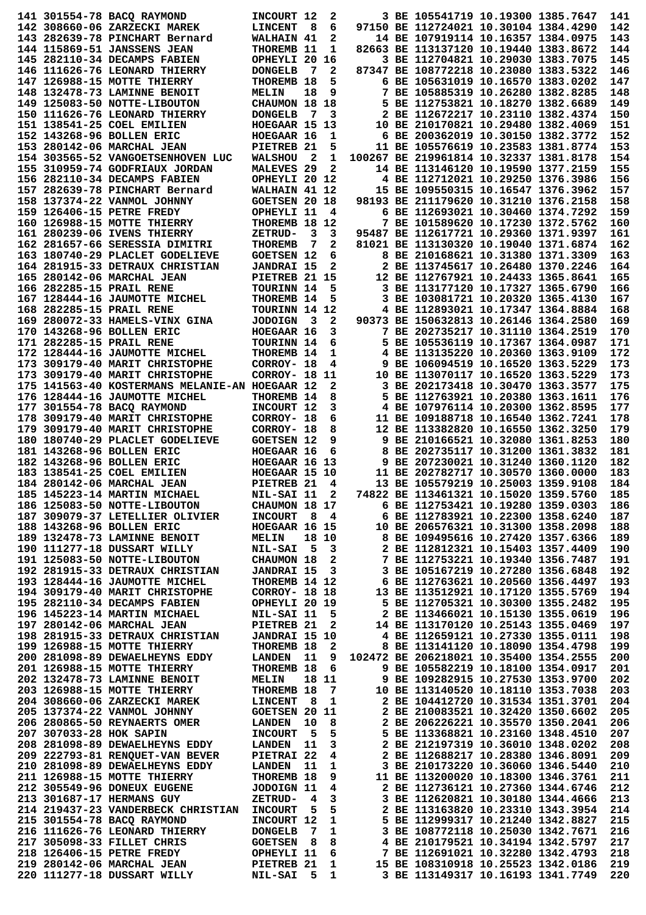|                         | 141 301554-78 BACQ RAYMOND                                                             | INCOURT 12            |      | 2                           |  | 3 BE 105541719 10.19300 1385.7647                                       |                                   | 141        |
|-------------------------|----------------------------------------------------------------------------------------|-----------------------|------|-----------------------------|--|-------------------------------------------------------------------------|-----------------------------------|------------|
|                         | 142 308660-06 ZARZECKI MAREK                                                           | <b>LINCENT</b>        | - 8  | 6                           |  | 97150 BE 112724021 10.30104 1384.4290                                   |                                   | 142        |
|                         | 143 282639-78 PINCHART Bernard                                                         | WALHAIN 41            |      | 2                           |  | 14 BE 107919114 10.16357 1384.0975                                      |                                   | 143        |
|                         | <b>144 115869-51 JANSSENS JEAN</b>                                                     | THOREMB 11            |      | 1                           |  | 82663 BE 113137120 10.19440 1383.8672                                   |                                   | 144        |
|                         | 145 282110-34 DECAMPS FABIEN                                                           | OPHEYLI 20            |      | 16                          |  | 3 BE 112704821 10.29030 1383.7075                                       |                                   | 145        |
|                         |                                                                                        |                       | - 7  | 2                           |  | 87347 BE 108772218 10.23080 1383.5322                                   |                                   | 146        |
|                         | 146 111626-76 LEONARD THIERRY                                                          | <b>DONGELB</b>        |      |                             |  |                                                                         |                                   |            |
|                         | 147 126988-15 MOTTE THIERRY                                                            | THOREMB 18            |      | 5                           |  | 6 BE 105631019 10.16570 1383.0202                                       |                                   | 147        |
|                         | 148 132478-73 LAMINNE BENOIT                                                           | MELIN                 | 18   | 9                           |  | 7 BE 105885319 10.26280 1382.8285                                       |                                   | 148        |
|                         | 149 125083-50 NOTTE-LIBOUTON                                                           | CHAUMON 18 18         |      |                             |  | 5 BE 112753821 10.18270 1382.6689                                       |                                   | 149        |
|                         | 150 111626-76 LEONARD THIERRY                                                          | <b>DONGELB</b>        | 7    | з                           |  | 2 BE 112672217 10.23110 1382.4374                                       |                                   | 150        |
|                         | 151 138541-25 COEL EMILIEN                                                             | HOEGAAR 15 13         |      |                             |  | 10 BE 210170821 10.29480 1382.4069                                      |                                   | 151        |
|                         | 152 143268-96 BOLLEN ERIC                                                              | HOEGAAR 16            |      | 1                           |  | 6 BE 200362019 10.30150 1382.3772                                       |                                   | 152        |
|                         | 153 280142-06 MARCHAL JEAN                                                             | PIETREB 21            |      | 5                           |  | 11 BE 105576619 10.23583 1381.8774                                      |                                   | 153        |
|                         | 154 303565-52 VANGOETSENHOVEN LUC                                                      | <b>WALSHOU</b>        | - 2  | 1                           |  | 100267 BE 219961814 10.32337 1381.8178                                  |                                   | 154        |
|                         | 155 310959-74 GODFRIAUX JORDAN                                                         | MALEVES <sub>29</sub> |      | 2                           |  | 14 BE 113146120 10.19590 1377.2159                                      |                                   | 155        |
|                         | 156 282110-34 DECAMPS FABIEN                                                           | OPHEYLI 20 12         |      |                             |  | 4 BE 112712021 10.29250 1376.3986                                       |                                   | 156        |
|                         |                                                                                        |                       |      |                             |  | 15 BE 109550315 10.16547 1376.3962                                      |                                   | 157        |
|                         | 157 282639-78 PINCHART Bernard                                                         | WALHAIN 41 12         |      |                             |  |                                                                         |                                   |            |
|                         | 158 137374-22 VANMOL JOHNNY                                                            | <b>GOETSEN 20 18</b>  |      |                             |  | 98193 BE 211179620 10.31210 1376.2158                                   |                                   | 158        |
|                         | 159 126406-15 PETRE FREDY                                                              | OPHEYLI 11            |      | 4                           |  | 6 BE 112693021 10.30460 1374.7292                                       |                                   | 159        |
|                         | 160 126988-15 MOTTE THIERRY                                                            | THOREMB 18 12         |      |                             |  | 7 BE 101589620 10.17230 1372.5762                                       |                                   | 160        |
|                         | 161 280239-06 IVENS THIERRY                                                            | ZETRUD-               | 3    | 3                           |  | 95487 BE 112617721 10.29360 1371.9397                                   |                                   | 161        |
|                         | 162 281657-66 SERESSIA DIMITRI                                                         | <b>THOREMB</b>        | 7    | 2                           |  | 81021 BE 113130320 10.19040 1371.6874                                   |                                   | 162        |
|                         | 163 180740-29 PLACLET GODELIEVE                                                        | <b>GOETSEN 12</b>     |      | 6                           |  | 8 BE 210168621 10.31380 1371.3309                                       |                                   | 163        |
|                         | 164 281915-33 DETRAUX CHRISTIAN                                                        | <b>JANDRAI 15</b>     |      | 2                           |  | 2 BE 113745617 10.26480 1370.2246                                       |                                   | 164        |
|                         | 165 280142-06 MARCHAL JEAN                                                             | PIETREB 21 15         |      |                             |  | 12 BE 112767921 10.24433 1365.8641                                      |                                   | 165        |
|                         | 166 282285-15 PRAIL RENE                                                               | TOURINN 14            |      | 5                           |  | 3 BE 113177120 10.17327 1365.6790                                       |                                   | 166        |
|                         | 167 128444-16 JAUMOTTE MICHEL                                                          | THOREMB 14            |      | 5                           |  | 3 BE 103081721 10.20320 1365.4130                                       |                                   | 167        |
|                         | <b>168 282285-15 PRAIL RENE</b>                                                        | TOURINN 14 12         |      |                             |  | 4 BE 112893021 10.17347 1364.8884                                       |                                   | 168        |
|                         |                                                                                        |                       |      |                             |  |                                                                         |                                   |            |
|                         | 169 280072-33 HAMELS-VINX GINA                                                         | <b>JODOIGN</b>        | - 3  | 2                           |  | 90373 BE 150632813 10.26146 1364.2580                                   |                                   | 169        |
|                         | 170 143268-96 BOLLEN ERIC                                                              | HOEGAAR 16            |      | 3                           |  | 7 BE 202735217 10.31110 1364.2519                                       |                                   | 170        |
|                         | 171 282285-15 PRAIL RENE                                                               | TOURINN 14            |      | 6                           |  | 5 BE 105536119 10.17367 1364.0987                                       |                                   | 171        |
|                         | 172 128444-16 JAUMOTTE MICHEL                                                          | THOREMB 14            |      | 1                           |  | 4 BE 113135220 10.20360 1363.9109                                       |                                   | 172        |
|                         | 173 309179-40 MARIT CHRISTOPHE                                                         | CORROY- 18            |      | 4                           |  | 9 BE 106094519 10.16520 1363.5229                                       |                                   | 173        |
|                         | 173 309179-40 MARIT CHRISTOPHE                                                         | CORROY- 18 11         |      |                             |  | 10 BE 113070117 10.16520 1363.5229                                      |                                   | 173        |
|                         | 175 141563-40 KOSTERMANS MELANIE-AN HOEGAAR 12                                         |                       |      | 2                           |  | 3 BE 202173418 10.30470 1363.3577                                       |                                   | 175        |
|                         | 176 128444-16 JAUMOTTE MICHEL                                                          | THOREMB 14            |      | 8                           |  | 5 BE 112763921 10.20380 1363.1611                                       |                                   | 176        |
|                         | 177 301554-78 BACQ RAYMOND                                                             | INCOURT 12            |      | 3                           |  | 4 BE 107976114 10.20300 1362.8595                                       |                                   | 177        |
|                         | 178 309179-40 MARIT CHRISTOPHE                                                         | CORROY- 18            |      | 6                           |  | 11 BE 109188718 10.16540 1362.7241                                      |                                   | 178        |
|                         |                                                                                        |                       |      |                             |  |                                                                         |                                   | 179        |
|                         | 179 309179-40 MARIT CHRISTOPHE                                                         | CORROY- 18            |      | 8                           |  | 12 BE 113382820 10.16550 1362.3250                                      |                                   |            |
|                         | 180 180740-29 PLACLET GODELIEVE                                                        | <b>GOETSEN 12</b>     |      | 9                           |  | 9 BE 210166521 10.32080 1361.8253                                       |                                   | 180        |
|                         | 181 143268-96 BOLLEN ERIC                                                              | HOEGAAR 16            |      | 6                           |  | 8 BE 202735117 10.31200 1361.3832                                       |                                   | 181        |
|                         | 182 143268-96 BOLLEN ERIC                                                              | HOEGAAR 16 13         |      |                             |  | 9 BE 207230021 10.31240 1360.1120                                       |                                   | 182        |
|                         | 183 138541-25 COEL EMILIEN                                                             | HOEGAAR 15 10         |      |                             |  | 11 BE 202782717 10.30570 1360.0000                                      |                                   | 183        |
|                         | 184 280142-06 MARCHAL JEAN                                                             | PIETREB 21            |      | 4                           |  | 13 BE 105579219 10.25003 1359.9108                                      |                                   | 184        |
|                         | 185 145223-14 MARTIN MICHAEL                                                           | NIL-SAI 11 2          |      |                             |  | 74822 BE 113461321 10.15020 1359.5760                                   |                                   | 185        |
|                         | 186 125083-50 NOTTE-LIBOUTON                                                           | CHAUMON 18 17         |      |                             |  | 6 BE 112753421 10.19280 1359.0303                                       |                                   | 186        |
|                         | 187 309079-37 LETELLIER OLIVIER                                                        | INCOURT 8 4           |      |                             |  | 6 BE 112783921 10.22300 1358.6240                                       |                                   | 187        |
|                         | 188 143268-96 BOLLEN ERIC                                                              | HOEGAAR 16 15         |      |                             |  | 10 BE 206576321 10.31300 1358.2098                                      |                                   | 188        |
|                         | 189 132478-73 LAMINNE BENOIT                                                           | <b>MELIN</b>          |      | 18 10                       |  | 8 BE 109495616 10.27420 1357.6366                                       |                                   | 189        |
|                         | 190 111277-18 DUSSART WILLY                                                            | <b>NIL-SAI</b>        | $-5$ | $\overline{\mathbf{3}}$     |  | 2 BE 112812321 10.15403 1357.4409                                       |                                   | 190        |
|                         | 191 125083-50 NOTTE-LIBOUTON                                                           | <b>CHAUMON 18</b>     |      | $\overline{2}$              |  | 7 BE 112753221 10.19340 1356.7487                                       |                                   | 191        |
|                         |                                                                                        |                       |      |                             |  |                                                                         |                                   |            |
|                         | 192 281915-33 DETRAUX CHRISTIAN                                                        | <b>JANDRAI 15 3</b>   |      |                             |  | 3 BE 105167219 10.27280 1356.6848                                       |                                   | 192        |
|                         | 193 128444-16 JAUMOTTE MICHEL                                                          | THOREMB 14 12         |      |                             |  | 6 BE 112763621 10.20560 1356.4497                                       |                                   | 193        |
|                         | 194 309179-40 MARIT CHRISTOPHE                                                         | <b>CORROY- 18 18</b>  |      |                             |  | 13 BE 113512921 10.17120 1355.5769                                      |                                   | 194        |
|                         | 195 282110-34 DECAMPS FABIEN                                                           | OPHEYLI 20 19         |      |                             |  | 5 BE 112705321 10.30300 1355.2482                                       |                                   | 195        |
|                         | 196 145223-14 MARTIN MICHAEL                                                           | NIL-SAI 11 5          |      |                             |  | 2 BE 113466021 10.15130 1355.0619                                       |                                   | 196        |
|                         | 197 280142-06 MARCHAL JEAN                                                             | PIETREB 21            |      | 2                           |  | 14 BE 113170120 10.25143 1355.0469                                      |                                   | 197        |
|                         | 198 281915-33 DETRAUX CHRISTIAN JANDRAI 15 10                                          |                       |      |                             |  | 4 BE 112659121 10.27330 1355.0111                                       |                                   | 198        |
|                         | 199 126988-15 MOTTE THIERRY                                                            | THOREMB 18            |      | $\overline{\mathbf{2}}$     |  | 8 BE 113141120 10.18090 1354.4798                                       |                                   | 199        |
|                         | 200 281098-89 DEWAELHEYNS EDDY                                                         | <b>LANDEN</b> 11      |      | 9                           |  | 102472 BE 206218021 10.35400 1354.2555                                  |                                   | 200        |
|                         | 201 126988-15 MOTTE THIERRY                                                            | THOREMB 18            |      | 6                           |  | 9 BE 105582219 10.18100 1354.0917                                       |                                   | 201        |
|                         | 202 132478-73 LAMINNE BENOIT                                                           | <b>MELIN</b>          |      | 18 11                       |  | 9 BE 109282915 10.27530 1353.9700                                       |                                   | 202        |
|                         | 203 126988-15 MOTTE THIERRY                                                            | THOREMB 18            |      | $\overline{7}$              |  | 10 BE 113140520 10.18110 1353.7038                                      |                                   | 203        |
|                         | 204 308660-06 ZARZECKI MAREK                                                           | LINCENT               | - 8  | $\mathbf{1}$                |  | 2 BE 104412720 10.31534 1351.3701                                       |                                   | 204        |
|                         |                                                                                        |                       |      |                             |  |                                                                         |                                   |            |
|                         | 205 137374-22 VANMOL JOHNNY                                                            | <b>GOETSEN 20 11</b>  |      |                             |  | 2 BE 210083521 10.32420 1350.6602                                       |                                   | 205        |
|                         | 206 280865-50 REYNAERTS OMER                                                           | <b>LANDEN</b>         | 10   | 8                           |  | 2 BE 206226221 10.35570 1350.2041                                       |                                   | 206        |
| 207 307033-28 HOK SAPIN |                                                                                        | <b>INCOURT</b>        | - 5  | 5                           |  | 5 BE 113368821 10.23160 1348.4510                                       |                                   | 207        |
|                         | 208 281098-89 DEWAELHEYNS EDDY                                                         | --<br>LANDEN          | 11   | $\mathbf{3}$                |  | 2 BE 212197319 10.36010 1348.0202                                       |                                   | 208        |
|                         | 209 222793-81 RENOUET-VAN BEVER                                                        | PIETRAI 22            |      | 4                           |  | 2 BE 112688217 10.28380 1346.8091                                       |                                   | 209        |
|                         | 210 281098-89 DEWAELHEYNS EDDY                                                         | <b>LANDEN</b>         | 11   | 1                           |  | 3 BE 210173220 10.36060 1346.5440                                       |                                   | 210        |
|                         | 211 126988-15 MOTTE THIERRY                                                            | THOREMB 18            |      | 9                           |  | 11 BE 113200020 10.18300 1346.3761                                      |                                   | 211        |
|                         | 212 305549-96 DONEUX EUGENE                                                            | JODOIGN 11            |      | 4                           |  | 2 BE 112736121 10.27360 1344.6746                                       |                                   | 212        |
|                         | 213 301687-17 HERMANS GUY                                                              | <b>ZETRUD-</b>        | 4    | 3                           |  | 3 BE 112620821 10.30180 1344.4666                                       |                                   | 213        |
|                         | 214 219437-23 VANDERBECK CHRISTIAN                                                     | <b>INCOURT</b>        | - 5  | 5                           |  | 2 BE 113163820 10.23310 1343.3954                                       |                                   | 214        |
|                         | 215 301554-78 BACO RAYMOND                                                             | INCOURT 12            |      | 1                           |  | 5 BE 112999317 10.21240 1342.8827                                       |                                   | 215        |
|                         |                                                                                        |                       |      |                             |  |                                                                         |                                   | 216        |
|                         |                                                                                        |                       |      |                             |  |                                                                         |                                   |            |
|                         | 216 111626-76 LEONARD THIERRY                                                          | <b>DONGELB</b>        | - 7  | $\mathbf 1$                 |  |                                                                         | 3 BE 108772118 10.25030 1342.7671 |            |
|                         | 217 305098-33 FILLET CHRIS                                                             | <b>GOETSEN</b>        | - 8  | 8                           |  | 4 BE 210179521 10.34194 1342.5797                                       |                                   | 217        |
|                         | 218 126406-15 PETRE FREDY                                                              | OPHEYLI 11            |      | 6                           |  | 7 BE 112691021 10.32280 1342.4793                                       |                                   | 218        |
|                         | <b>219 280142-06 MARCHAL JEAN PIETREB 21<br/>220 111277-18 DUSSART WILLY MIL-SAI 5</b> |                       |      | $\mathbf 1$<br>$\mathbf{1}$ |  | 15 BE 108310918 10.25523 1342.0186<br>3 BE 113149317 10.16193 1341.7749 |                                   | 219<br>220 |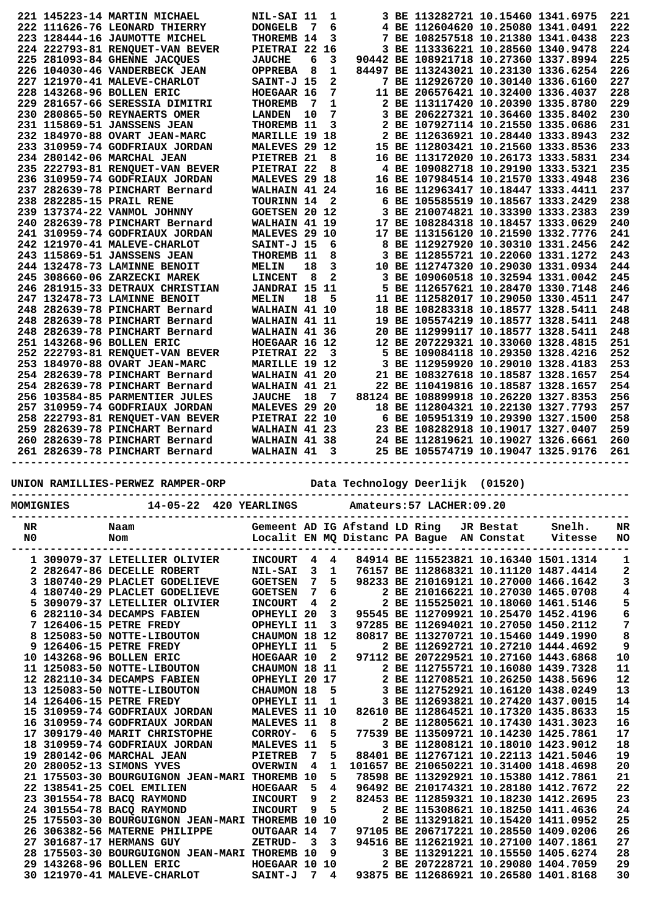|  | 221 145223-14 MARTIN MICHAEL    | NIL-SAI 11           |    | 1 |  | 3 BE 113282721 10.15460 1341.6975     |  | 221 |
|--|---------------------------------|----------------------|----|---|--|---------------------------------------|--|-----|
|  | 222 111626-76 LEONARD THIERRY   | <b>DONGELB</b>       | 7  | 6 |  | 4 BE 112604620 10.25080 1341.0491     |  | 222 |
|  | 223 128444-16 JAUMOTTE MICHEL   | THOREMB 14           |    | 3 |  | 7 BE 108257518 10.21380 1341.0438     |  | 223 |
|  | 224 222793-81 RENOUET-VAN BEVER | PIETRAI 22 16        |    |   |  | 3 BE 113336221 10.28560 1340.9478     |  | 224 |
|  | 225 281093-84 GHENNE JACQUES    | <b>JAUCHE</b>        | 6  | 3 |  | 90442 BE 108921718 10.27360 1337.8994 |  | 225 |
|  | 226 104030-46 VANDERBECK JEAN   | <b>OPPREBA</b>       | 8  | 1 |  | 84497 BE 113243021 10.23130 1336.6254 |  | 226 |
|  | 227 121970-41 MALEVE-CHARLOT    | SAINT-J 15           |    | 2 |  | 7 BE 112926720 10.30140 1336.6160     |  | 227 |
|  | 228 143268-96 BOLLEN ERIC       | HOEGAAR 16           |    | 7 |  | 11 BE 206576421 10.32400 1336.4037    |  | 228 |
|  | 229 281657-66 SERESSIA DIMITRI  | <b>THOREMB</b>       | 7  | 1 |  | 2 BE 113117420 10.20390 1335.8780     |  | 229 |
|  | 230 280865-50 REYNAERTS OMER    | <b>LANDEN</b>        | 10 | 7 |  | 3 BE 206227321 10.36460 1335.8402     |  | 230 |
|  | 231 115869-51 JANSSENS JEAN     | THOREMB 11           |    | 3 |  | 2 BE 107927114 10.21550 1335.0686     |  | 231 |
|  | 232 184970-88 OVART JEAN-MARC   | MARILLE 19 18        |    |   |  | 2 BE 112636921 10.28440 1333.8943     |  | 232 |
|  | 233 310959-74 GODFRIAUX JORDAN  | MALEVES 29 12        |    |   |  | 15 BE 112803421 10.21560 1333.8536    |  | 233 |
|  | 234 280142-06 MARCHAL JEAN      | PIETREB 21           |    | 8 |  | 16 BE 113172020 10.26173 1333.5831    |  | 234 |
|  | 235 222793-81 RENQUET-VAN BEVER | PIETRAI 22           |    | 8 |  | 4 BE 109082718 10.29190 1333.5321     |  | 235 |
|  | 236 310959-74 GODFRIAUX JORDAN  | MALEVES 29 18        |    |   |  | 16 BE 107984514 10.21570 1333.4948    |  | 236 |
|  | 237 282639-78 PINCHART Bernard  | WALHAIN 41 24        |    |   |  | 16 BE 112963417 10.18447 1333.4411    |  | 237 |
|  | 238 282285-15 PRAIL RENE        | TOURINN 14           |    | 2 |  | 6 BE 105585519 10.18567 1333.2429     |  | 238 |
|  | 239 137374-22 VANMOL JOHNNY     | <b>GOETSEN 20 12</b> |    |   |  | 3 BE 210074821 10.33390 1333.2383     |  | 239 |
|  | 240 282639-78 PINCHART Bernard  | WALHAIN 41 19        |    |   |  | 17 BE 108284318 10.18457 1333.0629    |  | 240 |
|  | 241 310959-74 GODFRIAUX JORDAN  | MALEVES 29 10        |    |   |  | 17 BE 113156120 10.21590 1332.7776    |  | 241 |
|  | 242 121970-41 MALEVE-CHARLOT    | SAINT-J 15           |    | 6 |  | 8 BE 112927920 10.30310 1331.2456     |  | 242 |
|  | 243 115869-51 JANSSENS JEAN     | THOREMB 11           |    | 8 |  | 3 BE 112855721 10.22060 1331.1272     |  | 243 |
|  | 244 132478-73 LAMINNE BENOIT    | MELIN                | 18 | 3 |  | 10 BE 112747320 10.29030 1331.0934    |  | 244 |
|  | 245 308660-06 ZARZECKI MAREK    | <b>LINCENT</b>       | 8  | 2 |  | 3 BE 109060518 10.32594 1331.0042     |  | 245 |
|  | 246 281915-33 DETRAUX CHRISTIAN | JANDRAI 15 11        |    |   |  | 5 BE 112657621 10.28470 1330.7148     |  | 246 |
|  | 247 132478-73 LAMINNE BENOIT    | <b>MELIN</b>         | 18 | 5 |  | 11 BE 112582017 10.29050 1330.4511    |  | 247 |
|  | 248 282639-78 PINCHART Bernard  | WALHAIN 41 10        |    |   |  | 18 BE 108283318 10.18577 1328.5411    |  | 248 |
|  | 248 282639-78 PINCHART Bernard  | WALHAIN 41 11        |    |   |  | 19 BE 105574219 10.18577 1328.5411    |  | 248 |
|  | 248 282639-78 PINCHART Bernard  | WALHAIN 41 36        |    |   |  | 20 BE 112999117 10.18577 1328.5411    |  | 248 |
|  | 251 143268-96 BOLLEN ERIC       | HOEGAAR 16 12        |    |   |  | 12 BE 207229321 10.33060 1328.4815    |  | 251 |
|  | 252 222793-81 RENOUET-VAN BEVER | PIETRAI 22           |    | з |  | 5 BE 109084118 10.29350 1328.4216     |  | 252 |
|  | 253 184970-88 OVART JEAN-MARC   | MARILLE 19 12        |    |   |  | 3 BE 112959920 10.29010 1328.4183     |  | 253 |
|  | 254 282639-78 PINCHART Bernard  | WALHAIN 41 20        |    |   |  | 21 BE 108327618 10.18587 1328.1657    |  | 254 |
|  | 254 282639-78 PINCHART Bernard  | WALHAIN 41 21        |    |   |  | 22 BE 110419816 10.18587 1328.1657    |  | 254 |
|  | 256 103584-85 PARMENTIER JULES  | <b>JAUCHE</b>        | 18 | 7 |  | 88124 BE 108899918 10.26220 1327.8353 |  | 256 |
|  | 257 310959-74 GODFRIAUX JORDAN  | MALEVES 29 20        |    |   |  | 18 BE 112804321 10.22130 1327.7793    |  | 257 |
|  | 258 222793-81 RENQUET-VAN BEVER | PIETRAI 22 10        |    |   |  | 6 BE 105951319 10.29390 1327.1500     |  | 258 |
|  | 259 282639-78 PINCHART Bernard  | WALHAIN 41 23        |    |   |  | 23 BE 108282918 10.19017 1327.0407    |  | 259 |
|  | 260 282639-78 PINCHART Bernard  | WALHAIN 41 38        |    |   |  | 24 BE 112819621 10.19027 1326.6661    |  | 260 |
|  | 261 282639-78 PINCHART Bernard  | WALHAIN 41           |    | 3 |  | 25 BE 105574719 10.19047 1325.9176    |  | 261 |
|  |                                 |                      |    |   |  |                                       |  |     |

**UNION RAMILLIES-PERWEZ RAMPER-ORP Data Technology Deerlijk (01520)**

|          | MOMIGNIES | 14-05-22 420 YEARLINGS                                                                                                                                                                                                                                                                                                                                                                                                                                                                                                                                                                                                                                                                                                                                                                                                      |                                                                                                                                                                                                                                                                                                                                                                               |                                                     |                                                                                                                                                                |                               | Amateurs: 57 LACHER: 09.20                                                                                                                                                                                                                                                                                                                                                                                                                                                            |           |                                                                                                                                                                                                                                                                                                                                                                                                                                                                                                                           |                                                                                                                                                     |
|----------|-----------|-----------------------------------------------------------------------------------------------------------------------------------------------------------------------------------------------------------------------------------------------------------------------------------------------------------------------------------------------------------------------------------------------------------------------------------------------------------------------------------------------------------------------------------------------------------------------------------------------------------------------------------------------------------------------------------------------------------------------------------------------------------------------------------------------------------------------------|-------------------------------------------------------------------------------------------------------------------------------------------------------------------------------------------------------------------------------------------------------------------------------------------------------------------------------------------------------------------------------|-----------------------------------------------------|----------------------------------------------------------------------------------------------------------------------------------------------------------------|-------------------------------|---------------------------------------------------------------------------------------------------------------------------------------------------------------------------------------------------------------------------------------------------------------------------------------------------------------------------------------------------------------------------------------------------------------------------------------------------------------------------------------|-----------|---------------------------------------------------------------------------------------------------------------------------------------------------------------------------------------------------------------------------------------------------------------------------------------------------------------------------------------------------------------------------------------------------------------------------------------------------------------------------------------------------------------------------|-----------------------------------------------------------------------------------------------------------------------------------------------------|
| NR<br>N0 |           | Naam<br>Nom                                                                                                                                                                                                                                                                                                                                                                                                                                                                                                                                                                                                                                                                                                                                                                                                                 |                                                                                                                                                                                                                                                                                                                                                                               |                                                     |                                                                                                                                                                | Gemeent AD IG Afstand LD Ring | Localit EN MQ Distanc PA Bague AN Constat                                                                                                                                                                                                                                                                                                                                                                                                                                             | JR Bestat | Snelh.<br>Vitesse                                                                                                                                                                                                                                                                                                                                                                                                                                                                                                         | NR<br><b>NO</b>                                                                                                                                     |
|          |           | 1 309079-37 LETELLIER OLIVIER<br>2 282647-86 DECELLE ROBERT<br>3 180740-29 PLACLET GODELIEVE<br>4 180740-29 PLACLET GODELIEVE<br>5 309079-37 LETELLIER OLIVIER<br>6 282110-34 DECAMPS FABIEN<br>7 126406-15 PETRE FREDY<br>8 125083-50 NOTTE-LIBOUTON<br>9 126406-15 PETRE FREDY<br>10 143268-96 BOLLEN ERIC<br>11 125083-50 NOTTE-LIBOUTON<br>12 282110-34 DECAMPS FABIEN<br>13 125083-50 NOTTE-LIBOUTON<br>14 126406-15 PETRE FREDY<br>15 310959-74 GODFRIAUX JORDAN<br>16 310959-74 GODFRIAUX JORDAN<br>17 309179-40 MARIT CHRISTOPHE<br>18 310959-74 GODFRIAUX JORDAN<br>19 280142-06 MARCHAL JEAN<br>20 280052-13 SIMONS YVES<br>21 175503-30 BOURGUIGNON JEAN-MARI THOREMB 10<br>22 138541-25 COEL EMILIEN<br>23 301554-78 BACQ RAYMOND<br>24 301554-78 BACO RAYMOND<br>25 175503-30 BOURGUIGNON JEAN-MARI THOREMB 10 | <b>INCOURT</b><br><b>NIL-SAI</b><br><b>GOETSEN</b><br><b>GOETSEN</b><br><b>INCOURT</b><br>OPHEYLI 20<br>OPHEYLI 11<br>CHAUMON 18<br>OPHEYLI 11<br>HOEGAAR 10<br>CHAUMON 18<br>OPHEYLI 20 17<br>CHAUMON 18<br>OPHEYLI 11<br><b>MALEVES 11</b><br>MALEVES 11<br>CORROY-<br>MALEVES 11<br><b>PIETREB</b><br><b>OVERWIN</b><br><b>HOEGAAR</b><br><b>INCOURT</b><br><b>INCOURT</b> | 4<br>3<br>7<br>7<br>4<br>6<br>7<br>4<br>5<br>9<br>9 | 4<br>1<br>5<br>6<br>$\mathbf{2}$<br>3<br>3<br>12<br>5<br>$\overline{2}$<br>-11<br>5<br>1<br>10<br>8<br>5<br>5<br>5<br>1<br>5<br>4<br>$\overline{2}$<br>5<br>10 |                               | 2 BE 112755721 10.16080 1439.7328<br>3 BE 112752921 10.16120 1438.0249<br>3 BE 112693821 10.27420 1437.0015<br>82610 BE 112864521 10.17320 1435.8633<br>2 BE 112805621 10.17430 1431.3023<br>77539 BE 113509721 10.14230 1425.7861<br>88401 BE 112767121 10.22113 1421.5046<br>101657 BE 210650221 10.31400 1418.4698<br>78598 BE 113292921 10.15380 1412.7861<br>96492 BE 210174321 10.28180 1412.7672<br>82453 BE 112859321 10.18230 1412.2695<br>2 BE 115308621 10.18250 1411.4636 |           | 84914 BE 115523821 10.16340 1501.1314<br>76157 BE 112868321 10.11120 1487.4414<br>98233 BE 210169121 10.27000 1466.1642<br>2 BE 210166221 10.27030 1465.0708<br>2 BE 115525021 10.18060 1461.5146<br>95545 BE 112709921 10.25470 1452.4196<br>97285 BE 112694021 10.27050 1450.2112<br>80817 BE 113270721 10.15460 1449.1990<br>2 BE 112692721 10.27210 1444.4692<br>97112 BE 207229521 10.27160 1443.6868<br>2 BE 112708521 10.26250 1438.5696<br>3 BE 112808121 10.18010 1423.9012<br>2 BE 113291821 10.15420 1411.0952 | 1<br>$\mathbf 2$<br>3<br>4<br>5<br>6<br>7<br>8<br>9<br>10<br>11<br>12<br>13<br>14<br>15<br>16<br>17<br>18<br>19<br>20<br>21<br>22<br>23<br>24<br>25 |
|          |           | 26 306382-56 MATERNE PHILIPPE<br>27 301687-17 HERMANS GUY<br>28 175503-30 BOURGUIGNON JEAN-MARI THOREMB 10<br>29 143268-96 BOLLEN ERIC<br>30 121970-41 MALEVE-CHARLOT                                                                                                                                                                                                                                                                                                                                                                                                                                                                                                                                                                                                                                                       | OUTGAAR 14<br>ZETRUD-<br>HOEGAAR 10<br>SAINT-J                                                                                                                                                                                                                                                                                                                                | 3<br>7                                              | 7<br>3<br>9<br>10<br>4                                                                                                                                         |                               | 97105 BE 206717221 10.28550 1409.0206<br>94516 BE 112621921 10.27100 1407.1861<br>2 BE 207228721 10.29080 1404.7059<br>93875 BE 112686921 10.26580 1401.8168                                                                                                                                                                                                                                                                                                                          |           | 3 BE 113291221 10.15550 1405.6274                                                                                                                                                                                                                                                                                                                                                                                                                                                                                         | 26<br>27<br>28<br>29<br>30                                                                                                                          |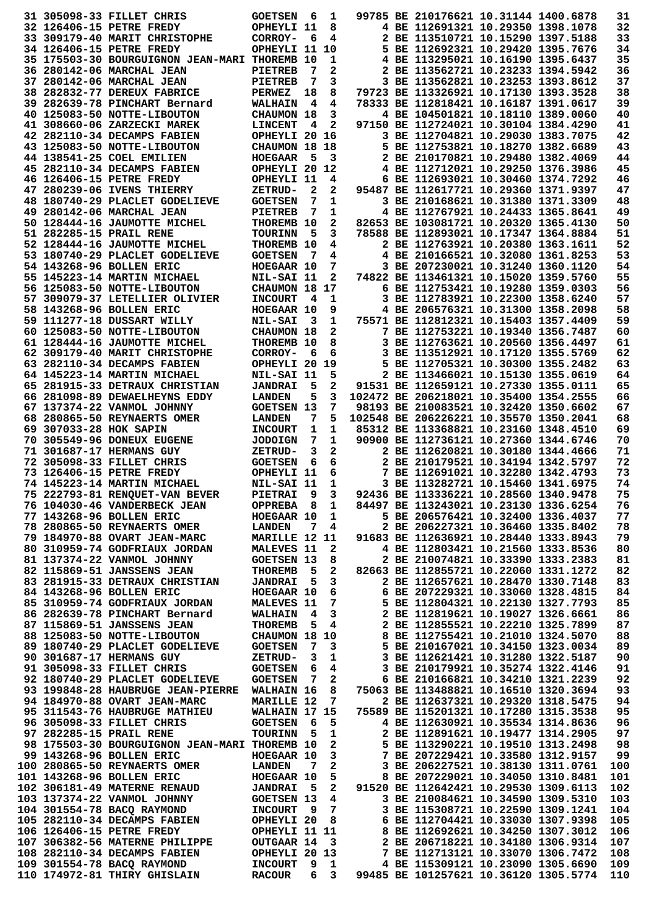|                        | 31 305098-33 FILLET CHRIS                                                                          | <b>GOETSEN</b>             | -6                      | 1              |                                                                                | 99785 BE 210176621 10.31144 1400.6878                                      |  | 31         |
|------------------------|----------------------------------------------------------------------------------------------------|----------------------------|-------------------------|----------------|--------------------------------------------------------------------------------|----------------------------------------------------------------------------|--|------------|
|                        |                                                                                                    |                            |                         |                |                                                                                | 4 BE 112691321 10.29350 1398.1078                                          |  | 32         |
|                        | 32 126406-15 PETRE FREDY                                                                           | OPHEYLI 11                 |                         | 8              |                                                                                |                                                                            |  |            |
|                        | 33 309179-40 MARIT CHRISTOPHE                                                                      | CORROY-                    | 6                       | 4              |                                                                                | 2 BE 113510721 10.15290 1397.5188                                          |  | 33         |
|                        | 34 126406-15 PETRE FREDY                                                                           | OPHEYLI 11 10              |                         |                |                                                                                | 5 BE 112692321 10.29420 1395.7676                                          |  | 34         |
|                        | 35 175503-30 BOURGUIGNON JEAN-MARI THOREMB 10                                                      |                            |                         | 1              |                                                                                | 4 BE 113295021 10.16190 1395.6437                                          |  | 35         |
|                        | 36 280142-06 MARCHAL JEAN                                                                          | <b>PIETREB</b>             | -7                      | 2              |                                                                                | 2 BE 113562721 10.23233 1394.5942                                          |  | 36         |
|                        | 37 280142-06 MARCHAL JEAN                                                                          | <b>PIETREB</b>             | 7                       | 3              |                                                                                | 3 BE 113562821 10.23253 1393.8612                                          |  | 37         |
|                        | 38 282832-77 DEREUX FABRICE                                                                        | PERWEZ                     | 18                      | 8              |                                                                                | 79723 BE 113326921 10.17130 1393.3528                                      |  | 38         |
|                        |                                                                                                    |                            |                         |                |                                                                                |                                                                            |  |            |
|                        | 39 282639-78 PINCHART Bernard                                                                      | <b>WALHAIN</b>             | 4                       | 4              |                                                                                | 78333 BE 112818421 10.16187 1391.0617                                      |  | 39         |
|                        | 40 125083-50 NOTTE-LIBOUTON                                                                        | <b>CHAUMON 18</b>          |                         | 3              |                                                                                | 4 BE 104501821 10.18110 1389.0060                                          |  | 40         |
|                        | 41 308660-06 ZARZECKI MAREK                                                                        | <b>LINCENT</b>             | 4                       | $\mathbf{2}$   |                                                                                | 97150 BE 112724021 10.30104 1384.4290                                      |  | 41         |
|                        | 42 282110-34 DECAMPS FABIEN                                                                        | OPHEYLI 20 16              |                         |                |                                                                                | 3 BE 112704821 10.29030 1383.7075                                          |  | 42         |
|                        | 43 125083-50 NOTTE-LIBOUTON                                                                        | CHAUMON 18 18              |                         |                |                                                                                | 5 BE 112753821 10.18270 1382.6689                                          |  | 43         |
|                        | 44 138541-25 COEL EMILIEN                                                                          | <b>HOEGAAR</b>             | - 5                     | 3              |                                                                                | 2 BE 210170821 10.29480 1382.4069                                          |  | 44         |
|                        | 45 282110-34 DECAMPS FABIEN                                                                        | OPHEYLI 20 12              |                         |                |                                                                                | 4 BE 112712021 10.29250 1376.3986                                          |  | 45         |
|                        |                                                                                                    |                            |                         |                |                                                                                |                                                                            |  |            |
|                        | 46 126406-15 PETRE FREDY                                                                           | OPHEYLI 11                 |                         | 4              |                                                                                | 6 BE 112693021 10.30460 1374.7292                                          |  | 46         |
|                        | 47 280239-06 IVENS THIERRY                                                                         | ZETRUD-                    | $\mathbf{2}$            | 2              |                                                                                | 95487 BE 112617721 10.29360 1371.9397                                      |  | 47         |
|                        | 48 180740-29 PLACLET GODELIEVE                                                                     | <b>GOETSEN</b>             | 7                       | 1              |                                                                                | 3 BE 210168621 10.31380 1371.3309                                          |  | 48         |
|                        | 49 280142-06 MARCHAL JEAN                                                                          | <b>PIETREB</b>             | 7                       | 1              |                                                                                | 4 BE 112767921 10.24433 1365.8641                                          |  | 49         |
|                        | 50 128444-16 JAUMOTTE MICHEL                                                                       | THOREMB 10                 |                         | 2              |                                                                                | 82653 BE 103081721 10.20320 1365.4130                                      |  | 50         |
|                        | 51 282285-15 PRAIL RENE                                                                            | <b>TOURINN</b>             | - 5                     | 3              |                                                                                | 78588 BE 112893021 10.17347 1364.8884                                      |  | 51         |
|                        | 52 128444-16 JAUMOTTE MICHEL                                                                       | THOREMB 10                 |                         | 4              |                                                                                | 2 BE 112763921 10.20380 1363.1611                                          |  | 52         |
|                        |                                                                                                    |                            |                         |                |                                                                                |                                                                            |  | 53         |
|                        | 53 180740-29 PLACLET GODELIEVE                                                                     | <b>GOETSEN</b>             | - 7                     | 4              |                                                                                | 4 BE 210166521 10.32080 1361.8253                                          |  |            |
|                        | 54 143268-96 BOLLEN ERIC                                                                           | HOEGAAR 10                 |                         | 7              |                                                                                | 3 BE 207230021 10.31240 1360.1120                                          |  | 54         |
|                        | 55 145223-14 MARTIN MICHAEL                                                                        | NIL-SAI 11                 |                         | 2              |                                                                                | 74822 BE 113461321 10.15020 1359.5760                                      |  | 55         |
|                        | 56 125083-50 NOTTE-LIBOUTON                                                                        | CHAUMON 18 17              |                         |                |                                                                                | 6 BE 112753421 10.19280 1359.0303                                          |  | 56         |
|                        | 57 309079-37 LETELLIER OLIVIER                                                                     | <b>INCOURT</b>             | 4                       | 1              |                                                                                | 3 BE 112783921 10.22300 1358.6240                                          |  | 57         |
|                        | 58 143268-96 BOLLEN ERIC                                                                           | HOEGAAR 10                 |                         | 9              |                                                                                | 4 BE 206576321 10.31300 1358.2098                                          |  | 58         |
|                        | 59 111277-18 DUSSART WILLY                                                                         | NIL-SAI                    | 3                       | 1              |                                                                                | 75571 BE 112812321 10.15403 1357.4409                                      |  | 59         |
|                        |                                                                                                    |                            |                         |                |                                                                                |                                                                            |  |            |
|                        | 60 125083-50 NOTTE-LIBOUTON                                                                        | CHAUMON 18                 |                         | 2              |                                                                                | 7 BE 112753221 10.19340 1356.7487                                          |  | 60         |
|                        | 61 128444-16 JAUMOTTE MICHEL                                                                       | THOREMB 10                 |                         | 8              |                                                                                | 3 BE 112763621 10.20560 1356.4497                                          |  | 61         |
|                        | 62 309179-40 MARIT CHRISTOPHE                                                                      | CORROY-                    | 6                       | 6              |                                                                                | 3 BE 113512921 10.17120 1355.5769                                          |  | 62         |
|                        | 63 282110-34 DECAMPS FABIEN                                                                        | OPHEYLI 20 19              |                         |                |                                                                                | 5 BE 112705321 10.30300 1355.2482                                          |  | 63         |
|                        | 64 145223-14 MARTIN MICHAEL                                                                        | NIL-SAI 11                 |                         | 5              |                                                                                | 2 BE 113466021 10.15130 1355.0619                                          |  | 64         |
|                        | 65 281915-33 DETRAUX CHRISTIAN                                                                     | <b>JANDRAI</b>             | 5                       | 2              |                                                                                | 91531 BE 112659121 10.27330 1355.0111                                      |  | 65         |
|                        |                                                                                                    |                            |                         |                |                                                                                |                                                                            |  |            |
|                        | 66 281098-89 DEWAELHEYNS EDDY                                                                      | <b>LANDEN</b>              | 5                       | 3              |                                                                                | 102472 BE 206218021 10.35400 1354.2555                                     |  | 66         |
|                        | 67 137374-22 VANMOL JOHNNY                                                                         | <b>GOETSEN 13</b>          |                         | 7              |                                                                                | 98193 BE 210083521 10.32420 1350.6602                                      |  | 67         |
|                        | 68 280865-50 REYNAERTS OMER                                                                        | <b>LANDEN</b>              | 7                       | 5              |                                                                                | 102548 BE 206226221 10.35570 1350.2041                                     |  | 68         |
| 69 307033-28 HOK SAPIN |                                                                                                    | <b>INCOURT</b>             | 1                       | 1              |                                                                                | 85312 BE 113368821 10.23160 1348.4510                                      |  | 69         |
|                        | 70 305549-96 DONEUX EUGENE                                                                         | <b>JODOIGN</b>             | 7                       | 1              |                                                                                | 90900 BE 112736121 10.27360 1344.6746                                      |  | 70         |
|                        | 71 301687-17 HERMANS GUY                                                                           | ZETRUD-                    | 3                       | 2              |                                                                                | 2 BE 112620821 10.30180 1344.4666                                          |  | 71         |
|                        | 72 305098-33 FILLET CHRIS                                                                          | <b>GOETSEN</b>             | 6                       | 6              |                                                                                | 2 BE 210179521 10.34194 1342.5797                                          |  | 72         |
|                        |                                                                                                    |                            |                         |                |                                                                                |                                                                            |  |            |
|                        | 73 126406-15 PETRE FREDY                                                                           | OPHEYLI 11                 |                         | 6              |                                                                                | 7 BE 112691021 10.32280 1342.4793                                          |  | 73         |
|                        | 74 145223-14 MARTIN MICHAEL                                                                        | NIL-SAI 11                 |                         | 1              |                                                                                | 3 BE 113282721 10.15460 1341.6975                                          |  | 74         |
|                        | 75 222793-81 RENQUET-VAN BEVER                                                                     | PIETRAI 9                  |                         | 3              |                                                                                | 92436 BE 113336221 10.28560 1340.9478                                      |  | 75         |
|                        | 76 104030-46 VANDERBECK JEAN                                                                       | OPPREBA 8 1                |                         |                |                                                                                | 84497 BE 113243021 10.23130 1336.6254                                      |  | 76         |
|                        | 77 143268-96 BOLLEN ERIC                                                                           | HOEGAAR 10 1               |                         |                |                                                                                | 5 BE 206576421 10.32400 1336.4037                                          |  | 77         |
|                        | 78 280865-50 REYNAERTS OMER                                                                        | <b>LANDEN</b>              |                         | $7\quad 4$     |                                                                                | 2 BE 206227321 10.36460 1335.8402                                          |  | 78         |
|                        | 79 184970-88 OVART JEAN-MARC                                                                       | <b>MARILLE 12 11</b>       |                         |                |                                                                                | 91683 BE 112636921 10.28440 1333.8943                                      |  | 79         |
|                        |                                                                                                    |                            |                         |                |                                                                                |                                                                            |  |            |
|                        | 80 310959-74 GODFRIAUX JORDAN                                                                      | MALEVES 11                 |                         | $\mathbf{2}$   |                                                                                | 4 BE 112803421 10.21560 1333.8536                                          |  | 80         |
|                        | 81 137374-22 VANMOL JOHNNY                                                                         | <b>GOETSEN 13</b>          |                         | 8              |                                                                                | 2 BE 210074821 10.33390 1333.2383                                          |  | 81         |
|                        | 82 115869-51 JANSSENS JEAN                                                                         | <b>THOREMB</b>             | - 5                     | $\mathbf{2}$   |                                                                                | 82663 BE 112855721 10.22060 1331.1272                                      |  | 82         |
|                        | 83 281915-33 DETRAUX CHRISTIAN                                                                     | <b>JANDRAI</b>             | - 5                     | $\mathbf{3}$   |                                                                                | 2 BE 112657621 10.28470 1330.7148                                          |  | 83         |
|                        | 84 143268-96 BOLLEN ERIC                                                                           | $HOEGAAR$ 10 6             |                         |                |                                                                                | 6 BE 207229321 10.33060 1328.4815                                          |  | 84         |
|                        | 85 310959-74 GODFRIAUX JORDAN                                                                      | <b>MALEVES 11</b>          |                         |                | 7                                                                              | 5 BE 112804321 10.22130 1327.7793                                          |  | 85         |
|                        | 86 282639-78 PINCHART Bernard                                                                      | <b>WALHAIN</b>             | 4                       |                |                                                                                |                                                                            |  | 86         |
|                        |                                                                                                    |                            |                         |                | 4 3 2 BE 112819621 10.19027 1326.6661<br>5 4 2 BE 112855521 10.22210 1325.7899 |                                                                            |  |            |
|                        | 87 115869-51 JANSSENS JEAN                                                                         | <b>THOREMB</b>             |                         |                |                                                                                |                                                                            |  | 87         |
|                        | 88 125083-50 NOTTE-LIBOUTON                                                                        | CHAUMON 18 10              |                         |                | 8 BE 112755421 10.21010 1324.5070                                              |                                                                            |  | 88         |
|                        | 89 180740-29 PLACLET GODELIEVE                                                                     | <b>GOETSEN<br/>ZETRUD-</b> | - 7                     | 3              |                                                                                | 5 BE 210167021 10.34150 1323.0034                                          |  | 89         |
|                        | 90 301687-17 HERMANS GUY                                                                           |                            | $\overline{\mathbf{3}}$ | $\mathbf{1}$   |                                                                                | 3 BE 112621421 10.31280 1322.5187                                          |  | 90         |
|                        | 91 305098-33 FILLET CHRIS                                                                          | <b>GOETSEN 6</b>           |                         | 4              |                                                                                | 3 BE 210179921 10.35274 1322.4146                                          |  | 91         |
|                        | 92 180740-29 PLACLET GODELIEVE                                                                     | <b>GOETSEN 7</b>           |                         | $\mathbf{2}$   |                                                                                | 6 BE 210166821 10.34210 1321.2239                                          |  | 92         |
|                        |                                                                                                    |                            |                         |                |                                                                                |                                                                            |  | 93         |
|                        |                                                                                                    |                            |                         |                |                                                                                |                                                                            |  |            |
|                        | 93 199848-28 HAUBRUGE JEAN-PIERRE WALHAIN 16                                                       |                            |                         |                | $\overline{8}$                                                                 | 75063 BE 113488821 10.16510 1320.3694                                      |  |            |
|                        | 94 184970-88 OVART JEAN-MARC                                                                       | MARILLE 12                 |                         | 7              |                                                                                | 2 BE 112637321 10.29320 1318.5475                                          |  | 94         |
|                        | 95 311543-76 HAUBRUGE MATHIEU                                                                      | <b>WALHAIN 17 15</b>       |                         |                |                                                                                | 75589 BE 115201321 10.17280 1315.3538                                      |  | 95         |
|                        | 96 305098-33 FILLET CHRIS                                                                          | <b>GOETSEN</b>             | $6^{\circ}$             | 5              |                                                                                | 4 BE 112630921 10.35534 1314.8636                                          |  | 96         |
|                        | 97 282285-15 PRAIL RENE                                                                            | <b>TOURINN</b>             | - 5                     | $\mathbf 1$    |                                                                                | 2 BE 112891621 10.19477 1314.2905                                          |  | 97         |
|                        |                                                                                                    |                            |                         |                |                                                                                |                                                                            |  |            |
|                        | 98 175503-30 BOURGUIGNON JEAN-MARI THOREMB 10                                                      |                            |                         | $\mathbf{2}$   |                                                                                | 5 BE 113290221 10.19510 1313.2498                                          |  | 98         |
|                        | 99 143268-96 BOLLEN ERIC                                                                           | <b>HOEGAAR 10</b>          |                         | 3 <sup>7</sup> |                                                                                | 7 BE 207229421 10.33580 1312.9157                                          |  | 99         |
|                        | 100 280865-50 REYNAERTS OMER LANDEN                                                                |                            | 7                       | $\mathbf{2}$   |                                                                                | 3 BE 206227521 10.38130 1311.0761                                          |  | 100        |
|                        | 101 143268-96 BOLLEN ERIC                                                                          |                            |                         |                |                                                                                | 8 BE 207229021 10.34050 1310.8481                                          |  | 101        |
|                        | 102 306181-49 MATERNE RENAUD                                                                       | HOEGAAR 10<br>JANDRAI 5    |                         | $\frac{5}{2}$  |                                                                                | 91520 BE 112642421 10.29530 1309.6113                                      |  | 102        |
|                        |                                                                                                    |                            |                         |                |                                                                                | 3 BE 210084621 10.34590 1309.5310                                          |  | 103        |
|                        | 103 137374-22 VANMOL JOHNNY GOETSEN 13                                                             |                            |                         |                | $\overline{\mathbf{4}}$                                                        | 3 BE 115308721 10.22590 1309.1241                                          |  | 104        |
|                        |                                                                                                    |                            |                         |                |                                                                                |                                                                            |  |            |
|                        | 104  301554-78  BACQ RAYMOND   INCOURT   9  7<br>105  282110-34  DECAMPS  FABIEN   OPHEYLI   20  8 |                            |                         |                |                                                                                | 6 BE 112704421 10.33030 1307.9398                                          |  | 105        |
|                        | 106 126406-15 PETRE FREDY                                                                          | OPHEYLI 11 11              |                         |                | 8 BE 112692621 10.34250 1307.3012                                              |                                                                            |  | 106        |
|                        |                                                                                                    |                            |                         |                |                                                                                | 2 BE 206718221 10.34180 1306.9314                                          |  | 107        |
|                        | 107 306382-56 MATERNE PHILIPPE OUTGAAR 14 3<br>108 282110-34 DECAMPS FABIEN OPHEYLI 20 13          |                            |                         |                |                                                                                | 7 BE 112713121 10.33070 1306.7472                                          |  | 108        |
|                        | 109 301554-78 BACQ RAYMOND<br>110 174972-81 THIRY GHISLAIN RACOUR                                  | INCOURT 9 1                |                         | 6 3            |                                                                                | 4 BE 115309121 10.23090 1305.6690<br>99485 BE 101257621 10.36120 1305.5774 |  | 109<br>110 |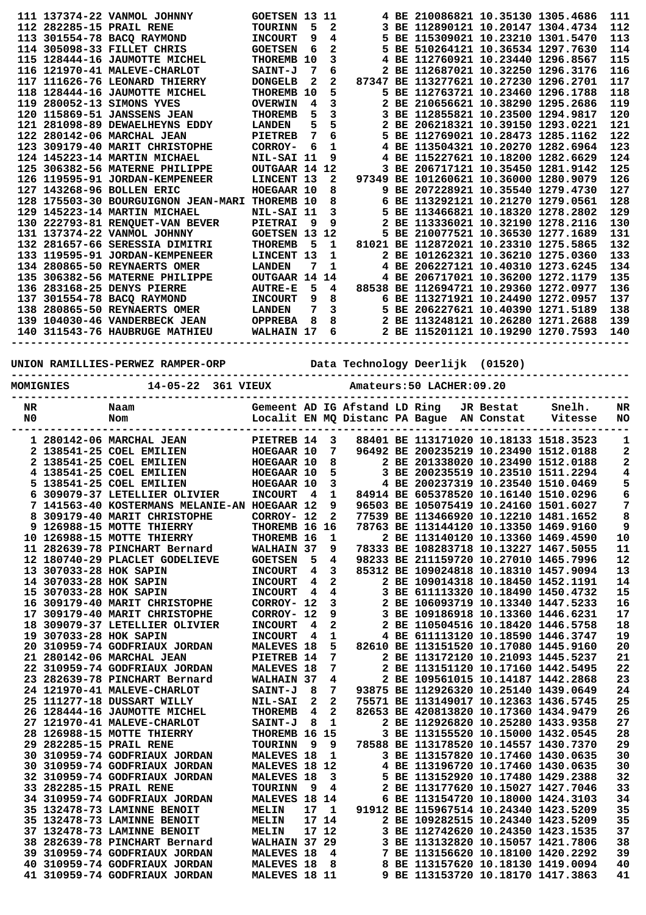|    |                          |                                                |                      |                         |                         |                               | 4 BE 210086821 10.35130 1305.4686                                          |           |         |                |
|----|--------------------------|------------------------------------------------|----------------------|-------------------------|-------------------------|-------------------------------|----------------------------------------------------------------------------|-----------|---------|----------------|
|    |                          | 111 137374-22 VANMOL JOHNNY                    | <b>GOETSEN 13</b>    |                         | 11                      |                               |                                                                            |           |         | 111            |
|    |                          | 112 282285-15 PRAIL RENE                       | <b>TOURINN</b>       | 5                       | 2                       |                               | 3 BE 112890121 10.20147 1304.4734                                          |           |         | 112            |
|    |                          | 113 301554-78 BACO RAYMOND                     | <b>INCOURT</b>       | 9                       | 4                       |                               | 5 BE 115309021 10.23210 1301.5470                                          |           |         | 113            |
|    |                          | 114 305098-33 FILLET CHRIS                     | <b>GOETSEN</b>       | 6                       | 2                       |                               | 5 BE 510264121 10.36534 1297.7630                                          |           |         | 114            |
|    |                          | 115 128444-16 JAUMOTTE MICHEL                  | THOREMB 10           |                         | 3                       |                               | 4 BE 112760921 10.23440 1296.8567                                          |           |         | 115            |
|    |                          |                                                |                      |                         |                         |                               |                                                                            |           |         |                |
|    |                          | 116 121970-41 MALEVE-CHARLOT                   | <b>SAINT-J</b>       | 7                       | 6                       |                               | 2 BE 112687021 10.32250 1296.3176                                          |           |         | 116            |
|    |                          | 117 111626-76 LEONARD THIERRY                  | <b>DONGELB</b>       | 2                       | 2                       |                               | 87347 BE 113277621 10.27230 1296.2701                                      |           |         | 117            |
|    |                          | 118 128444-16 JAUMOTTE MICHEL                  | <b>THOREMB</b>       | 10                      | 5                       |                               | 5 BE 112763721 10.23460 1296.1788                                          |           |         | 118            |
|    |                          | 119 280052-13 SIMONS YVES                      |                      | 4                       | 3                       |                               | 2 BE 210656621 10.38290 1295.2686                                          |           |         | 119            |
|    |                          |                                                | <b>OVERWIN</b>       |                         |                         |                               |                                                                            |           |         |                |
|    |                          | 120 115869-51 JANSSENS JEAN                    | <b>THOREMB</b>       | 5                       | 3                       |                               | 3 BE 112855821 10.23500 1294.9817                                          |           |         | 120            |
|    |                          | 121 281098-89 DEWAELHEYNS EDDY                 | <b>LANDEN</b>        | 5                       | 5                       |                               | 2 BE 206218321 10.39150 1293.0221                                          |           |         | 121            |
|    |                          | 122 280142-06 MARCHAL JEAN                     | <b>PIETREB</b>       | 7                       | 6                       |                               | 5 BE 112769021 10.28473 1285.1162                                          |           |         | 122            |
|    |                          | 123 309179-40 MARIT CHRISTOPHE                 | CORROY-              | 6                       | 1                       |                               | 4 BE 113504321 10.20270 1282.6964                                          |           |         | 123            |
|    |                          |                                                |                      |                         |                         |                               |                                                                            |           |         |                |
|    |                          | 124 145223-14 MARTIN MICHAEL                   | NIL-SAI 11           |                         | 9                       |                               | 4 BE 115227621 10.18200 1282.6629                                          |           |         | 124            |
|    |                          | 125 306382-56 MATERNE PHILIPPE                 | OUTGAAR 14 12        |                         |                         |                               | 3 BE 206717121 10.35450 1281.9142                                          |           |         | 125            |
|    |                          | 126 119595-91 JORDAN-KEMPENEER                 | LINCENT 13           |                         | 2                       |                               | 97349 BE 101260621 10.36000 1280.9079                                      |           |         | 126            |
|    |                          |                                                |                      |                         |                         |                               |                                                                            |           |         |                |
|    |                          | 127 143268-96 BOLLEN ERIC                      | HOEGAAR 10           |                         | 8                       |                               | 9 BE 207228921 10.35540 1279.4730                                          |           |         | 127            |
|    |                          | 128 175503-30 BOURGUIGNON JEAN-MARI THOREMB 10 |                      |                         | 8                       |                               | 6 BE 113292121 10.21270 1279.0561                                          |           |         | 128            |
|    |                          | 129 145223-14 MARTIN MICHAEL                   | NIL-SAI 11           |                         | 3                       |                               | 5 BE 113466821 10.18320 1278.2802                                          |           |         | 129            |
|    |                          | 130 222793-81 RENOUET-VAN BEVER                | PIETRAI              | 9                       | 9                       |                               | 2 BE 113336021 10.32190 1278.2116                                          |           |         | 130            |
|    |                          |                                                |                      |                         |                         |                               |                                                                            |           |         |                |
|    |                          | 131 137374-22 VANMOL JOHNNY                    | <b>GOETSEN 13 12</b> |                         |                         |                               | 5 BE 210077521 10.36530 1277.1689                                          |           |         | 131            |
|    |                          | 132 281657-66 SERESSIA DIMITRI                 | <b>THOREMB</b>       | 5                       | 1                       |                               | 81021 BE 112872021 10.23310 1275.5865                                      |           |         | 132            |
|    |                          | 133 119595-91 JORDAN-KEMPENEER                 | LINCENT 13           |                         | 1                       |                               | 2 BE 101262321 10.36210 1275.0360                                          |           |         | 133            |
|    |                          | 134 280865-50 REYNAERTS OMER                   | <b>LANDEN</b>        | 7                       | 1                       |                               | 4 BE 206227121 10.40310 1273.6245                                          |           |         | 134            |
|    |                          |                                                |                      |                         |                         |                               |                                                                            |           |         |                |
|    |                          | 135 306382-56 MATERNE PHILIPPE                 | OUTGAAR 14 14        |                         |                         |                               | 4 BE 206717021 10.36200 1272.1179                                          |           |         | 135            |
|    |                          | 136 283168-25 DENYS PIERRE                     | <b>AUTRE-E</b>       | 5                       | 4                       |                               | 88538 BE 112694721 10.29360 1272.0977                                      |           |         | 136            |
|    |                          | 137 301554-78 BACQ RAYMOND                     | <b>INCOURT</b>       | 9                       | 8                       |                               | 6 BE 113271921 10.24490 1272.0957                                          |           |         | 137            |
|    |                          |                                                |                      |                         |                         |                               |                                                                            |           |         |                |
|    |                          | 138 280865-50 REYNAERTS OMER                   | <b>LANDEN</b>        | 7                       | $\mathbf{3}$            |                               | 5 BE 206227621 10.40390 1271.5189                                          |           |         | 138            |
|    |                          | 139 104030-46 VANDERBECK JEAN                  | <b>OPPREBA</b>       | $_{\rm 8}$              |                         |                               | 8 2 BE 113248121 10.26280 1271.2688<br>6 2 BE 115201121 10.19290 1270.7593 |           |         | 139            |
|    |                          | 140 311543-76 HAUBRUGE MATHIEU                 | <b>WALHAIN 17</b>    |                         |                         |                               |                                                                            |           |         | 140            |
|    |                          |                                                |                      |                         |                         |                               |                                                                            |           |         |                |
|    |                          |                                                |                      |                         |                         |                               |                                                                            |           |         |                |
|    |                          |                                                |                      |                         |                         |                               |                                                                            |           |         |                |
|    |                          | UNION RAMILLIES-PERWEZ RAMPER-ORP              |                      |                         |                         |                               | Data Technology Deerlijk (01520)                                           |           |         |                |
|    |                          |                                                |                      |                         |                         |                               |                                                                            |           |         |                |
|    | <b>MOMIGNIES</b>         | 14-05-22 361 VIEUX                             |                      |                         |                         |                               | Amateurs: 50 LACHER: 09.20                                                 |           |         |                |
|    |                          |                                                |                      |                         |                         |                               |                                                                            |           |         |                |
| NR |                          | Naam                                           |                      |                         |                         | Gemeent AD IG Afstand LD Ring |                                                                            | JR Bestat | Snelh.  | NR             |
| N0 |                          | Nom                                            |                      |                         |                         |                               | Localit EN MQ Distanc PA Bague AN Constat                                  |           | Vitesse | <b>NO</b>      |
|    |                          |                                                |                      |                         |                         |                               |                                                                            |           |         |                |
|    |                          |                                                |                      |                         |                         |                               |                                                                            |           |         |                |
|    | 1 280142-06 MARCHAL JEAN |                                                | PIETREB 14           |                         |                         |                               |                                                                            |           |         |                |
|    |                          |                                                |                      |                         | 3                       |                               | 88401 BE 113171020 10.18133 1518.3523                                      |           |         | 1              |
|    |                          |                                                |                      |                         |                         |                               |                                                                            |           |         |                |
|    |                          | 2 138541-25 COEL EMILIEN                       | HOEGAAR 10           |                         | 7                       |                               | 96492 BE 200235219 10.23490 1512.0188                                      |           |         | 2              |
|    |                          | 2 138541-25 COEL EMILIEN                       | <b>HOEGAAR 10</b>    |                         | 8                       |                               | 2 BE 201338020 10.23490 1512.0188                                          |           |         | 2              |
|    |                          | 4 138541-25 COEL EMILIEN                       | HOEGAAR 10           |                         | 5                       |                               | 3 BE 200235519 10.23510 1511.2294                                          |           |         | 4              |
|    |                          | 5 138541-25 COEL EMILIEN                       | HOEGAAR 10           |                         | 3                       |                               | 4 BE 200237319 10.23540 1510.0469                                          |           |         |                |
|    |                          |                                                |                      |                         |                         |                               |                                                                            |           |         | 5              |
|    |                          | 6 309079-37 LETELLIER OLIVIER                  | <b>INCOURT</b>       | $\overline{4}$          | $\mathbf{1}$            |                               | 84914 BE 605378520 10.16140 1510.0296                                      |           |         | 6              |
|    |                          | 7 141563-40 KOSTERMANS MELANIE-AN HOEGAAR 12   |                      |                         | 9                       |                               | 96503 BE 105075419 10.24160 1501.6027                                      |           |         | $\overline{7}$ |
|    |                          | 8 309179-40 MARIT CHRISTOPHE                   | CORROY- 12           |                         | $\mathbf{2}$            |                               | 77539 BE 113466920 10.12210 1481.1652                                      |           |         | 8              |
|    |                          | 9 126988-15 MOTTE THIERRY                      | THOREMB 16 16        |                         |                         |                               |                                                                            |           |         |                |
|    |                          |                                                |                      |                         |                         |                               | 78763 BE 113144120 10.13350 1469.9160                                      |           |         | 9              |
|    |                          | 10 126988-15 MOTTE THIERRY                     | THOREMB 16           |                         | 1                       |                               | 2 BE 113140120 10.13360 1469.4590                                          |           |         | 10             |
|    |                          | 11 282639-78 PINCHART Bernard                  | WALHAIN 37           |                         | 9                       |                               | 78333 BE 108283718 10.13227 1467.5055                                      |           |         | 11             |
|    |                          | 12 180740-29 PLACLET GODELIEVE                 | <b>GOETSEN</b>       | - 5                     | 4                       |                               | 98233 BE 211159720 10.27010 1465.7996                                      |           |         | 12             |
|    |                          |                                                |                      |                         |                         |                               |                                                                            |           |         |                |
|    | 13 307033-28 HOK SAPIN   |                                                | <b>INCOURT</b>       | 4                       | 3                       |                               | 85312 BE 109024818 10.18310 1457.9094                                      |           |         | 13             |
|    | 14 307033-28 HOK SAPIN   |                                                | <b>INCOURT</b>       | $\overline{\mathbf{4}}$ | $\mathbf{2}$            |                               | 2 BE 109014318 10.18450 1452.1191                                          |           |         | 14             |
|    | 15 307033-28 HOK SAPIN   |                                                | <b>INCOURT</b>       | $\overline{4}$          | 4                       |                               | 3 BE 611113320 10.18490 1450.4732                                          |           |         | 15             |
|    |                          | 16 309179-40 MARIT CHRISTOPHE                  | CORROY- 12           |                         | 3                       |                               |                                                                            |           |         |                |
|    |                          |                                                |                      |                         |                         |                               | 2 BE 106093719 10.13340 1447.5233                                          |           |         | 16             |
|    |                          | 17 309179-40 MARIT CHRISTOPHE                  | CORROY- 12           |                         | 9                       |                               | 3 BE 109186918 10.13360 1446.6231                                          |           |         | 17             |
|    |                          | 18 309079-37 LETELLIER OLIVIER                 | <b>INCOURT</b>       | 4                       | $\mathbf{2}$            |                               | 2 BE 110504516 10.18420 1446.5758                                          |           |         | 18             |
|    | 19 307033-28 HOK SAPIN   |                                                | <b>INCOURT</b>       | - 4                     | 1                       |                               | 4 BE 611113120 10.18590 1446.3747                                          |           |         | 19             |
|    |                          | 20 310959-74 GODFRIAUX JORDAN                  |                      |                         |                         |                               |                                                                            |           |         | 20             |
|    |                          |                                                | <b>MALEVES 18</b>    |                         |                         | $5 -$                         | 82610 BE 113151520 10.17080 1445.9160                                      |           |         |                |
|    |                          | 21 280142-06 MARCHAL JEAN                      | PIETREB 14           |                         | 7                       |                               | 2 BE 113172120 10.21093 1445.5237                                          |           |         | 21             |
|    |                          | 22 310959-74 GODFRIAUX JORDAN                  | <b>MALEVES 18</b>    |                         | 7                       |                               | 2 BE 113151120 10.17160 1442.5495                                          |           |         | 22             |
|    |                          | 23 282639-78 PINCHART Bernard                  | WALHAIN 37           |                         | $\overline{\mathbf{4}}$ |                               | 2 BE 109561015 10.14187 1442.2868                                          |           |         | 23             |
|    |                          |                                                |                      |                         |                         |                               |                                                                            |           |         |                |
|    |                          | 24 121970-41 MALEVE-CHARLOT                    | SAINT-J 8            |                         |                         | 7 <sup>7</sup>                | 93875 BE 112926320 10.25140 1439.0649                                      |           |         | 24             |
|    |                          | 25 111277-18 DUSSART WILLY                     | <b>NIL-SAI</b>       | 2                       | $\mathbf{2}$            |                               | 75571 BE 113149017 10.12363 1436.5745                                      |           |         | 25             |
|    |                          | 26 128444-16 JAUMOTTE MICHEL                   | <b>THOREMB</b>       | $\overline{\mathbf{4}}$ | $\overline{a}$          |                               | 82653 BE 420813820 10.17360 1434.9479                                      |           |         | 26             |
|    |                          | 27 121970-41 MALEVE-CHARLOT                    | <b>SAINT-J</b>       | - 8                     | $\mathbf{1}$            |                               | 2 BE 112926820 10.25280 1433.9358                                          |           |         | 27             |
|    |                          |                                                |                      |                         |                         |                               |                                                                            |           |         |                |
|    |                          | 28 126988-15 MOTTE THIERRY                     | THOREMB 16 15        |                         |                         |                               | 3 BE 113155520 10.15000 1432.0545                                          |           |         | 28             |
|    |                          | 29 282285-15 PRAIL RENE                        | TOURINN              |                         | 99                      |                               | 78588 BE 113178520 10.14557 1430.7370                                      |           |         | 29             |
|    |                          | 30 310959-74 GODFRIAUX JORDAN                  | MALEVES 18 1         |                         |                         |                               | 3 BE 113157820 10.17460 1430.0635                                          |           |         | 30             |
|    |                          |                                                |                      |                         |                         |                               |                                                                            |           |         |                |
|    |                          | 30 310959-74 GODFRIAUX JORDAN                  | MALEVES 18 12        |                         |                         |                               | 4 BE 113196720 10.17460 1430.0635                                          |           |         | 30             |
|    |                          | 32 310959-74 GODFRIAUX JORDAN                  | <b>MALEVES 18</b>    |                         | 3                       |                               | 5 BE 113152920 10.17480 1429.2388                                          |           |         | 32             |
|    |                          | 33 282285-15 PRAIL RENE                        | TOURINN              |                         | 94                      |                               | 2 BE 113177620 10.15027 1427.7046                                          |           |         | 33             |
|    |                          | 34 310959-74 GODFRIAUX JORDAN                  | <b>MALEVES 18 14</b> |                         |                         |                               |                                                                            |           |         |                |
|    |                          |                                                |                      |                         |                         |                               | 6 BE 113154720 10.18000 1424.3103                                          |           |         | 34             |
|    |                          | 35 132478-73 LAMINNE BENOIT                    | <b>MELIN</b>         |                         | 17 <sub>1</sub>         |                               | 91912 BE 115967514 10.24340 1423.5209                                      |           |         | 35             |
|    |                          | 35 132478-73 LAMINNE BENOIT                    | <b>MELIN</b>         |                         | 17 14                   |                               | 2 BE 109282515 10.24340 1423.5209                                          |           |         | 35             |
|    |                          | 37 132478-73 LAMINNE BENOIT                    | <b>MELIN</b>         |                         | 17 12                   |                               | 3 BE 112742620 10.24350 1423.1535                                          |           |         | 37             |
|    |                          |                                                | WALHAIN 37 29        |                         |                         |                               |                                                                            |           |         |                |
|    |                          | 38 282639-78 PINCHART Bernard                  |                      |                         |                         |                               | 3 BE 113132820 10.15057 1421.7806                                          |           |         | 38             |
|    |                          | 39 310959-74 GODFRIAUX JORDAN                  | MALEVES 18 4         |                         |                         |                               | 7 BE 113156620 10.18100 1420.2292                                          |           |         | 39             |
|    |                          | 40 310959-74 GODFRIAUX JORDAN                  | <b>MALEVES 18 8</b>  |                         |                         |                               | 8 BE 113157620 10.18130 1419.0094                                          |           |         | 40             |
|    |                          | 41 310959-74 GODFRIAUX JORDAN                  | MALEVES 18 11        |                         |                         |                               | 9 BE 113153720 10.18170 1417.3863                                          |           |         | 41             |